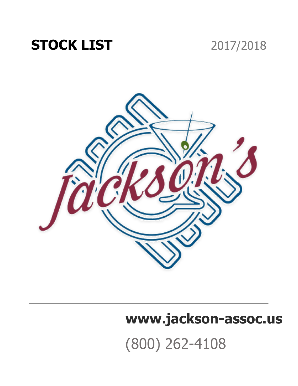## **STOCK LIST** 2017/2018



# **[www.jackson-assoc.us](http://www.jackson-assoc.us)**

# (800) 262-4108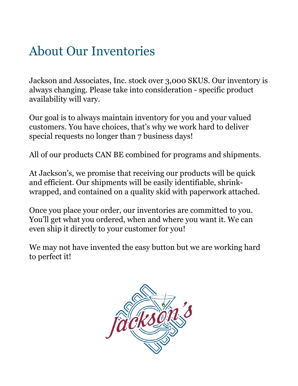### About Our Inventories

Jackson and Associates, Inc. stock over 3,000 SKUS. Our inventory is always changing. Please take into consideration - specific product availability will vary.

Our goal is to always maintain inventory for you and your valued customers. You have choices, that's why we work hard to deliver special requests no longer than 7 business days!

All of our products CAN BE combined for programs and shipments.

At Jackson's, we promise that receiving our products will be quick and efficient. Our shipments will be easily identifiable, shrinkwrapped, and contained on a quality skid with paperwork attached.

Once you place your order, our inventories are committed to you. You'll get what you ordered, when and where you want it. We can even ship it directly to your customer for you!

We may not have invented the easy button but we are working hard to perfect it!

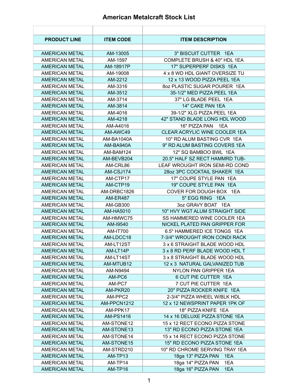#### **American Metalcraft Stock List**

| <b>PRODUCT LINE</b>   | <b>ITEM CODE</b> | <b>ITEM DESCRIPTION</b>        |
|-----------------------|------------------|--------------------------------|
|                       |                  |                                |
| <b>AMERICAN METAL</b> | AM-13005         | 3" BISCUIT CUTTER 1EA          |
| <b>AMERICAN METAL</b> | AM-1597          | COMPLETE BRUSH & 40" HDL 1EA   |
| <b>AMERICAN METAL</b> | AM-18917P        | 17" SUPERPERF DISKS 1EA        |
| AMERICAN METAL        | AM-19008         | 4 x 8 WD HDL GIANT OVERSIZE TU |
| <b>AMERICAN METAL</b> | AM-2212          | 12 x 13 WOOD PIZZA PEEL 1EA    |
| <b>AMERICAN METAL</b> | AM-3316          | 8oz PLASTIC SUGAR POURER 1EA   |
| <b>AMERICAN METAL</b> | AM-3512          | 35-1/2" MED PIZZA PEEL 1EA     |
| AMERICAN METAL        | AM-3714          | 37" LG BLADE PEEL 1EA          |
| <b>AMERICAN METAL</b> | AM-3814          | 14" CAKE PAN 1EA               |
| <b>AMERICAN METAL</b> | AM-4016          | 39-1/2" XLG PIZZA PEEL 1EA     |
| <b>AMERICAN METAL</b> | AM-4218          | 42" STAND BLADE LONG HDL WOOD  |
| AMERICAN METAL        | AM-A4016         | 16" PIZZA PAN 1EA              |
| <b>AMERICAN METAL</b> | AM-AWC49         | CLEAR ACRYLIC WINE COOLER 1EA  |
| <b>AMERICAN METAL</b> | AM-BA1040A       | 10" RD ALUM BASTING CVR 1EA    |
| <b>AMERICAN METAL</b> | AM-BA940A        | 9" RD ALUM BASTING COVERS 1EA  |
| AMERICAN METAL        | AM-BAM124        | 12" SQ BAMBOO BWL 1EA          |
| <b>AMERICAN METAL</b> | AM-BEVB204       | 20.5" HALF SZ RECT HAMMRD TUB- |
| <b>AMERICAN METAL</b> | AM-CRL86         | LEAF WROUGHT IRON SEMI-RD COND |
| <b>AMERICAN METAL</b> | AM-CSJ174        | 28oz 3PC COCKTAIL SHAKER 1EA   |
| AMERICAN METAL        | AM-CTP17         | 17" COUPE STYLE PAN 1EA        |
| <b>AMERICAN METAL</b> | AM-CTP19         | 19" COUPE STYLE PAN 1EA        |
| <b>AMERICAN METAL</b> | AM-DRBC1826      | COVER FOR DOUGH BOX 1EA        |
| <b>AMERICAN METAL</b> | <b>AM-ER487</b>  | 5" EGG RING 1EA                |
| AMERICAN METAL        | AM-GB300         | 3oz GRAVY BOAT 1EA             |
| <b>AMERICAN METAL</b> | AM-HA5010        | 10" HVY WGT ALUM STRAIGHT SIDE |
| <b>AMERICAN METAL</b> | AM-HMWC75        | SS HAMMERED WINE COOLER 1EA    |
| <b>AMERICAN METAL</b> | AM-19540         | NICKEL PLATED PAN GRIPPER FOR  |
| <b>AMERICAN METAL</b> | AM-IT700         | 6.5" HAMMERED ICE TONGS 1EA    |
| <b>AMERICAN METAL</b> | AM-LDCC18        | 7-3/4" WROUGHT IRON CONDI RACK |
| <b>AMERICAN METAL</b> | AM-LT12ST        | 3 x 6 STRAIGHT BLADE WOOD HDL  |
| <b>AMERICAN METAL</b> | AM-LT14P         | 3 x 8 RD PERF BLADE WOOD HDL T |
| <b>AMERICAN METAL</b> | AM-LT14ST        | 3 x 8 STRAIGHT BLADE WOOD HDL  |
| <b>AMERICAN METAL</b> | AM-MTUB12        | 12 x 3 NATURAL GALVANIZED TUB  |
| <b>AMERICAN METAL</b> | AM-N9494         | NYLON PAN GRIPPER 1EA          |
| <b>AMERICAN METAL</b> | AM-PC6           | 6 CUT PIE CUTTER 1EA           |
| <b>AMERICAN METAL</b> | AM-PC7           | 7 CUT PIE CUTTER 1EA           |
| <b>AMERICAN METAL</b> | AM-PKR20         | 20" PIZZA ROCKER KNIFE 1EA     |
| <b>AMERICAN METAL</b> | AM-PPC2          | 2-3/4" PIZZA WHEEL W/BLK HDL   |
| <b>AMERICAN METAL</b> | AM-PPCN1212      | 12 x 12 NEWSPRINT PAPER 1PK OF |
| <b>AMERICAN METAL</b> | AM-PPK17         | 18" PIZZA KNIFE 1EA            |
| <b>AMERICAN METAL</b> | AM-PS1416        | 14 x 16 DELUXE PIZZA STONE 1EA |
| <b>AMERICAN METAL</b> | AM-STONE12       | 15 x 12 RECT ECONO PIZZA STONE |
| <b>AMERICAN METAL</b> | AM-STONE13       | 13" RD ECONO PIZZA STONE 1EA   |
| <b>AMERICAN METAL</b> | AM-STONE14       | 15 x 14 RECT ECONO PIZZA STONE |
| <b>AMERICAN METAL</b> | AM-STONE15       | 15" RD ECONO PIZZA STONE 1EA   |
| <b>AMERICAN METAL</b> | AM-STRD210       | 10" RD CHROME SERVING TRAY 1EA |
| <b>AMERICAN METAL</b> | AM-TP13          | 18ga 13" PIZZA PAN<br>1EA      |
| <b>AMERICAN METAL</b> | AM-TP14          | 18ga 14" PIZZA PAN<br>1EA      |
| <b>AMERICAN METAL</b> | AM-TP16          | 18ga 16" PIZZA PAN<br>1EA      |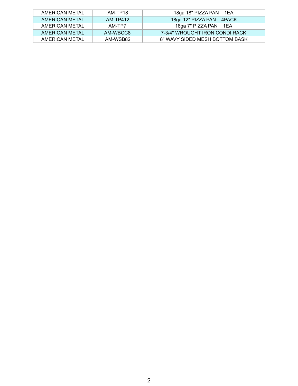| AMERICAN METAL | AM-TP18  | 18ga 18" PIZZA PAN 1EA         |
|----------------|----------|--------------------------------|
| AMERICAN METAL | AM-TP412 | 18ga 12" PIZZA PAN 4PACK       |
| AMERICAN METAL | AM-TP7   | 18ga 7" PIZZA PAN 1EA          |
| AMERICAN METAL | AM-WBCC8 | 7-3/4" WROUGHT IRON CONDI RACK |
| AMERICAN METAL | AM-WSB82 | 8" WAVY SIDED MESH BOTTOM BASK |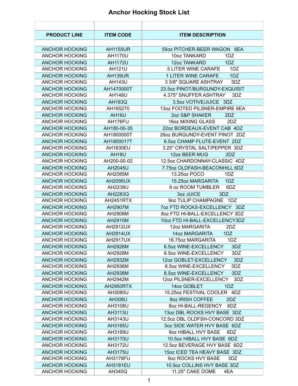#### **Anchor Hocking Stock List**

| <b>PRODUCT LINE</b>   | <b>ITEM CODE</b> | <b>ITEM DESCRIPTION</b>        |
|-----------------------|------------------|--------------------------------|
|                       |                  |                                |
| <b>ANCHOR HOCKING</b> | <b>AH1155UR</b>  | 55oz PITCHER-BEER WAGON 6EA    |
| <b>ANCHOR HOCKING</b> | AH1170U          | 10oz TANKARD<br>1DZ            |
| <b>ANCHOR HOCKING</b> | <b>AH1172U</b>   | 12oz TANKARD<br>1DZ            |
| <b>ANCHOR HOCKING</b> | AH121U           | .5 LITER WINE CARAFE<br>1DZ    |
| <b>ANCHOR HOCKING</b> | <b>AH139UR</b>   | 1DZ<br>1 LITER WINE CARAFE     |
| <b>ANCHOR HOCKING</b> | <b>AH143U</b>    | 3 5/8" SQUARE ASHTRAY<br>3DZ   |
| <b>ANCHOR HOCKING</b> | AH1470000T       | 23.5oz PINOT/BURGUNDY-EXQUISIT |
| <b>ANCHOR HOCKING</b> | <b>AH148U</b>    | 4.375" SNUFFER ASHTRAY<br>3DZ  |
| <b>ANCHOR HOCKING</b> | <b>AH163Q</b>    | 3.5oz VOTIVE/JUICE 3DZ         |
| <b>ANCHOR HOCKING</b> | AH165270         | 130Z FOOTED PILSNER-EMPIRE 6EA |
| <b>ANCHOR HOCKING</b> | AH16U            | 2oz S&P SHAKER<br>2DZ          |
| <b>ANCHOR HOCKING</b> | AH176FU          | 16oz MIXING GLASS<br>2DZ       |
| <b>ANCHOR HOCKING</b> | AH180-00-35      | 22oz BORDEAUX-EVENT CAB 4DZ    |
| <b>ANCHOR HOCKING</b> | AH1800000T       | 26oz BURGUNDY-EVENT PINOT 2DZ  |
| <b>ANCHOR HOCKING</b> | AH1800017T       | 6.5oz CHAMP FLUTE-EVENT 2DZ    |
| <b>ANCHOR HOCKING</b> | <b>AH1830EU</b>  | 3.25" CRYSTAL SALT/PEPPER 3DZ  |
| <b>ANCHOR HOCKING</b> | <b>AH18U</b>     | 12oz BEER MUG<br>2DZ           |
| <b>ANCHOR HOCKING</b> | AH200-00-02      | 12.5oz CHARDONNAY-CLASSIC 4DZ  |
| <b>ANCHOR HOCKING</b> | AH2045U          | 7.75oz OLDFASH-BEACONHILL 6DZ  |
| <b>ANCHOR HOCKING</b> | AH2085M          | 13.25oz POCO<br>1DZ            |
| <b>ANCHOR HOCKING</b> | <b>AH2095UX</b>  | 15.25oz MARGARITA<br>1DZ       |
| <b>ANCHOR HOCKING</b> | AH2238U          | 8 oz ROOM TUMBLER<br>6DZ       |
| <b>ANCHOR HOCKING</b> | AH2283Q          | 3oz JUICE<br>3DZ               |
| <b>ANCHOR HOCKING</b> | AH2451RTX        | 9oz TULIP CHAMPAGNE 1DZ        |
| <b>ANCHOR HOCKING</b> | AH2907M          | 7oz FTD ROCKS-EXCELLENCY 3DZ   |
| <b>ANCHOR HOCKING</b> | AH2908M          | 80Z FTD HI-BALL-EXCELLENCY 3DZ |
| <b>ANCHOR HOCKING</b> | AH2910M          | 10oz FTD HI-BALL-EXCELLENCY3DZ |
| <b>ANCHOR HOCKING</b> | <b>AH2912UX</b>  | 12oz MARGARITA<br>2DZ          |
| <b>ANCHOR HOCKING</b> | <b>AH2914UX</b>  | <b>14oz MARGARITA</b><br>1DZ   |
| <b>ANCHOR HOCKING</b> | <b>AH2917UX</b>  | 16.75oz MARGARITA<br>1DZ       |
| <b>ANCHOR HOCKING</b> | AH2926M          | 6.5oz WINE-EXCELLENCY<br>3DZ   |
| <b>ANCHOR HOCKING</b> | AH2928M          | 8.5oz WINE-EXCELLENCY<br>3DZ   |
| <b>ANCHOR HOCKING</b> | AH2932M          | 12oz GOBLET-EXCELLENCY<br>3DZ  |
| <b>ANCHOR HOCKING</b> | AH2936M          | 6.5oz WINE-EXCELLENCY<br>3DZ   |
| <b>ANCHOR HOCKING</b> | AH2938M          | 8.5oz WINE-EXCELLENCY<br>3DZ   |
| <b>ANCHOR HOCKING</b> | AH2942M          | 12oz PILSNER-EXCELLENCY 3DZ    |
| <b>ANCHOR HOCKING</b> | AH2950RTX        | 14oz GOBLET<br>1DZ             |
| <b>ANCHOR HOCKING</b> | AH3080U          | 15.25oz FESTIVAL COOLER 4DZ    |
| <b>ANCHOR HOCKING</b> | <b>AH308U</b>    | 8oz IRISH COFFEE<br>2DZ        |
| <b>ANCHOR HOCKING</b> | AH3108U          | 8oz HI-BALL-REGENCY<br>6DZ     |
| <b>ANCHOR HOCKING</b> | AH3113U          | 13oz DBL ROCKS HVY BASE 3DZ    |
| <b>ANCHOR HOCKING</b> | AH3143U          | 12.5oz DBL OLDFSH-CONCORD 3DZ  |
| <b>ANCHOR HOCKING</b> | AH3165U          | 5oz SIDE WATER HVY BASE 6DZ    |
| <b>ANCHOR HOCKING</b> | AH3169U          | 9oz HIBALL HVY BASE<br>6DZ.    |
| <b>ANCHOR HOCKING</b> | AH3170U          | 10.5oz HIBALL HVY BASE 6DZ     |
| <b>ANCHOR HOCKING</b> | AH3172U          | 12.5oz BEVERAGE HVY BASE 6DZ   |
| <b>ANCHOR HOCKING</b> | AH3175U          | 15oz ICED TEA HEAVY BASE 3DZ   |
| <b>ANCHOR HOCKING</b> | <b>AH3178FU</b>  | 9oz ROCKS HVY BASE<br>3DZ      |
| <b>ANCHOR HOCKING</b> | AH3181EU         | 10.5oz COLLINS HVY BASE 3DZ    |
| <b>ANCHOR HOCKING</b> | <b>AH340Q</b>    | 11.25" CAKE DOME<br>4EA        |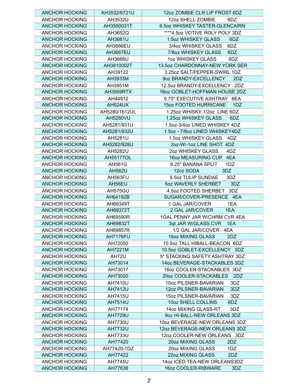| <b>ANCHOR HOCKING</b> | AH3532/6721U     | 12oz ZOMBIE CLR LIP FROST 6DZ       |
|-----------------------|------------------|-------------------------------------|
| <b>ANCHOR HOCKING</b> | AH3532U          | 12oz SHELL ZOMBIE<br>6DZ            |
| <b>ANCHOR HOCKING</b> | AH3550031T       | 6.5oz WHISKEY TASTER-GLENCAIRN      |
| <b>ANCHOR HOCKING</b> | AH3652Q          | ****4.5oz VOTIVE ROLY POLY 3DZ      |
| <b>ANCHOR HOCKING</b> | AH3661U          | 1.5oz WHISKEY GLASS<br>6DZ          |
| <b>ANCHOR HOCKING</b> | AH3666EU         | 3/4oz WHISKEY GLASS<br>6DZ          |
| <b>ANCHOR HOCKING</b> | <b>AH3667EU</b>  | 7/8oz WHISKEY GLASS<br>6DZ          |
| <b>ANCHOR HOCKING</b> | AH3668U          | 1oz WHISKEY GLASS<br>6DZ            |
| <b>ANCHOR HOCKING</b> | AH3810002T       | 13.5oz CHARDONNAY-NEW YORK SER      |
| <b>ANCHOR HOCKING</b> | AH39122          | 3.25oz SALT/PEPPER-SWIRL 1DZ        |
| <b>ANCHOR HOCKING</b> | AH3933M          | 9oz BRANDY-EXCELLENCY<br>2DZ        |
| <b>ANCHOR HOCKING</b> | AH3951M          | 12.5oz BRANDY-EXCELLENCY 2DZ        |
| <b>ANCHOR HOCKING</b> | AH3959RTX        | 16oz GOBLET-HOFFMAN HOUSE 2DZ       |
| <b>ANCHOR HOCKING</b> | AH44912          | 5.75" EXECUTIVE ASHTRAY 6EA         |
| <b>ANCHOR HOCKING</b> | <b>AH524UX</b>   | <b>15oz FOOTED HURRICANE</b><br>1DZ |
| <b>ANCHOR HOCKING</b> | AH5280/1612UL    | 1.25oz WHISKY 1/2oz LINE 6DZ        |
| <b>ANCHOR HOCKING</b> | <b>AH5280VU</b>  | 1.25oz WHISKEY GLASS<br>6DZ         |
| <b>ANCHOR HOCKING</b> | AH5281/931U      | 1.5oz-3/4oz LINED WHISKEY 4DZ       |
| <b>ANCHOR HOCKING</b> | AH5281/932U      | 1.5oz - 7/8oz LINED WHISKEY4DZ      |
| <b>ANCHOR HOCKING</b> | AH5281U          | 1.5oz WHISKEY GLASS<br>4DZ          |
| <b>ANCHOR HOCKING</b> | AH5282/928U      | 2oz-W/-1oz LINE SHOT 4DZ            |
| <b>ANCHOR HOCKING</b> | AH5282U          | 2oz WHISKEY GLASS<br>4DZ            |
| <b>ANCHOR HOCKING</b> | <b>AH55177OL</b> | 16oz MEASURING CUP 4EA              |
| <b>ANCHOR HOCKING</b> | <b>AH561G</b>    | 8.25" BANANA SPLIT<br>1DZ           |
| <b>ANCHOR HOCKING</b> | <b>AH562U</b>    | 12oz SODA<br>3DZ                    |
| <b>ANCHOR HOCKING</b> | AH563FU          | 5.5oz TULIP SUNDAE<br>3DZ           |
| <b>ANCHOR HOCKING</b> | AH56EU           | 5oz WAVERLY SHERBET<br>3DZ          |
| <b>ANCHOR HOCKING</b> | AH575GU          | 4.5oz FOOTED SHERBET 3DZ            |
| <b>ANCHOR HOCKING</b> | AH64192B         | SUGAR/COVER-PRESENCE 4EA            |
| <b>ANCHOR HOCKING</b> | AH69349T         | 1 GAL JAR/COVER<br>1EA              |
| <b>ANCHOR HOCKING</b> | AH69372T         | 1EA<br>2 GAL JAR/COVER              |
| <b>ANCHOR HOCKING</b> | AH69590R         | 1GAL PENNY JAR W/CHRM CVR 4EA       |
| <b>ANCHOR HOCKING</b> | AH69832T         | 3qt JAR W/GLASS CVR<br>1EA          |
| <b>ANCHOR HOCKING</b> | AH69857R         | 1/2 GAL JAR/COVER 4EA               |
| <b>ANCHOR HOCKING</b> | <b>AH7176FU</b>  | 16oz MIXING GLASS<br>2DZ            |
| <b>ANCHOR HOCKING</b> | AH72050          | 10.5oz TALL HIBALL-BEACON 6DZ       |
| <b>ANCHOR HOCKING</b> | AH7221M          | 10.5oz GOBLET-EXCELLENCY 3DZ        |
| <b>ANCHOR HOCKING</b> | AH72U            | 5" STACKING SAFETY ASHTRAY 3DZ      |
| <b>ANCHOR HOCKING</b> | AH73014          | 14oz BEVERAGE-STACKABLES 3DZ        |
| <b>ANCHOR HOCKING</b> | AH73017          | 16oz COOLER-STACKABLES 3DZ          |
| <b>ANCHOR HOCKING</b> | AH73020          | 20oz COOLER-STACKABLES<br>2DZ       |
| <b>ANCHOR HOCKING</b> | AH7410U          | 10oz PILSNER-BAVARIAN<br>3DZ        |
| <b>ANCHOR HOCKING</b> | AH7412U          | 12oz PILSNER-BAVARIAN<br>3DZ        |
| <b>ANCHOR HOCKING</b> | AH7415U          | 15oz PILSNER-BAVARIAN<br>3DZ        |
| <b>ANCHOR HOCKING</b> | AH7514U          | 10oz SHELL COLLINS<br>6DZ           |
| <b>ANCHOR HOCKING</b> | AH77174          | 14oz MIXING GLASS-RT<br>3DZ         |
| <b>ANCHOR HOCKING</b> | <b>AH7729U</b>   | 9oz HI-BALL-NEW ORLEANS 3DZ         |
| <b>ANCHOR HOCKING</b> | AH7730U          | 10oz BEVERAGE-NEW ORLEANS 3DZ       |
| <b>ANCHOR HOCKING</b> | <b>AH7732U</b>   | 12oz BEVERAGE-NEW ORLEANS 3DZ       |
| <b>ANCHOR HOCKING</b> | AH7733U          | 12oz COOLER-NEW ORLEANS 3DZ         |
| <b>ANCHOR HOCKING</b> | AH77420          | 20oz MIXING GLASS<br>2DZ            |
| <b>ANCHOR HOCKING</b> | AH77420-1DZ      | 20oz MIXING GLASS<br>1DZ            |
| <b>ANCHOR HOCKING</b> | AH77422          | 22oz MIXING GLASS<br>2DZ            |
| <b>ANCHOR HOCKING</b> | <b>AH7745U</b>   | 14oz ICED TEA-NEW ORLEANS3DZ        |
| <b>ANCHOR HOCKING</b> | AH77636          | 16oz COOLER-RIBWARE<br>3DZ          |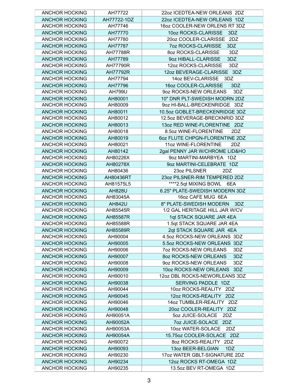| <b>ANCHOR HOCKING</b> | AH77722       | 22oz ICEDTEA-NEW ORLEANS 2DZ        |
|-----------------------|---------------|-------------------------------------|
| <b>ANCHOR HOCKING</b> | AH77722-1DZ   | 22oz ICEDTEA-NEW ORLEANS 1DZ        |
| <b>ANCHOR HOCKING</b> | AH77746       | 16oz COOLER-NEW ORLENS RT 3DZ       |
| <b>ANCHOR HOCKING</b> | AH77770       | 10oz ROCKS-CLARISSE<br>3DZ          |
| <b>ANCHOR HOCKING</b> | AH77780       | 20oz COOLER-CLARISSE 2DZ            |
| <b>ANCHOR HOCKING</b> | AH77787       | <b>7oz ROCKS-CLARISSE</b><br>3DZ    |
| <b>ANCHOR HOCKING</b> | AH77788R      | 3DZ<br>80Z ROCKS-CLARISSE           |
| <b>ANCHOR HOCKING</b> | AH77789       | 9oz HIBALL-CLARISSE<br>3DZ          |
| <b>ANCHOR HOCKING</b> | AH77790R      | 12oz ROCKS-CLARISSE<br>3DZ          |
| <b>ANCHOR HOCKING</b> | AH77792R      | 12oz BEVERAGE-CLARISSE 3DZ          |
| <b>ANCHOR HOCKING</b> | AH77794       | 14oz BEV-CLARISSE 3DZ               |
| <b>ANCHOR HOCKING</b> | AH77796       | 16oz COOLER-CLARISSE<br>3DZ         |
| <b>ANCHOR HOCKING</b> | <b>AH799U</b> | 9oz ROCKS-NEW ORLEANS<br>3DZ        |
| <b>ANCHOR HOCKING</b> | AH80001       | 10" DNR PLT-SWEDISH MODRN 2DZ       |
| <b>ANCHOR HOCKING</b> | AH80009       | 9oz HI-BALL-BRECKENRIDGE 3DZ        |
| <b>ANCHOR HOCKING</b> | AH80011       | 10.5oz GOBLET-BRECKENRIDGE 3DZ      |
| <b>ANCHOR HOCKING</b> | AH80012       | 12.5oz BEVERAGE-BRECKNRID 3DZ       |
|                       |               |                                     |
| <b>ANCHOR HOCKING</b> | AH80013       | 13oz RED WINE-FLORENTINE 2DZ        |
| <b>ANCHOR HOCKING</b> | AH80018       | 8.5oz WINE-FLORENTINE<br>2DZ        |
| <b>ANCHOR HOCKING</b> | AH80019       | 602 FLUTE CHPGN-FLORENTINE 2DZ      |
| <b>ANCHOR HOCKING</b> | AH80021       | 11oz WINE-FLORENTINE<br>2DZ         |
| <b>ANCHOR HOCKING</b> | AH80142       | 2gal PENNY JAR W/CHROME LID&HO      |
| <b>ANCHOR HOCKING</b> | AH80226X      | 9oz MARTINI-MARBYEA 1DZ             |
| <b>ANCHOR HOCKING</b> | AH80278X      | 9oz MARTINI-CELEBRATE 1DZ           |
| <b>ANCHOR HOCKING</b> | AH80436       | 23oz PILSNER<br>2DZ                 |
| <b>ANCHOR HOCKING</b> | AH80436RT     | 23oz PILSNER-RIM TEMPERED 2DZ       |
| <b>ANCHOR HOCKING</b> | AH81575L5     | ****2.5qt MIXING BOWL 6EA           |
| <b>ANCHOR HOCKING</b> | <b>AH828U</b> | 6.25" PLATE-SWEDISH MODERN 3DZ      |
| <b>ANCHOR HOCKING</b> | AH83045A      | 16oz CAFE MUG 6EA                   |
| <b>ANCHOR HOCKING</b> | <b>AH842U</b> | 8" PLATE-SWEDISH MODERN<br>3DZ      |
| <b>ANCHOR HOCKING</b> | AH85545R      | 1/2 GAL HERITAGE HILL JAR W/CV      |
| <b>ANCHOR HOCKING</b> | AH85587R      | 1qt STACK SQUARE JAR 4EA            |
| <b>ANCHOR HOCKING</b> | AH85588R      | 1.5qt STACK SQUARE JAR 4EA          |
| <b>ANCHOR HOCKING</b> | AH85589R      | 2qt STACK SQUARE JAR 4EA            |
| <b>ANCHOR HOCKING</b> | AH90004       | 4.5oz ROCKS-NEW ORLEANS 3DZ         |
| <b>ANCHOR HOCKING</b> | AH90005       | 5.5oz ROCKS-NEW ORLEANS 3DZ         |
| <b>ANCHOR HOCKING</b> | AH90006       | <b>70Z ROCKS-NEW ORLEANS</b><br>3DZ |
| <b>ANCHOR HOCKING</b> | AH90007       | 8oz ROCKS-NEW ORLEANS<br>3DZ        |
| <b>ANCHOR HOCKING</b> | AH90008       | 90Z ROCKS-NEW ORLEANS<br>3DZ        |
| <b>ANCHOR HOCKING</b> | AH90009       | 10oz ROCKS-NEW ORLEANS<br>3DZ       |
| <b>ANCHOR HOCKING</b> | AH90010       | 12oz DBL ROCKS-NEWORLEANS 3DZ       |
| <b>ANCHOR HOCKING</b> | AH90038       | SERVING PADDLE 1DZ                  |
| <b>ANCHOR HOCKING</b> | AH90044       | 10oz ROCKS-REALITY 2DZ              |
| <b>ANCHOR HOCKING</b> | AH90045       | 12oz ROCKS-REALITY 2DZ              |
| <b>ANCHOR HOCKING</b> | AH90046       | 14oz TUMBLER-REALITY 2DZ            |
| <b>ANCHOR HOCKING</b> | AH90048       | 20oz COOLER-REALITY 2DZ             |
| <b>ANCHOR HOCKING</b> | AH90051A      | 5oz JUICE-SOLACE<br>2DZ             |
| <b>ANCHOR HOCKING</b> | AH90052A      | <b>7oz JUICE-SOLACE</b><br>2DZ      |
| <b>ANCHOR HOCKING</b> | AH90053A      | 10oz WATER-SOLACE<br>2DZ            |
| <b>ANCHOR HOCKING</b> | AH90054A      | 15.75oz COOLER-SOLACE 2DZ           |
| <b>ANCHOR HOCKING</b> | AH90072       | 80Z ROCKS-REALITY 2DZ               |
| <b>ANCHOR HOCKING</b> |               |                                     |
|                       | AH90093       | 13oz BEER-BELGIAN<br>1DZ            |
| <b>ANCHOR HOCKING</b> | AH90230       | 17oz WATER GBLT-SIGNATURE 2DZ       |
| <b>ANCHOR HOCKING</b> | AH90234       | 12oz ROCKS RT-OMEGA 1DZ             |
| <b>ANCHOR HOCKING</b> | AH90235       | 13.5oz BEV RT-OMEGA 1DZ             |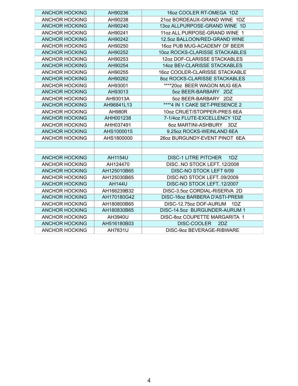| <b>ANCHOR HOCKING</b> | AH90236        | 16oz COOLER RT-OMEGA 1DZ           |
|-----------------------|----------------|------------------------------------|
| <b>ANCHOR HOCKING</b> | AH90238        | 21oz BORDEAUX-GRAND WINE 1DZ       |
| <b>ANCHOR HOCKING</b> | AH90240        | 13oz ALLPURPOSE-GRAND WINE 1D      |
| <b>ANCHOR HOCKING</b> | AH90241        | 11 oz ALL PURPOSE-GRAND WINE 1     |
| <b>ANCHOR HOCKING</b> | AH90242        | 12.5oz BALLOON/RED-GRAND WINE      |
| <b>ANCHOR HOCKING</b> | AH90250        | 16oz PUB MUG-ACADEMY OF BEER       |
| <b>ANCHOR HOCKING</b> | AH90252        | 10oz ROCKS-CLARISSE STACKABLES     |
| <b>ANCHOR HOCKING</b> | AH90253        | 12oz DOF-CLARISSE STACKABLES       |
| <b>ANCHOR HOCKING</b> | AH90254        | 14oz BEV-CLARISSE STACKABLES       |
| <b>ANCHOR HOCKING</b> | AH90255        | 16oz COOLER-CLARISSE STACKABLE     |
| <b>ANCHOR HOCKING</b> | AH90262        | 80Z ROCKS-CLARISSE STACKABLES      |
| <b>ANCHOR HOCKING</b> | AH93001        | ****20oz BEER WAGON MUG 6EA        |
| <b>ANCHOR HOCKING</b> | AH93013        | 5oz BEER-BARBARY 2DZ               |
| <b>ANCHOR HOCKING</b> | AH93013A       | 5oz BEER-BARBARY 2DZ               |
| <b>ANCHOR HOCKING</b> | AH96841L13     | ****4 IN 1 CAKE SET-PRESENCE 2     |
| <b>ANCHOR HOCKING</b> | <b>AH980R</b>  | 10oz CRUET/STOPPER-PRES 6EA        |
| <b>ANCHOR HOCKING</b> | AHH001238      | 7-1/4oz FLUTE-EXCELLENCY 1DZ       |
| <b>ANCHOR HOCKING</b> | AHH037491      | 6oz MARTINI-ASHBURY<br>3DZ         |
| <b>ANCHOR HOCKING</b> | AHS1000015     | 9.25oz ROCKS-WEINLAND 6EA          |
| <b>ANCHOR HOCKING</b> | AHS1800000     | 26oz BURGUNDY-EVENT PINOT 6EA      |
|                       |                |                                    |
|                       |                |                                    |
| <b>ANCHOR HOCKING</b> | <b>AH1154U</b> | <b>DISC-1 LITRE PITCHER</b><br>1DZ |
| <b>ANCHOR HOCKING</b> | AH124470       | DISCNO STOCK LEFT12/2008           |
| <b>ANCHOR HOCKING</b> | AH125010B65    | DISC-NO STOCK LEFT 6/09            |
| <b>ANCHOR HOCKING</b> | AH125030B65    | DISC-NO STOCK LEFT09/2009          |
| <b>ANCHOR HOCKING</b> | <b>AH144U</b>  | DISC-NO STOCK LEFT12/2007          |
| <b>ANCHOR HOCKING</b> | AH166239B32    | DISC-3.5oz CORDIAL-RISERVA 2D      |
| <b>ANCHOR HOCKING</b> | AH170180G42    | DISC-16oz BARBERA D'ASTI-PREMI     |
| <b>ANCHOR HOCKING</b> | AH180800B65    | DISC-12.75oz DOF-AURUM<br>1DZ      |
| <b>ANCHOR HOCKING</b> | AH180830B65    | DISC-14.5oz BURGUNDER-AURUM 1      |
| <b>ANCHOR HOCKING</b> | AH3940U        | DISC-8oz COUPETTE MARGARITA 1      |
| <b>ANCHOR HOCKING</b> | AH516180B03    | DISC-COOLER<br>2DZ                 |
| <b>ANCHOR HOCKING</b> | AH7631U        | DISC-9oz BEVERAGE-RIBWARE          |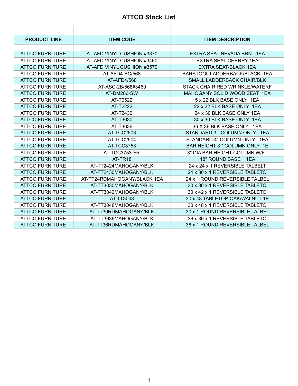#### **ATTCO Stock List**

| <b>PRODUCT LINE</b>    | <b>ITEM CODE</b>            | <b>ITEM DESCRIPTION</b>        |
|------------------------|-----------------------------|--------------------------------|
|                        |                             |                                |
| <b>ATTCO FURNITURE</b> | AT-AFD VINYL CUSHION #3370  | EXTRA SEAT-NEVADA BRN 1EA      |
| <b>ATTCO FURNITURE</b> | AT-AFD VINYL CUSHION #3460  | EXTRA SEAT-CHERRY 1EA          |
| <b>ATTCO FURNITURE</b> | AT-AFD VINYL CUSHION #3570  | <b>EXTRA SEAT-BLACK 1EA</b>    |
| <b>ATTCO FURNITURE</b> | AT-AFD4-BC/568              | BARSTOOL LADDERBACK/BLACK 1EA  |
| <b>ATTCO FURNITURE</b> | AT-AFD4/568                 | SMALL LADDERBACK CHAIR/BLK     |
| <b>ATTCO FURNITURE</b> | AT-ASC-2B/568#3460          | STACK CHAIR RED WRINKLE/WATERE |
| <b>ATTCO FURNITURE</b> | AT-DM286-SW                 | MAHOGANY SOLID WOOD SEAT 1EA   |
| <b>ATTCO FURNITURE</b> | AT-T0522                    | 5 x 22 BLK BASE ONLY 1FA       |
| <b>ATTCO FURNITURE</b> | AT-T2222                    | 22 x 22 BLK BASE ONLY 1EA      |
| <b>ATTCO FURNITURE</b> | AT-T2430                    | 24 x 30 BLK BASE ONLY 1EA      |
| <b>ATTCO FURNITURE</b> | AT-T3030                    | 30 x 30 BLK BASE ONLY 1EA      |
| <b>ATTCO FURNITURE</b> | AT-T3636                    | 36 X 36 BLK BASE ONLY 1EA      |
| <b>ATTCO FURNITURE</b> | AT-TCC2503                  | STANDARD 3 " COLUMN ONLY 1EA   |
| <b>ATTCO FURNITURE</b> | AT-TCC2504                  | STANDARD 4" COLUMN ONLY 1EA    |
| <b>ATTCO FURNITURE</b> | AT-TCC3753                  | BAR HEIGHT 3 " COLUMN ONLY 1E  |
| <b>ATTCO FURNITURE</b> | AT-TCC3753-FR               | 3" DIA BAR HEIGHT COLUMN W/FT  |
| <b>ATTCO FURNITURE</b> | AT-TR <sub>18</sub>         | 18" ROUND BASE 1EA             |
| <b>ATTCO FURNITURE</b> | AT-TT2424MAHOGANY/BLK       | 24 x 24 x 1 REVERSIBLE TALBELT |
| <b>ATTCO FURNITURE</b> | AT-TT2430MAHOGANY/BLK       | 24 x 30 x 1 REVERSIBLE TABLETO |
| <b>ATTCO FURNITURE</b> | AT-TT24RDMAHOGANY/BLACK 1EA | 24 x 1 ROUND REVERSIBLE TALBEL |
| <b>ATTCO FURNITURE</b> | AT-TT3030MAHOGANY/BLK       | 30 x 30 x 1 REVERSIBLE TABLETO |
| <b>ATTCO FURNITURE</b> | AT-TT3042MAHOGANY/BLK       | 30 x 42 x 1 REVERSIBLE TABLETO |
| <b>ATTCO FURNITURE</b> | AT-TT3048                   | 30 x 48 TABLETOP-OAK/WALNUT 1E |
| <b>ATTCO FURNITURE</b> | AT-TT3048MAHOGANY/BLK       | 30 x 48 x 1 REVERSIBLE TABLETO |
| <b>ATTCO FURNITURE</b> | AT-TT30RDMAHOGANY/BLK       | 30 x 1 ROUND REVERSIBLE TALBEL |
| <b>ATTCO FURNITURE</b> | AT-TT3636MAHOGANY/BLK       | 36 x 36 x 1 REVERSIBLE TABLETO |
| <b>ATTCO FURNITURE</b> | AT-TT36RDMAHOGANY/BLK       | 36 x 1 ROUND REVERSIBLE TALBEL |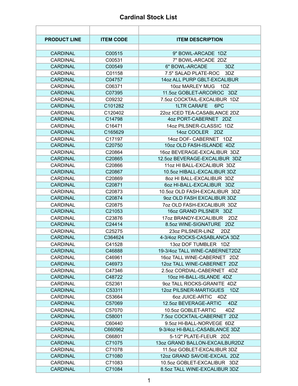#### **Cardinal Stock List**

| <b>PRODUCT LINE</b> | <b>ITEM CODE</b>   | <b>ITEM DESCRIPTION</b>              |
|---------------------|--------------------|--------------------------------------|
|                     |                    |                                      |
| <b>CARDINAL</b>     | C00515             | 9" BOWL-ARCADE 1DZ                   |
| <b>CARDINAL</b>     | C00531             | 7" BOWL-ARCADE 2DZ                   |
| <b>CARDINAL</b>     | C00549             | 6" BOWL-ARCADE<br>3DZ                |
| <b>CARDINAL</b>     | C01158             | 7.5" SALAD PLATE-ROC<br>3DZ          |
| <b>CARDINAL</b>     | C04757             | 14oz ALL PURP GBLT-EXCALIBUR         |
| <b>CARDINAL</b>     | C06371             | 10oz MARLEY MUG<br>1DZ               |
| <b>CARDINAL</b>     | C07395             | 11.5oz GOBLET-ARCOROC 3DZ            |
| <b>CARDINAL</b>     | C09232             | 7.5oz COCKTAIL-EXCALIBUR 1DZ         |
| <b>CARDINAL</b>     | C101282            | 1LTR CARAFE 6PC                      |
| <b>CARDINAL</b>     | C120402            | 22oz ICED TEA-CASABLANCE 2DZ         |
| <b>CARDINAL</b>     | C14798             | 4oz PORT-CABERNET 2DZ                |
| <b>CARDINAL</b>     | C16471             | 14oz PILSNER-CLASSIC 1DZ             |
| <b>CARDINAL</b>     | C165629            | 14oz COOLER 2DZ                      |
| <b>CARDINAL</b>     | C17197             | 14oz DOF- CABERNET 1DZ               |
| <b>CARDINAL</b>     | C20750             | 10oz OLD FASH-ISLANDE 4DZ            |
| <b>CARDINAL</b>     | C20864             | 16oz BEVERAGE-EXCALIBUR 3DZ          |
| <b>CARDINAL</b>     | C20865             | 12.5oz BEVERAGE-EXCALIBUR 3DZ        |
| <b>CARDINAL</b>     | C <sub>20866</sub> | 11oz HI BALL-EXCALIBUR 3DZ           |
| <b>CARDINAL</b>     | C20867             | 10.5oz HIBALL-EXCALIBUR 3DZ          |
| <b>CARDINAL</b>     | C <sub>20869</sub> | 80Z HI BALL-EXCALIBUR 3DZ            |
| <b>CARDINAL</b>     | C20871             | 6oz HI-BALL-EXCALIBUR 3DZ            |
| <b>CARDINAL</b>     | C20873             | 10.5oz OLD FASH-EXCALIBUR 3DZ        |
| <b>CARDINAL</b>     | C20874             | 9oz OLD FASH EXCALIBUR 3DZ           |
| <b>CARDINAL</b>     | C20875             | 7oz OLD FASH-EXCALIBUR 3DZ           |
| <b>CARDINAL</b>     | C21053             | 16oz GRAND PILSNER 3DZ               |
| CARDINAL            | C23876             | 17oz BRANDY-EXCALIBUR 2DZ            |
| <b>CARDINAL</b>     | C24414             | 8.5oz WINE-SIGNATURE 2DZ             |
| <b>CARDINAL</b>     | C25275             | 23oz PILSNER-LINZ<br>2DZ             |
| <b>CARDINAL</b>     | C364624            | 4-3/4oz ROCKS-CASABLANCA 3DZ         |
| <b>CARDINAL</b>     | C41528             | 13oz DOF TUMBLER 1DZ                 |
| <b>CARDINAL</b>     | C46888             | 19-3/4oz TALL WINE-CABERNET2DZ       |
| CARDINAL            | C46961             | 16oz TALL WINE-CABERNET 2DZ          |
| <b>CARDINAL</b>     | C46973             | 12oz TALL WINE-CABERNET 2DZ          |
| <b>CARDINAL</b>     | C47346             | 2.5oz CORDIAL-CABERNET 4DZ           |
| <b>CARDINAL</b>     | C48722             | 10oz HI-BALL-ISLANDE 4DZ             |
| <b>CARDINAL</b>     | C52361             | 9oz TALL ROCKS-GRANITE 4DZ           |
| <b>CARDINAL</b>     | C53311             | <b>12oz PILSNER-MARTIGUES</b><br>1DZ |
| <b>CARDINAL</b>     | C53664             | <b>60Z JUICE-ARTIC</b><br>4DZ        |
| <b>CARDINAL</b>     | C57069             | 12.5oz BEVERAGE-ARTIC<br>4DZ         |
| CARDINAL            | C57070             | 10.5oz GOBLET-ARTIC<br>4DZ           |
| <b>CARDINAL</b>     | C58001             | 7.5oz COCKTAIL-CABERNET 2DZ          |
| <b>CARDINAL</b>     | C60440             | 9.5oz HI-BALL-NORVEGE 6DZ            |
| <b>CARDINAL</b>     | C660962            | 9-3/4oz HI-BALL-CASABLANCE 3DZ       |
| <b>CARDINAL</b>     | C66801             | 5-1/2" PLATE-FLEUR 2DZ               |
| <b>CARDINAL</b>     | C71075             | 13oz GRAND BALLON-EXCAILBUR2DZ       |
| <b>CARDINAL</b>     | C71078             | 11.5oz GOBLET-EXCALIBUR 3DZ          |
| <b>CARDINAL</b>     | C71080             | 12oz GRAND SAVOIE-EXCAIL 2DZ         |
| <b>CARDINAL</b>     | C71083             | 10.5oz GOBLET-EXCALIBUR 3DZ          |
| <b>CARDINAL</b>     | C71084             | 8.5oz TALL WINE-EXCALIBUR 3DZ        |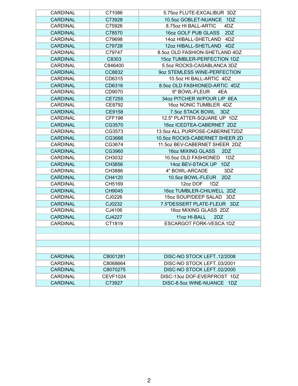| <b>CARDINAL</b> | C71086          | 5.75 oz FLUTE-EXCALIBUR 3DZ    |
|-----------------|-----------------|--------------------------------|
| <b>CARDINAL</b> | C73928          | 10.5oz GOBLET-NUANCE 1DZ       |
| <b>CARDINAL</b> | C75926          | 8.75 oz HI BALL-ARTIC<br>4DZ   |
| <b>CARDINAL</b> | C78570          | 16oz GOLF PUB GLASS<br>2DZ     |
| <b>CARDINAL</b> | C79698          | 14oz HIBALL-SHETLAND 4DZ       |
| <b>CARDINAL</b> | C79728          | 12oz HIBALL-SHETLAND 4DZ       |
| <b>CARDINAL</b> | C79747          | 8.5oz OLD FASHION-SHETLAND 4DZ |
| <b>CARDINAL</b> | C8303           | 15oz TUMBLER-PERFECTION 1DZ    |
| <b>CARDINAL</b> | C846400         | 5.5oz ROCKS-CASABLANCA 3DZ     |
| <b>CARDINAL</b> | CC8832          | 9oz STEMLESS WINE-PERFECTION   |
| <b>CARDINAL</b> | CD6315          | 10.5oz HI BALL-ARTIC 4DZ       |
| <b>CARDINAL</b> | CD6316          | 8.5oz OLD FASHIONED-ARTIC 4DZ  |
| <b>CARDINAL</b> | CD9070          | 9" BOWL-FLEUR<br>4EA           |
| <b>CARDINAL</b> | <b>CE7255</b>   | 34oz PITCHER W/POUR LIP 6EA    |
| <b>CARDINAL</b> | CE8792          | 16oz NONIC TUMBLER 4DZ         |
| <b>CARDINAL</b> | <b>CE9158</b>   | 7.5oz STACK BOWL 3DZ           |
| <b>CARDINAL</b> | <b>CFF196</b>   | 12.5" PLATTER-SQUARE UP 1DZ    |
| <b>CARDINAL</b> | CG3570          | 16oz ICEDTEA-CABERNET 2DZ      |
| <b>CARDINAL</b> | CG3573          | 13.5oz ALL PURPOSE-CABERNET2DZ |
| <b>CARDINAL</b> | CG3666          | 10.5oz ROCKS-CABERNET SHEER 2D |
| <b>CARDINAL</b> | CG3674          | 11.5oz BEV-CABERNET SHEER 2DZ  |
| <b>CARDINAL</b> | CG3960          | 16oz MIXING GLASS<br>2DZ       |
| <b>CARDINAL</b> | CH3032          | 10.5oz OLD FASHIONED 1DZ       |
| <b>CARDINAL</b> | CH3856          | 14oz BEV-STACK UP 1DZ          |
| <b>CARDINAL</b> | CH3886          | 4" BOWL-ARCADE<br>3DZ          |
| <b>CARDINAL</b> | CH4120          | 10.5oz BOWL-FLEUR<br>2DZ       |
| <b>CARDINAL</b> | CH5169          | 12oz DOF<br>1DZ                |
| <b>CARDINAL</b> | CH9045          | 16oz TUMBLER-CHILWELL 2DZ      |
| <b>CARDINAL</b> | CJ0226          | 15oz SOUP/DEEP SALAD 3DZ       |
| <b>CARDINAL</b> | CJ0232          | 7.5"DESSERT PLATE-FLEUR 3DZ    |
| <b>CARDINAL</b> | CJ4106          | 16oz MIXING GLASS 2DZ          |
| <b>CARDINAL</b> | CJ4227          | 11oz HI-BALL<br>2DZ            |
| <b>CARDINAL</b> | CT1819          | ESCARGOT FORK-VESCA 1DZ        |
|                 |                 |                                |
|                 |                 |                                |
|                 |                 |                                |
|                 |                 |                                |
| <b>CARDINAL</b> | C8001281        | DISC-NO STOCK LEFT12/2008      |
| <b>CARDINAL</b> | C8068664        | DISC-NO STOCK LEFT03/2001      |
| <b>CARDINAL</b> | C8070275        | DISC-NO STOCK LEFT02/2000      |
| <b>CARDINAL</b> | <b>CEVF1024</b> | DISC-13oz DOF-EVERFROST 1DZ    |
| <b>CARDINAL</b> | C73927          | DISC-8.5oz WINE-NUANCE 1DZ     |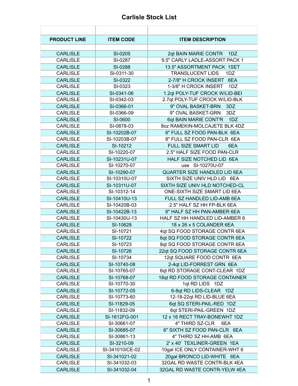#### **Carlisle Stock List** Ŷ.

| <b>PRODUCT LINE</b> | <b>ITEM CODE</b> | <b>ITEM DESCRIPTION</b>             |
|---------------------|------------------|-------------------------------------|
|                     |                  |                                     |
| <b>CARLISLE</b>     | SI-0205          | 2qt BAIN MARIE CONTR<br>1DZ         |
| <b>CARLISLE</b>     | SI-0287          | 9.5" CARLY LADLE-ASSORT PACK 1      |
| <b>CARLISLE</b>     | SI-0288          | 13.5" ASSORTMENT PACK 1SET          |
| <b>CARLISLE</b>     | SI-0311-30       | <b>TRANSLUCENT LIDS</b><br>1DZ      |
| <b>CARLISLE</b>     | SI-0322          | 2-7/8" H CROCK INSERT 6EA           |
| <b>CARLISLE</b>     | SI-0323          | 1-3/8" H CROCK INSERT<br>1DZ        |
| <b>CARLISLE</b>     | SI-0341-06       | 1.2qt POLY-TUF CROCK W/LID-BEI      |
| <b>CARLISLE</b>     | SI-0342-03       | 2.7qt POLY-TUF CROCK W/LID-BLK      |
| <b>CARLISLE</b>     | SI-0366-01       | 9" OVAL BASKET-BRN<br>3DZ           |
| <b>CARLISLE</b>     | SI-0366-09       | 9" OVAL BASKET-GRN<br>3DZ           |
| <b>CARLISLE</b>     | SI-0600          | 6qt BAIN MARIE CONT'R<br>1DZ        |
| <b>CARLISLE</b>     | SI-0878-03       | 8oz RAMEKIN-MOLCAJETE BLK 4DZ       |
| <b>CARLISLE</b>     | SI-10202B-07     | 6" FULL SZ FOOD PAN-BLK 6EA         |
| <b>CARLISLE</b>     | SI-10203B-07     | 8" FULL SZ FOOD PAN-CLR 6EA         |
| <b>CARLISLE</b>     | SI-10212         | <b>FULL SIZE SMART LID</b><br>6EA   |
| <b>CARLISLE</b>     | SI-10220-07      | 2.5" HALF SIZE FOOD PAN-CLR         |
| <b>CARLISLE</b>     | SI-10231U-07     | HALF SIZE NOTCHED LID 6EA           |
| <b>CARLISLE</b>     | SI-10270-07      | use SI-10270U-07                    |
| <b>CARLISLE</b>     | SI-10290-07      | <b>QUARTER SIZE HANDLED LID 6EA</b> |
| <b>CARLISLE</b>     | SI-10310U-07     | SIXTH SIZE UNIV HLD LID 6EA         |
| <b>CARLISLE</b>     | SI-10311U-07     | SIXTH SIZE UNIV HLD NOTCHED-CL      |
| <b>CARLISLE</b>     | SI-10312-14      | ONE-SIXTH SIZE SMART LID 6EA        |
| <b>CARLISLE</b>     | SI-10410U-13     | FULL SZ HANDLED LID-AMB 6EA         |
| <b>CARLISLE</b>     | SI-10420B-03     | 2.5" HALF SZ HH FP-BLK 6EA          |
| <b>CARLISLE</b>     | SI-10422B-13     | 6" HALF SZ HH PAN-AMBER 6EA         |
| <b>CARLISLE</b>     | SI-10430U-13     | HALF SZ HH HANDLED LID-AMBER 6      |
| <b>CARLISLE</b>     | SI-10628         | 18 x 26 x 5 COLANDER 6EA            |
| <b>CARLISLE</b>     | SI-10721         | 4qt SQ FOOD STORAGE CONTR 6EA       |
| <b>CARLISLE</b>     | SI-10722         | 6qt SQ FOOD STORAGE CONTR 6EA       |
| <b>CARLISLE</b>     | SI-10723         | 8qt SQ FOOD STORAGE CONTR 6EA       |
| <b>CARLISLE</b>     | SI-10726         | 22qt SQ FOOD STORAGE CONTR 6EA      |
| <b>CARLISLE</b>     | SI-10734         | 12qt SQUARE FOOD CONTR 6EA          |
| <b>CARLISLE</b>     | SI-10740-08      | 2-4qt LID-FORREST GRN 6EA           |
| <b>CARLISLE</b>     | SI-10765-07      | 6qt RD STORAGE CONT-CLEAR 1DZ       |
| <b>CARLISLE</b>     | SI-10768-07      | 18qt RD FOOD STORAGE CONTAINER      |
| <b>CARLISLE</b>     | SI-10770-30      | 1qt RD LIDS 1DZ                     |
| <b>CARLISLE</b>     | SI-10772-05      | 6-8qt RD LIDS-CLEAR 1DZ             |
| <b>CARLISLE</b>     | SI-10773-60      | 12-18-22qt RD LID-BLUE 6EA          |
| <b>CARLISLE</b>     | SI-11829-05      | 6qt SQ STERI-PAIL-RED 1DZ           |
| <b>CARLISLE</b>     | SI-11832-09      | 6qt STERI-PAIL-GREEN 1DZ            |
| <b>CARLISLE</b>     | SI-1612FG-001    | 12 x 16 RECT TRAY-BONEWHT 1DZ       |
| <b>CARLISLE</b>     | SI-30661-07      | 4" THIRD SZ-CLR<br>6EA              |
| <b>CARLISLE</b>     | SI-30685-07      | 6" SIXTH SZ FOOD PAN-CLR 6EA        |
| <b>CARLISLE</b>     | SI-30861-13      | 4" THIRD SZ HH-AMB 6EA              |
| <b>CARLISLE</b>     | SI-3210-09       | 2' x 40' TEXLINER-GREEN 1EA         |
| <b>CARLISLE</b>     | SI-341010ICE-02  | 10gal ICE ONLY CONTAINER-WHT 6      |
| <b>CARLISLE</b>     | SI-341021-02     | 20gal BRONCO LID-WHITE 6EA          |
| <b>CARLISLE</b>     | SI-341032-03     | 32GAL RD WASTE CONTR-BLK 4EA        |
| <b>CARLISLE</b>     | SI-341032-04     | 32GAL RD WASTE CONTR-YELW 4EA       |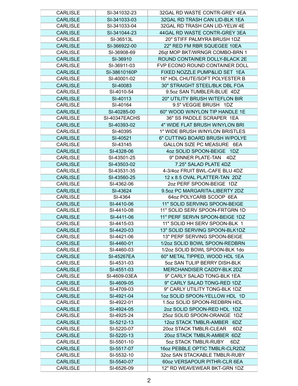| <b>CARLISLE</b> | SI-341032-23  | 32GAL RD WASTE CONTR-GREY 4EA  |
|-----------------|---------------|--------------------------------|
| <b>CARLISLE</b> | SI-341033-03  | 32GAL RD TRASH CAN LID-BLK 1EA |
| <b>CARLISLE</b> | SI-341033-04  | 32GAL RD TRASH CAN LID-YELW 4E |
| <b>CARLISLE</b> | SI-341044-23  | 44GAL RD WASTE CONTR-GREY 3EA  |
| <b>CARLISLE</b> | SI-36513L     | 20" STIFF PALMYRA BRUSH 1DZ    |
| <b>CARLISLE</b> | SI-366922-00  | 22" RED FM RBR SQUEGEE 10EA    |
| <b>CARLISLE</b> | SI-36908-69   | 26qt MOP BKT/WRNGR COMBO-BRN 1 |
| <b>CARLISLE</b> | SI-36910      | ROUND CONTAINER DOLLY-BLACK 2E |
| <b>CARLISLE</b> | SI-36911-03   | FVP ECONO ROUND CONTAINER DOLL |
| <b>CARLISLE</b> | SI-38610160P  | FIXED NOZZLE PUMP&LID SET 1EA  |
| <b>CARLISLE</b> | SI-40001-02   | 16" HDL CHUTE/SOFT POLYESTER B |
| <b>CARLISLE</b> | SI-40083      | 30" STRAIGHT STEEL/BLK DBL FOA |
| <b>CARLISLE</b> | SI-4010-54    | 9.5oz SAN TUMBLER-BLUE 4DZ     |
| <b>CARLISLE</b> | SI-40113      | 20" UTILITY BRUSH W/TEFLON BIR |
| <b>CARLISLE</b> | SI-40164      | 9.5" VEGGIE BRUSH 1DZ          |
| <b>CARLISLE</b> | SI-40285-00   | 60" WOOD W/NYLON TIP HANDLE 1E |
| <b>CARLISLE</b> | SI-40347EACHS | 36" SS PADDLE SCRAPER 1EA      |
| <b>CARLISLE</b> | SI-40393-02   | 4" WIDE FLAT BRUSH W/NYLON BRI |
| <b>CARLISLE</b> | SI-40395      | 1" WIDE BRUSH W/NYLON BRISTLES |
| <b>CARLISLE</b> | SI-40521      | 6" CUTTING BOARD BRUSH W/POLYE |
| <b>CARLISLE</b> |               | GALLON SIZE PC MEASURE 6EA     |
|                 | SI-43145      |                                |
| <b>CARLISLE</b> | SI-4328-06    | 4oz SOLID SPOON-BEIGE 1DZ      |
| <b>CARLISLE</b> | SI-43501-25   | 9" DINNER PLATE-TAN<br>4DZ     |
| <b>CARLISLE</b> | SI-43503-02   | 7.25" SALAD PLATE 4DZ          |
| <b>CARLISLE</b> | SI-43531-35   | 4-3/4oz FRUIT BWL-CAFE BLU 4DZ |
| <b>CARLISLE</b> | SI-43560-25   | 12 x 8.5 OVAL PLATTER-TAN 2DZ  |
| <b>CARLISLE</b> | SI-4362-06    | 2oz PERF SPOON-BEIGE 1DZ       |
| <b>CARLISLE</b> | SI-43624      | 9.5oz PC MARGARITA-LIBERTY 2DZ |
| <b>CARLISLE</b> | SI-4364       | 64oz POLYCARB SCOOP 6EA        |
| <b>CARLISLE</b> | SI-4410-06    | 11" SOLID SERVING SPOON-BEIGE  |
| <b>CARLISLE</b> | SI-4410-08    | 11" SOLID SERV SPOON-FRTGRN 1D |
| <b>CARLISLE</b> | SI-4411-06    | 11" PERF SERVN SPOON-BEIGE 1DZ |
| <b>CARLISLE</b> | SI-4415-03    | 11" SOLID HH SERV SPOON-BLK 1  |
| <b>CARLISLE</b> | SI-4420-03    | 13" SOLID SERVING SPOON-BLK1DZ |
| <b>CARLISLE</b> | SI-4421-06    | 13" PERF SERVING SPOON-BEIGE   |
| <b>CARLISLE</b> | SI-4460-01    | 1/2oz SOLID BOWL SPOON-REDBRN  |
| <b>CARLISLE</b> | SI-4460-03    | 1/2oz SOLID BOWL SPOON-BLK 1do |
| <b>CARLISLE</b> | SI-45267EA    | 60" METAL TIPPED, WOOD HDL 1EA |
| <b>CARLISLE</b> | SI-4531-03    | 5oz SAN TULIP BERRY DISH-BLK   |
| <b>CARLISLE</b> | SI-4551-03    | MERCHANDISER CADDY-BLK 2DZ     |
| <b>CARLISLE</b> | SI-4609-03EA  | 9" CARLY SALAD TONG-BLK 1EA    |
| <b>CARLISLE</b> | SI-4609-05    | 9" CARLY SALAD TONG-RED 1DZ    |
| CARLISLE        | SI-4709-03    | 9" CARLY UTILITY TONG-BLK 1DZ  |
| <b>CARLISLE</b> | SI-4921-04    | 1oz SOLID SPOON-YELLOW HDL 1D  |
| <b>CARLISLE</b> | SI-4922-01    | 1.5oz SOLID SPOON-REDBRN HDL   |
| <b>CARLISLE</b> | SI-4924-05    | 2oz SOLID SPOON-RED HDL 1DZ    |
| <b>CARLISLE</b> | SI-4925-24    | 25oz SOLID SPOON-ORANGE 1DZ    |
| <b>CARLISLE</b> | SI-5212-13    | 12oz STACK TMBLR-AMBER 6DZ     |
| <b>CARLISLE</b> | SI-5220-07    | 20oz STACK TMBLR-CLEAR<br>6DZ  |
| <b>CARLISLE</b> | SI-5220-13    | 20oz STACK TMBLR-AMBER 6DZ     |
| <b>CARLISLE</b> | SI-5501-10    | 5oz STACK TMBLR-RUBY<br>6DZ    |
| <b>CARLISLE</b> | SI-5517-07    | 16oz PEBBLE OPTIC TMBLR-CLR2DZ |
| <b>CARLISLE</b> | SI-5532-10    | 32oz SAN STACKABLE TMBLR-RUBY  |
| <b>CARLISLE</b> | SI-5540-07    | 60oz VERSAPOUR PITHR-CLR 6EA   |
| <b>CARLISLE</b> | SI-6526-09    | 12" RD WEAVEWEAR BKT-GRN 1DZ   |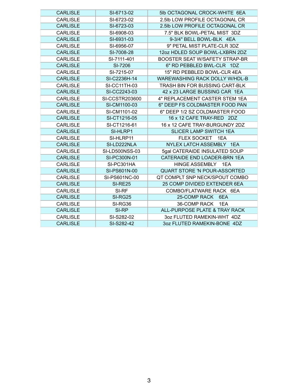| <b>CARLISLE</b> | SI-6713-02            | 5lb OCTAGONAL CROCK-WHITE 6EA         |
|-----------------|-----------------------|---------------------------------------|
| <b>CARLISLE</b> | SI-6723-02            | 2.5lb LOW PROFILE OCTAGONAL CR        |
| <b>CARLISLE</b> | SI-6723-03            | 2.5lb LOW PROFILE OCTAGONAL CR        |
| <b>CARLISLE</b> | SI-6908-03            | 7.5" BLK BOWL-PETAL MIST 3DZ          |
| <b>CARLISLE</b> | SI-6931-03            | 9-3/4" BELL BOWL-BLK 4EA              |
| <b>CARLISLE</b> | SI-6956-07            | 9" PETAL MIST PLATE-CLR 3DZ           |
| <b>CARLISLE</b> | SI-7008-28            | 12oz HDLED SOUP BOWL-LXBRN 2DZ        |
| <b>CARLISLE</b> | SI-7111-401           | <b>BOOSTER SEAT W/SAFETY STRAP-BR</b> |
| <b>CARLISLE</b> | SI-7206               | 6" RD PEBBLED BWL-CLR 1DZ             |
| <b>CARLISLE</b> | SI-7215-07            | 15" RD PEBBLED BOWL-CLR 4EA           |
| <b>CARLISLE</b> | SI-C2236H-14          | <b>WAREWASHING RACK DOLLY W/HDL-B</b> |
| <b>CARLISLE</b> | <b>SI-CC11TH-03</b>   | TRASH BIN FOR BUSSING CART-BLK        |
| <b>CARLISLE</b> | SI-CC2243-03          | 42 x 23 LARGE BUSSING CAR 1EA         |
| <b>CARLISLE</b> | SI-CCSTR203600        | 4" REPLACEMENT CASTER STEM 1EA        |
| <b>CARLISLE</b> | SI-CM1100-03          | 6" DEEP FS COLDMASTER FOOD PAN        |
| <b>CARLISLE</b> | SI-CM1101-02          | 6" DEEP 1/2 SZ COLDMASTER FOOD        |
| <b>CARLISLE</b> | SI-CT1216-05          | 16 x 12 CAFE TRAY-RED 2DZ             |
| <b>CARLISLE</b> | SI-CT1216-61          | 16 x 12 CAFE TRAY-BURGUNDY 2DZ        |
| <b>CARLISLE</b> | SI-HLRP1              | <b>SLICER LAMP SWITCH 1EA</b>         |
| <b>CARLISLE</b> | SI-HLRP11             | FLEX SOCKET 1EA                       |
| <b>CARLISLE</b> | SI-LD222NLA           | NYLEX LATCH ASSEMBLY 1EA              |
| <b>CARLISLE</b> | <b>SI-LD500NSS-03</b> | 5gal CATERAIDE INSULATED SOUP         |
| <b>CARLISLE</b> | SI-PC300N-01          | CATERAIDE END LOADER-BRN 1EA          |
| <b>CARLISLE</b> | SI-PC301HA            | HINGE ASSEMBLY 1EA                    |
| <b>CARLISLE</b> | SI-PS601N-00          | <b>QUART STORE 'N POUR-ASSORTED</b>   |
| <b>CARLISLE</b> | SI-PS601NC-00         | QT COMPLT SNP NECK/SPOUT COMBO        |
| <b>CARLISLE</b> | <b>SI-RE25</b>        | 25 COMP DIVIDED EXTENDER 6EA          |
| <b>CARLISLE</b> | SI-RF                 | COMBO/FLATWARE RACK 6EA               |
| <b>CARLISLE</b> | <b>SI-RG25</b>        | 25-COMP RACK<br>6EA                   |
| <b>CARLISLE</b> | SI-RG36               | 36-COMP RACK<br>1EA                   |
| <b>CARLISLE</b> | SI-RP                 | ALL-PURPOSE PLATE & TRAY RACK         |
| <b>CARLISLE</b> | SI-S282-02            | 3oz FLUTED RAMEKIN-WHT 4DZ            |
| <b>CARLISLE</b> | SI-S282-42            | 3oz FLUTED RAMEKIN-BONE 4DZ           |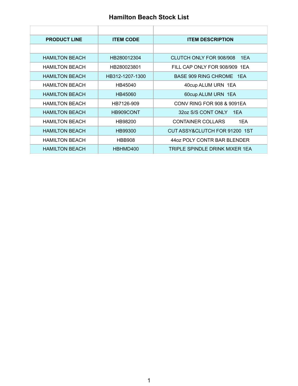#### **Hamilton Beach Stock List**

| <b>PRODUCT LINE</b>   | <b>ITEM CODE</b> | <b>ITEM DESCRIPTION</b>         |
|-----------------------|------------------|---------------------------------|
|                       |                  |                                 |
| <b>HAMILTON BEACH</b> | HB280012304      | CLUTCH ONLY FOR 908/908<br>1EA  |
| <b>HAMILTON BEACH</b> | HB280023801      | FILL CAP ONLY FOR 908/909 1EA   |
| <b>HAMILTON BEACH</b> | HB312-1207-1300  | BASE 909 RING CHROME 1EA        |
| <b>HAMILTON BEACH</b> | HB45040          | 40cup ALUM URN 1EA              |
| <b>HAMILTON BEACH</b> | HB45060          | 60cup ALUM URN 1EA              |
| <b>HAMILTON BEACH</b> | HB7126-909       | CONV RING FOR 908 & 9091EA      |
| <b>HAMILTON BEACH</b> | HB909CONT        | 32oz S/S CONT ONLY<br>1FA       |
| <b>HAMILTON BEACH</b> | HB98200          | <b>CONTAINER COLLARS</b><br>1EA |
| <b>HAMILTON BEACH</b> | HB99300          | CUT ASSY&CLUTCH FOR 91200 1ST   |
| <b>HAMILTON BEACH</b> | <b>HBB908</b>    | 44 oz POLY CONTR BAR BLENDER    |
| <b>HAMILTON BEACH</b> | HBHMD400         | TRIPLE SPINDLE DRINK MIXER 1EA  |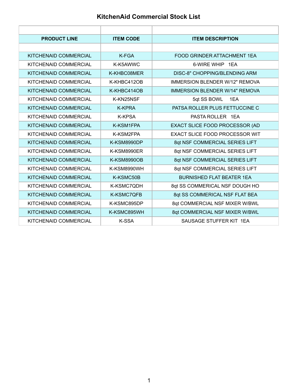#### **KitchenAid Commercial Stock List**

| <b>PRODUCT LINE</b>          | <b>ITEM CODE</b>   | <b>ITEM DESCRIPTION</b>               |
|------------------------------|--------------------|---------------------------------------|
|                              |                    |                                       |
| KITCHENAID COMMERCIAL        | $K-FGA$            | FOOD GRINDER ATTACHMENT 1EA           |
| KITCHENAID COMMERCIAL        | K-K5AWWC           | 6-WIRE WHIP 1FA                       |
| KITCHENAID COMMERCIAL        | K-KHBC08MER        | DISC-8" CHOPPING/BLENDING ARM         |
| KITCHENAID COMMERCIAL        | K-KHBC412OB        | <b>IMMERSION BLENDER W/12" REMOVA</b> |
| KITCHENAID COMMERCIAL        | K-KHBC414OB        | <b>IMMERSION BLENDER W/14" REMOVA</b> |
| KITCHENAID COMMERCIAL        | K-KN25NSF          | 5qt SS BOWL<br>1EA                    |
| KITCHENAID COMMERCIAL        | <b>K-KPRA</b>      | PATSA ROLLER PLUS FETTUCCINE C        |
| KITCHENAID COMMERCIAL        | <b>K-KPSA</b>      | PASTA ROLLER 1 FA                     |
| KITCHENAID COMMERCIAL        | K-KSM1FPA          | EXACT SLICE FOOD PROCESSOR (AD        |
| KITCHENAID COMMERCIAL        | K-KSM2FPA          | <b>EXACT SLICE FOOD PROCESSOR WIT</b> |
| KITCHENAID COMMERCIAL        | K-KSM8990DP        | 8qt NSF COMMERCIAL SERIES LIFT        |
| KITCHENAID COMMERCIAL        | K-KSM8990ER        | 8qt NSF COMMERCIAL SERIES LIFT        |
| KITCHENAID COMMERCIAL        | <b>K-KSM8990OB</b> | 8qt NSF COMMERCIAL SERIES LIFT        |
| KITCHENAID COMMERCIAL        | K-KSM8990WH        | 8qt NSF COMMERCIAL SERIES LIFT        |
| KITCHENAID COMMERCIAL        | K-KSMC50B          | <b>BURNISHED FLAT BEATER 1EA</b>      |
| KITCHENAID COMMERCIAL        | K-KSMC7QDH         | 8qt SS COMMERICAL NSF DOUGH HO        |
| <b>KITCHENAID COMMERCIAL</b> | <b>K-KSMC7QFB</b>  | 8qt SS COMMERICAL NSF FLAT BEA        |
| KITCHENAID COMMERCIAL        | K-KSMC895DP        | 8qt COMMERCIAL NSF MIXER W/BWL        |
| KITCHENAID COMMERCIAL        | K-KSMC895WH        | 8qt COMMERCIAL NSF MIXER W/BWL        |
| KITCHENAID COMMERCIAL        | K-SSA              | SAUSAGE STUFFER KIT 1FA               |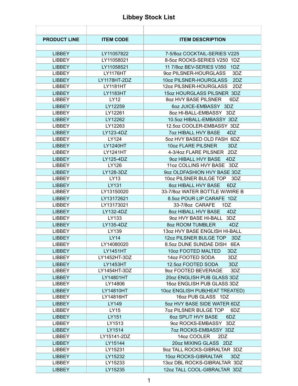#### **Libbey Stock List**

| <b>PRODUCT LINE</b> | <b>ITEM CODE</b> | <b>ITEM DESCRIPTION</b>             |
|---------------------|------------------|-------------------------------------|
|                     |                  |                                     |
| <b>LIBBEY</b>       | LY11057822       | 7-5/8oz COCKTAIL-SERIES V225        |
| <b>LIBBEY</b>       | LY11058021       | 8-5oz ROCKS-SERIES V250 1DZ         |
| <b>LIBBEY</b>       | LY11058521       | 11 7/8oz BEV-SERIES V350<br>1DZ     |
| <b>LIBBEY</b>       | <b>LY1176HT</b>  | 9oz PILSNER-HOURGLASS<br>3DZ        |
| <b>LIBBEY</b>       | LY1178HT-2DZ     | 10oz PILSNER-HOURGLASS<br>2DZ       |
| <b>LIBBEY</b>       | <b>LY1181HT</b>  | 12oz PILSNER-HOURGLASS<br>2DZ       |
| <b>LIBBEY</b>       | <b>LY1183HT</b>  | 15oz HOURGLASS PILSNER 3DZ          |
| <b>LIBBEY</b>       | <b>LY12</b>      | 80Z HVY BASE PILSNER<br>6DZ         |
| <b>LIBBEY</b>       | LY12259          | 6oz JUICE-EMBASSY 3DZ               |
| <b>LIBBEY</b>       | LY12261          | 8oz HI-BALL-EMBASSY 3DZ             |
| <b>LIBBEY</b>       | LY12262          | 10.5oz HIBALL-EMBASSY 3DZ           |
| <b>LIBBEY</b>       | LY12263          | 12.5oz COOLER-EMBASSY 3DZ           |
| <b>LIBBEY</b>       | LY123-4DZ        | <b>7oz HIBALL HVY BASE</b><br>4DZ   |
| <b>LIBBEY</b>       | LY124            | 5oz HVY BASED OLD FASH 6DZ          |
| <b>LIBBEY</b>       | <b>LY1240HT</b>  | 10oz FLARE PILSNER<br>3DZ           |
| <b>LIBBEY</b>       | LY1241HT         | 4-3/4oz FLARE PILSNER 2DZ           |
| <b>LIBBEY</b>       | LY125-4DZ        | 9oz HIBALL HVY BASE<br>4DZ          |
| <b>LIBBEY</b>       | LY126            | 11oz COLLINS HVY BASE 3DZ           |
| <b>LIBBEY</b>       | LY128-3DZ        | 9oz OLDFASHION HVY BASE 3DZ         |
| <b>LIBBEY</b>       | LY13             | 10oz PILSNER BULGE TOP<br>3DZ       |
| <b>LIBBEY</b>       | LY131            | 8oz HIBALL HVY BASE<br>6DZ          |
| <b>LIBBEY</b>       | LY13150020       | 33-7/8oz WATER BOTTLE W/WIRE B      |
| <b>LIBBEY</b>       | LY13172621       | 8.5oz POUR LIP CARAFE 1DZ           |
| <b>LIBBEY</b>       | LY13173021       | 33-7/8oz CARAFE<br>1DZ              |
| <b>LIBBEY</b>       | LY132-4DZ        | 8oz HIBALL HVY BASE<br>4DZ          |
| <b>LIBBEY</b>       | LY133            | 9oz HVY BASE HI-BALL<br>3DZ         |
| <b>LIBBEY</b>       | LY135-4DZ        | 8oz ROOM TUMBLER<br>4DZ             |
| <b>LIBBEY</b>       | LY139            | 13oz HVY BASE ENGLISH HI-BALL       |
| <b>LIBBEY</b>       | LY14             | 12oz PILSNER BULGE TOP<br>3DZ       |
| <b>LIBBEY</b>       | LY14080020       | 8.5oz DUNE SUNDAE DISH<br>6EA       |
| <b>LIBBEY</b>       | LY1451HT         | 10oz FOOTED MALTED<br>3DZ           |
| <b>LIBBEY</b>       | LY1452HT-3DZ     | 14oz FOOTED SODA<br>3DZ             |
| <b>LIBBEY</b>       | LY1453HT         | 12.5oz FOOTED SODA<br>3DZ           |
| <b>LIBBEY</b>       | LY1454HT-3DZ     | 9oz FOOTED BEVERAGE<br>3DZ          |
| <b>LIBBEY</b>       | LY14801HT        | 20oz ENGLISH PUB GLASS 3DZ          |
| <b>LIBBEY</b>       | LY14806          | 16oz ENGLISH PUB GLASS 3DZ          |
| <b>LIBBEY</b>       | LY14810HT        | 10oz ENGLISH PUB(HEAT TREATED)      |
| <b>LIBBEY</b>       | LY14816HT        | 16oz PUB GLASS 1DZ                  |
| <b>LIBBEY</b>       | LY149            | 5oz HVY BASE SIDE WATER 6DZ         |
| <b>LIBBEY</b>       | LY15             | <b>7oz PILSNER BULGE TOP</b><br>6DZ |
| <b>LIBBEY</b>       | LY151            | 6oz SPLIT HVY BASE<br>6DZ           |
| <b>LIBBEY</b>       | LY1513           | 9oz ROCKS-EMBASSY 3DZ               |
| <b>LIBBEY</b>       | LY1514           | 7oz ROCKS-EMBASSY 3DZ               |
| LIBBEY              | LY15141-2DZ      | 14oz COOLER<br>2DZ                  |
| <b>LIBBEY</b>       | LY15144          | 20oz MIXING GLASS 2DZ               |
| <b>LIBBEY</b>       | LY15231          | 9oz TALL ROCKS-GIBRALTAR 3DZ        |
| <b>LIBBEY</b>       | LY15232          | 10oz ROCKS-GIBRALTAR<br>3DZ         |
| <b>LIBBEY</b>       | LY15233          | 13oz DBL ROCKS-GIBRALTAR 3DZ        |
| <b>LIBBEY</b>       | LY15235          | 12oz TALL COOL-GIBRALTAR 3DZ        |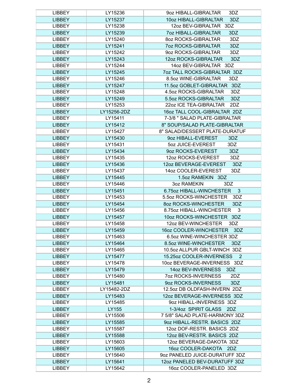| LIBBEY        | LY15236     | 9oz HIBALL-GIBRALTAR<br>3DZ                |
|---------------|-------------|--------------------------------------------|
| <b>LIBBEY</b> | LY15237     | 10oz HIBALL-GIBRALTAR<br>3DZ               |
| <b>LIBBEY</b> | LY15238     | 12oz BEV-GIBRALTAR 3DZ                     |
| <b>LIBBEY</b> | LY15239     | <b>7oz HIBALL-GIBRALTAR</b><br>3DZ         |
| <b>LIBBEY</b> | LY15240     | 80Z ROCKS-GIBRALTAR<br>3DZ                 |
| <b>LIBBEY</b> | LY15241     | <b>7oz ROCKS-GIBRALTAR</b><br>3DZ          |
| <b>LIBBEY</b> | LY15242     | 9oz ROCKS-GIBRALTAR<br>3DZ                 |
| <b>LIBBEY</b> | LY15243     | <b>12oz ROCKS-GIBRALTAR</b><br>3DZ         |
| <b>LIBBEY</b> | LY15244     | 14oz BEV-GIBRALTAR 3DZ                     |
| <b>LIBBEY</b> | LY15245     | 7oz TALL ROCKS-GIBRALTAR 3DZ               |
| <b>LIBBEY</b> | LY15246     | 8.5oz WINE-GIBRALTAR<br>3DZ                |
| <b>LIBBEY</b> | LY15247     | 11.5oz GOBLET-GIBRALTAR 3DZ                |
| <b>LIBBEY</b> | LY15248     | 4.5oz ROCKS-GIBRALTAR<br>3DZ               |
| <b>LIBBEY</b> | LY15249     | 5.5oz ROCKS-GIBRALTAR<br>3DZ               |
| <b>LIBBEY</b> | LY15253     | 22oz ICE TEA-GIBRALTAR<br>2DZ              |
| <b>LIBBEY</b> | LY15256-2DZ | 16oz TALL COOL-GIBRALTAR 2DZ               |
| <b>LIBBEY</b> | LY15411     | 7-3/8 " SALAD PLATE-GIBRALTAR              |
| <b>LIBBEY</b> | LY15412     | 8" SOUP/SALAD PLATE-GIBRALTAR              |
| <b>LIBBEY</b> | LY15427     | 8" SALAD/DESSERT PLATE-DURATUF             |
| <b>LIBBEY</b> | LY15430     | 9oz HIBALL-EVEREST<br>3DZ                  |
| <b>LIBBEY</b> | LY15431     | 5oz JUICE-EVEREST<br>3DZ                   |
| <b>LIBBEY</b> | LY15434     | 9oz ROCKS-EVEREST<br>3DZ                   |
| <b>LIBBEY</b> | LY15435     | 12oz ROCKS-EVEREST<br>3DZ                  |
| <b>LIBBEY</b> | LY15436     | 12oz BEVERAGE-EVEREST<br>3DZ               |
| <b>LIBBEY</b> | LY15437     | 14oz COOLER-EVEREST<br>3DZ                 |
| <b>LIBBEY</b> | LY15445     | 1.5oz RAMEKIN 3DZ                          |
| <b>LIBBEY</b> | LY15446     | 3DZ<br>3oz RAMEKIN                         |
| <b>LIBBEY</b> | LY15451     | 6.75oz HIBALL-WINCHESTER<br>3              |
| <b>LIBBEY</b> | LY15453     | 5.5oz ROCKS-WINCHESTER<br>3DZ              |
| <b>LIBBEY</b> | LY15454     | 8oz ROCKS-WINCHESTER<br>3DZ                |
| <b>LIBBEY</b> | LY15456     | 8.75oz HIBALL-WINCHESTER<br>3              |
| <b>LIBBEY</b> | LY15457     | 10oz ROCKS-WINCHESTER 3DZ                  |
| <b>LIBBEY</b> | LY15458     | 12oz BEV-WINCHESTER<br>3DZ                 |
| <b>LIBBEY</b> | LY15459     | 16oz COOLER-WINCHESTER<br>3DZ              |
| <b>LIBBEY</b> | LY15463     | 6.5oz WINE-WINCHESTER 3DZ                  |
| <b>LIBBEY</b> | LY15464     | 8.5oz WINE-WINCHESTER<br>3DZ               |
| <b>LIBBEY</b> | LY15465     | 10.5oz ALLPUR GBLT-WINCH 3DZ               |
| <b>LIBBEY</b> | LY15477     | 15.25oz COOLER-INVERNESS<br>$\overline{2}$ |
| <b>LIBBEY</b> | LY15478     | 10oz BEVERAGE-INVERNESS 3DZ                |
| <b>LIBBEY</b> | LY15479     | 14oz BEV-INVERNESS<br>3DZ                  |
| <b>LIBBEY</b> | LY15480     | 7oz ROCKS-INVERNESS<br>2DZ                 |
| <b>LIBBEY</b> | LY15481     | 9oz ROCKS-INVERNESS<br>3DZ                 |
| <b>LIBBEY</b> | LY15482-2DZ | 12.5oz DB OLDFASH-INVERN 2DZ               |
| <b>LIBBEY</b> | LY15483     | 12oz BEVERAGE-INVERNESS 3DZ                |
| <b>LIBBEY</b> | LY15485     | 9oz HIBALL-INVERNESS 3DZ                   |
| <b>LIBBEY</b> | LY155       | 1-3/4oz SPIRIT GLASS<br>2DZ                |
| <b>LIBBEY</b> | LY15506     | 7 5/8" SALAD PLATE-HARMONY 3DZ             |
| <b>LIBBEY</b> | LY15585     | 9oz HIBALL-RESTR. BASICS 2DZ               |
| <b>LIBBEY</b> | LY15587     | 12oz DOF-RESTR. BASICS 2DZ                 |
| <b>LIBBEY</b> | LY15588     | 12oz BEV-RESTR. BASICS 2DZ                 |
| <b>LIBBEY</b> | LY15603     | 12oz BEVERAGE-DAKOTA 3DZ                   |
| <b>LIBBEY</b> | LY15605     | 16oz COOLER-DAKOTA 2DZ                     |
| <b>LIBBEY</b> | LY15640     | 9oz PANELED JUICE-DURATUFF 3DZ             |
| <b>LIBBEY</b> | LY15641     | 12oz PANELED BEV-DURATUFF 3DZ              |
| <b>LIBBEY</b> | LY15642     | 16oz COOLER-PANELED 3DZ                    |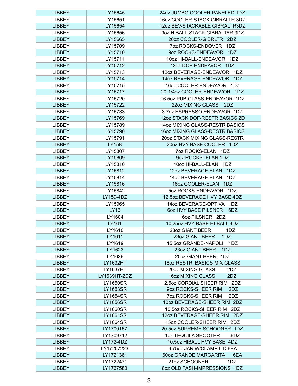| <b>LIBBEY</b> | LY15645         | 24oz JUMBO COOLER-PANELED 1DZ       |
|---------------|-----------------|-------------------------------------|
| <b>LIBBEY</b> | LY15651         | 16oz COOLER-STACK GIBRALTR 3DZ      |
| <b>LIBBEY</b> | LY15654         | 12oz BEV-STACKABLE GIBRALTR3DZ      |
| <b>LIBBEY</b> | LY15656         | 9oz HIBALL-STACK GIBRALTAR 3DZ      |
| <b>LIBBEY</b> | LY15665         | 20oz COOLER-GIBRLTR 2DZ             |
| <b>LIBBEY</b> | LY15709         | 7oz ROCKS-ENDOVER 1DZ               |
| <b>LIBBEY</b> | LY15710         | 9oz ROCKS-ENDEAVOR 1DZ              |
| <b>LIBBEY</b> | LY15711         | 10oz HI-BALL-ENDEAVOR 1DZ           |
| <b>LIBBEY</b> | LY15712         | 12oz DOF-ENDEAVOR 1DZ               |
| <b>LIBBEY</b> | LY15713         | 12oz BEVERAGE-ENDEAVOR 1DZ          |
| <b>LIBBEY</b> | LY15714         | 14oz BEVERAGE-ENDEAVOR<br>1DZ       |
| <b>LIBBEY</b> | LY15715         | 16oz COOLER-ENDEAVOR 1DZ            |
| <b>LIBBEY</b> | LY15717         | 20-1/4oz COOLER-ENDEAVOR 1DZ        |
| <b>LIBBEY</b> | LY15720         | 16.5oz PUB GLASS-ENDEAVOR 1DZ       |
| <b>LIBBEY</b> | LY15722         | 22oz MIXING GLASS 2DZ               |
| <b>LIBBEY</b> | LY15733         | 3.7oz ESPRESSO-ENDEAVOR 1DZ         |
| <b>LIBBEY</b> | LY15769         | 12oz STACK DOF-RESTR BASICS 2D      |
| <b>LIBBEY</b> | LY15789         | 14oz MIXING GLASS-RESTR BASICS      |
| <b>LIBBEY</b> | LY15790         | 16oz MIXING GLASS-RESTR BASICS      |
| <b>LIBBEY</b> | LY15791         | 20oz STACK MIXING GLASS-RESTR       |
| <b>LIBBEY</b> | LY158           | 20oz HVY BASE COOLER 1DZ            |
|               |                 |                                     |
| <b>LIBBEY</b> | LY15807         | 7oz ROCKS-ELAN 1DZ                  |
| <b>LIBBEY</b> | LY15809         | 9oz ROCKS- ELAN 1DZ                 |
| <b>LIBBEY</b> | LY15810         | 10oz HI-BALL-ELAN 1DZ               |
| <b>LIBBEY</b> | LY15812         | 12oz BEVERAGE-ELAN<br>1DZ           |
| <b>LIBBEY</b> | LY15814         | 14oz BEVERAGE-ELAN<br>1DZ           |
| <b>LIBBEY</b> | LY15816         | 16oz COOLER-ELAN 1DZ                |
| <b>LIBBEY</b> | LY15842         | 5oz ROCKS-ENDEAVOR 1DZ              |
| <b>LIBBEY</b> | LY159-4DZ       | 12.5oz BEVERAGE HVY BASE 4DZ        |
| <b>LIBBEY</b> | LY15965         | 14oz BEVERAGE-OPTIVA 1DZ            |
| <b>LIBBEY</b> | LY16            | <b>60Z HVY BASE PILSNER</b><br>6DZ  |
| <b>LIBBEY</b> | LY1604          | 16oz PILSNER 2DZ                    |
| <b>LIBBEY</b> | LY161           | 10.25oz HVY BASE HI-BALL 4DZ        |
| <b>LIBBEY</b> | LY1610          | 23oz GIANT BEER<br>1DZ              |
| <b>LIBBEY</b> | LY1611          | 23oz GIANT BEER<br>1DZ              |
| <b>LIBBEY</b> | LY1619          | 15.5oz GRANDE-NAPOLI<br>1DZ         |
| <b>LIBBEY</b> | LY1623          | 23oz GIANT BEER<br>1DZ              |
| <b>LIBBEY</b> | LY1629          | 20oz GIANT BEER 1DZ                 |
| <b>LIBBEY</b> | <b>LY1632HT</b> | 18oz RESTR. BASICS MIX GLASS        |
| <b>LIBBEY</b> | <b>LY1637HT</b> | 20oz MIXING GLASS<br>2DZ            |
| <b>LIBBEY</b> | LY1639HT-2DZ    | 16oz MIXING GLASS<br>2DZ            |
| <b>LIBBEY</b> | <b>LY1650SR</b> | 2.5oz CORDIAL SHEER RIM 2DZ         |
| <b>LIBBEY</b> | <b>LY1653SR</b> | 9oz ROCKS-SHEER RIM<br>2DZ          |
| <b>LIBBEY</b> | LY1654SR        | <b>702 ROCKS-SHEER RIM</b><br>2DZ   |
| <b>LIBBEY</b> | <b>LY1656SR</b> | 10oz BEVERAGE-SHEER RIM 2DZ         |
| <b>LIBBEY</b> | <b>LY1660SR</b> | 10.5oz ROCKS-SHEER RIM 2DZ          |
| <b>LIBBEY</b> | <b>LY1661SR</b> | 12oz BEVERAGE-SHEER RIM 2DZ         |
| <b>LIBBEY</b> | LY1664SR        | 15oz COOLER-SHEER RIM 2DZ           |
| <b>LIBBEY</b> | LY1700157       | 20.5oz SUPREME SCHOONER 1DZ         |
| <b>LIBBEY</b> | LY1709712       | 1oz TEQUILA SHOOTER<br>6DZ          |
| <b>LIBBEY</b> | LY172-4DZ       | 10.5oz HIBALL HVY BASE 4DZ          |
| <b>LIBBEY</b> | LY17207223      | 6.75oz JAR W/CLAMP LID 6EA          |
| <b>LIBBEY</b> | LY1721361       | <b>60oz GRANDE MARGARITA</b><br>6EA |
| <b>LIBBEY</b> | LY1722471       | 21oz SCHOONER<br>1DZ                |
| <b>LIBBEY</b> | LY1767580       | 8oz OLD FASH-IMPRESSIONS 1DZ        |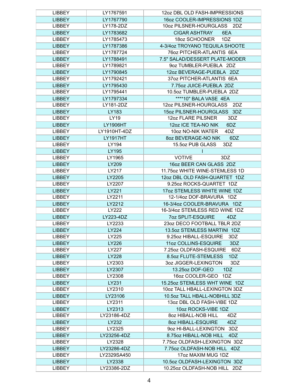| <b>LIBBEY</b> | LY1767591       | 12oz DBL OLD FASH-IMPRESSIONS    |
|---------------|-----------------|----------------------------------|
| <b>LIBBEY</b> | LY1767790       | 16oz COOLER-IMPRESSIONS 1DZ      |
| <b>LIBBEY</b> | LY178-2DZ       | 10oz PILSNER-HOURGLASS<br>2DZ    |
| <b>LIBBEY</b> | LY1783682       | <b>CIGAR ASHTRAY</b><br>6EA      |
| <b>LIBBEY</b> | LY1785473       | 18oz SCHOONER<br>1DZ             |
| <b>LIBBEY</b> | LY1787386       | 4-3/4oz TROYANO TEQUILA SHOOTE   |
| <b>LIBBEY</b> | LY1787724       | 76oz PITCHER-ATLANTIS 6EA        |
| <b>LIBBEY</b> | LY1788491       | 7.5" SALAD/DESSERT PLATE-MODER   |
| <b>LIBBEY</b> | LY1789821       | 9oz TUMBLER-PUEBLA 2DZ           |
| <b>LIBBEY</b> | LY1790845       | 12oz BEVERAGE-PUEBLA 2DZ         |
| <b>LIBBEY</b> | LY1792421       | 37oz PITCHER-ATLANTIS 6EA        |
| <b>LIBBEY</b> | LY1795430       | 7.75oz JUICE-PUEBLA 2DZ          |
| <b>LIBBEY</b> | LY1795441       | 10.5oz TUMBLER-PUEBLA 2DZ        |
| <b>LIBBEY</b> | LY1797334       | ****10" BALA VASE 4EA            |
| <b>LIBBEY</b> | LY181-2DZ       | 12oz PILSNER-HOURGLASS<br>2DZ    |
| <b>LIBBEY</b> | LY183           | 15oz PILSNER-HOURGLASS 3DZ       |
| <b>LIBBEY</b> | LY19            | <b>12oz FLARE PILSNER</b><br>3DZ |
| <b>LIBBEY</b> | <b>LY1906HT</b> | 12oz ICE TEA-NO NIK<br>6DZ       |
| <b>LIBBEY</b> | LY1910HT-4DZ    | 10oz NO-NIK WATER<br>4DZ         |
| <b>LIBBEY</b> | <b>LY1917HT</b> | 8oz BEVERAGE-NO NIK<br>6DZ       |
| <b>LIBBEY</b> | LY194           | 15.5oz PUB GLASS<br>3DZ          |
|               |                 | $\overline{1}$                   |
| <b>LIBBEY</b> | LY195           |                                  |
| <b>LIBBEY</b> | LY1965          | <b>VOTIVE</b><br>3DZ             |
| <b>LIBBEY</b> | LY209           | 16oz BEER CAN GLASS 2DZ          |
| <b>LIBBEY</b> | LY217           | 11.75oz WHITE WINE-STEMLESS 1D   |
| <b>LIBBEY</b> | LY2205          | 12oz DBL OLD FASH-QUARTET 1DZ    |
| <b>LIBBEY</b> | LY2207          | 9.25oz ROCKS-QUARTET 1DZ         |
| <b>LIBBEY</b> | LY221           | 17oz STEMLESS WHITE WINE 1DZ     |
| <b>LIBBEY</b> | LY2211          | 12-1/4oz DOF-BRAVURA 1DZ         |
| <b>LIBBEY</b> | LY2212          | 16-3/4oz COOLER-BRAVURA 1DZ      |
| <b>LIBBEY</b> | LY222           | 16-3/4oz STEMLESS RED WINE 1DZ   |
| <b>LIBBEY</b> | LY223-4DZ       | 7oz SPLIT-ESQUIRE<br>4DZ         |
| <b>LIBBEY</b> | LY2233          | 23oz DECO FOOTBALL TBLR 2DZ      |
| <b>LIBBEY</b> | LY224           | 13.5oz STEMLESS MARTINI 1DZ      |
| <b>LIBBEY</b> | LY225           | 9.25oz HIBALL-ESQUIRE<br>3DZ     |
| <b>LIBBEY</b> | LY226           | 11oz COLLINS-ESQUIRE<br>3DZ      |
| <b>LIBBEY</b> | LY227           | 7.25oz OLDFASH-ESQUIRE<br>6DZ    |
| <b>LIBBEY</b> | LY228           | 8.5oz FLUTE-STEMLESS<br>1DZ      |
| <b>LIBBEY</b> | LY2303          | 3oz JIGGER-LEXINGTON<br>3DZ      |
| <b>LIBBEY</b> | LY2307          | 13.25oz DOF-GEO<br>1DZ           |
| <b>LIBBEY</b> | LY2308          | 16oz COOLER-GEO<br>1DZ           |
| <b>LIBBEY</b> | LY231           | 15.25oz STEMLESS WHT WINE 1DZ    |
| <b>LIBBEY</b> | LY2310          | 10oz TALL HBALL-LEXINGTON 3DZ    |
| <b>LIBBEY</b> | LY23106         | 10.5oz TALL HBALL-NOBHILL 3DZ    |
| <b>LIBBEY</b> | LY2311          | 13oz DBL OLD FASH-VIBE 1DZ       |
| <b>LIBBEY</b> | LY2313          | 10oz ROCKS-VIBE 1DZ              |
| <b>LIBBEY</b> | LY23186-4DZ     | 80Z HIBALL-NOB HILL<br>4DZ       |
| <b>LIBBEY</b> | LY232           | <b>8oz HIBALL-ESQUIRE</b><br>4DZ |
| <b>LIBBEY</b> | LY2325          | 9oz HI-BALL-LEXINGTON<br>3DZ     |
| <b>LIBBEY</b> | LY23256-4DZ     | 8.75oz HIBALL-NOB HILL<br>4DZ    |
| <b>LIBBEY</b> | LY2328          | 7.75oz OLDFASH-LEXINGTON 3DZ     |
| <b>LIBBEY</b> | LY23286-4DZ     | 7.75oz OLDFASH-NOB HILL 4DZ      |
| <b>LIBBEY</b> | LY2329SA450     | 17oz MAXIM MUG 1DZ               |
| <b>LIBBEY</b> | LY2338          | 10.5oz OLDFASH-LEXINGTON 3DZ     |
| <b>LIBBEY</b> | LY23386-2DZ     | 10.25oz OLDFASH-NOB HILL 2DZ     |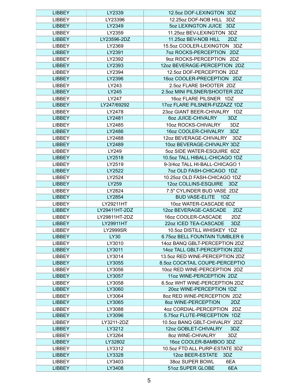| <b>LIBBEY</b> | LY2339          | 12.5oz DOF-LEXINGTON 3DZ         |
|---------------|-----------------|----------------------------------|
| <b>LIBBEY</b> | LY23396         | 12.25oz DOF-NOB HILL 3DZ         |
| <b>LIBBEY</b> | LY2349          | 5oz LEXINGTON JUICE 3DZ          |
| <b>LIBBEY</b> | LY2359          | 11.25oz BEV-LEXINGTON 3DZ        |
| <b>LIBBEY</b> | LY23596-2DZ     | 11.25oz BEV-NOB HILL<br>2DZ      |
| <b>LIBBEY</b> | LY2369          | 15.5oz COOLER-LEXINGTON 3DZ      |
| <b>LIBBEY</b> | LY2391          | 7oz ROCKS-PERCEPTION 2DZ         |
| <b>LIBBEY</b> | LY2392          | 9oz ROCKS-PERCEPTION 2DZ         |
| <b>LIBBEY</b> | LY2393          | 12oz BEVERAGE-PERCEPTION 2DZ     |
| <b>LIBBEY</b> | LY2394          | 12.5oz DOF-PERCEPTION 2DZ        |
| <b>LIBBEY</b> | LY2396          | 16oz COOLER-PRECEPTION 2DZ       |
| <b>LIBBEY</b> | LY243           | 2.5oz FLARE SHOOTER 2DZ          |
| <b>LIBBEY</b> | LY245           | 2.5oz MINI PILSNER/SHOOTER 2DZ   |
| <b>LIBBEY</b> | LY247           | 16oz FLARE PILSNER 1DZ           |
| <b>LIBBEY</b> | LY247/69292     | 17oz FLARE PILSNER-FIZZAZZ 1DZ   |
| <b>LIBBEY</b> | LY2478          | 23oz GIANT BEER-CHIVALRY 1DZ     |
| <b>LIBBEY</b> | LY2481          | 3DZ<br><b>602 JUICE-CHIVALRY</b> |
| <b>LIBBEY</b> | LY2485          | 10oz ROCKS-CHIVALRY<br>3DZ       |
| <b>LIBBEY</b> | LY2486          | 16oz COOLER-CHIVALRY<br>3DZ      |
| <b>LIBBEY</b> | LY2488          | 12oz BEVERAGE-CHIVALRY<br>3DZ    |
| <b>LIBBEY</b> | LY2489          | 10oz BEVERAGE-CHIVALRY 3DZ       |
|               |                 | 5oz SIDE WATER-ESQUIRE 6DZ       |
| <b>LIBBEY</b> | LY249           | 10.5oz TALL HIBALL-CHICAGO 1DZ   |
| <b>LIBBEY</b> | LY2518          |                                  |
| <b>LIBBEY</b> | LY2519          | 9-3/4oz TALL HI-BALL-CHICAGO 1   |
| <b>LIBBEY</b> | LY2522          | 7oz OLD FASH-CHICAGO 1DZ         |
| <b>LIBBEY</b> | LY2524          | 10.25oz OLD FASH-CHICAGO 1DZ     |
| <b>LIBBEY</b> | LY259           | 12oz COLLINS-ESQUIRE 3DZ         |
| <b>LIBBEY</b> | LY2824          | 7.5" CYLINDER BUD VASE 2DZ       |
| <b>LIBBEY</b> | LY2854          | <b>BUD VASE-ELITE</b><br>1DZ     |
| <b>LIBBEY</b> | LY29211HT       | 10oz WATER-CASCADE 6DZ           |
| <b>LIBBEY</b> | LY29411HT-2DZ   | 12oz BEVERAGE-CASCADE<br>2DZ     |
| <b>LIBBEY</b> | LY29811HT-2DZ   | 16oz COOLER-CASCADE<br>2DZ       |
| <b>LIBBEY</b> | LY29911HT       | 22oz ICED TEA-CASCADE<br>3DZ     |
| <b>LIBBEY</b> | <b>LY2999SR</b> | 10.5oz DISTILL WHISKEY 1DZ       |
| <b>LIBBEY</b> | <b>LY30</b>     | 6.75 oz BELL FOUNTAIN TUMBLER 6  |
| <b>LIBBEY</b> | LY3010          | 14oz BANQ GBLT-PERCEPTION 2DZ    |
| <b>LIBBEY</b> | LY3011          | 14oz TALL GBLT-PERCEPTION 2DZ    |
| <b>LIBBEY</b> | LY3014          | 13.5oz RED WINE-PERCEPTION 2DZ   |
| <b>LIBBEY</b> | LY3055          | 8.5oz COCKTAIL COUPE-PERCEPTIO   |
| <b>LIBBEY</b> | LY3056          | 10oz RED WINE-PERCEPTION 2DZ     |
| <b>LIBBEY</b> | LY3057          | 11oz WINE-PERCEPTION 2DZ         |
| <b>LIBBEY</b> | LY3058          | 6.5oz WHT WINE-PERCEPTION 2DZ    |
| <b>LIBBEY</b> | LY3060          | 20oz WINE-PERCEPTION 1DZ         |
| <b>LIBBEY</b> | LY3064          | 8oz RED WINE-PERCEPTION 2DZ      |
| <b>LIBBEY</b> | LY3065          | 2DZ<br>80Z WINE-PERCEPTION       |
| <b>LIBBEY</b> | LY3088          | 4oz CORDIAL-PERCEPTION 2DZ       |
| <b>LIBBEY</b> | LY3096          | 5.75oz FLUTE-PRECEPTION 1DZ      |
| <b>LIBBEY</b> | LY3211-2DZ      | 10.5oz BANQ GBLT-CHIVALRY 2DZ    |
| <b>LIBBEY</b> | LY3212          | 12oz GOBLET-CHIVALRY<br>3DZ      |
| <b>LIBBEY</b> | LY3264          | 8oz WINE-CHIVALRY<br>3DZ         |
| <b>LIBBEY</b> | LY32802         | 16oz COOLER-BAMBOO 3DZ           |
| <b>LIBBEY</b> | LY3312          | 10.5oz FTD ALL PURP-ESTATE 3DZ   |
| <b>LIBBEY</b> | LY3328          | 12oz BEER-ESTATE<br>3DZ          |
| <b>LIBBEY</b> | LY3403          | 38oz SUPER BOWL<br>6EA           |
| <b>LIBBEY</b> | LY3408          | 51oz SUPER GLOBE<br>6EA          |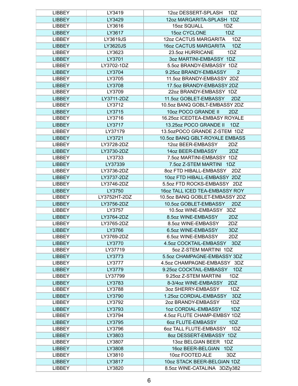| <b>LIBBEY</b> | LY3419          | 12oz DESSERT-SPLASH<br>1DZ              |
|---------------|-----------------|-----------------------------------------|
| <b>LIBBEY</b> | LY3429          | 12oz MARGARITA-SPLASH 1DZ               |
| <b>LIBBEY</b> | LY3616          | 15oz SQUALL<br>1DZ                      |
| <b>LIBBEY</b> | LY3617          | 15oz CYCLONE<br>1DZ                     |
| <b>LIBBEY</b> | LY3619JS        | 12oz CACTUS MARGARITA<br>1DZ            |
| <b>LIBBEY</b> | <b>LY3620JS</b> | <b>16oz CACTUS MARGARITA</b><br>1DZ     |
| <b>LIBBEY</b> | LY3623          | 23.5oz HURRICANE<br>1DZ                 |
| <b>LIBBEY</b> | LY3701          | 3oz MARTINI-EMBASSY 1DZ                 |
| <b>LIBBEY</b> | LY3702-1DZ      | 5.5oz BRANDY-EMBASSY 1DZ                |
| <b>LIBBEY</b> | LY3704          | 9.25oz BRANDY-EMBASSY<br>$\overline{2}$ |
| <b>LIBBEY</b> | LY3705          | 11.5oz BRANDY-EMBASSY 2DZ               |
| <b>LIBBEY</b> | LY3708          | 17.5oz BRANDY-EMBASSY 2DZ               |
| <b>LIBBEY</b> | LY3709          | 22oz BRANDY-EMBASSY 1DZ                 |
| <b>LIBBEY</b> | LY3711-2DZ      | 11.5oz GOBLET-EMBASSY<br>2DZ            |
| <b>LIBBEY</b> | LY3712          | 10.5oz BANQ GOBLT-EMBASSY 2DZ           |
| <b>LIBBEY</b> | LY3715          | 10oz POCO GRANDE II<br>2DZ              |
| <b>LIBBEY</b> | LY3716          | 16.25oz ICEDTEA-EMBASY ROYALE           |
| <b>LIBBEY</b> |                 | 1DZ                                     |
|               | LY3717          | 13.25oz POCO GRANDE II                  |
| <b>LIBBEY</b> | LY37179         | 13.5ozPOCO GRANDE Z-STEM 1DZ            |
| <b>LIBBEY</b> | LY3721          | 10.5oz BANQ GBLT-ROYALE EMBASS          |
| <b>LIBBEY</b> | LY3728-2DZ      | 12oz BEER-EMBASSY<br>2DZ                |
| <b>LIBBEY</b> | LY3730-2DZ      | 2DZ<br>14oz BEER-EMBASSY                |
| <b>LIBBEY</b> | LY3733          | 7.5oz MARTINI-EMBASSY 1DZ               |
| <b>LIBBEY</b> | LY37339         | 7.5oz Z-STEM MARTINI 1DZ                |
| <b>LIBBEY</b> | LY3736-2DZ      | 80Z FTD HIBALL-EMBASSY<br>2DZ           |
| <b>LIBBEY</b> | LY3737-2DZ      | 10oz FTD HIBALL-EMBASSY 2DZ             |
| <b>LIBBEY</b> | LY3746-2DZ      | 5.5oz FTD ROCKS-EMBASSY 2DZ             |
| <b>LIBBEY</b> | LY3750          | 16oz TALL ICED TEA-EMBASSY ROY          |
| <b>LIBBEY</b> | LY3752HT-2DZ    | 10.5oz BANQ GOBLET-EMBASSY 2DZ          |
| <b>LIBBEY</b> | LY3756-2DZ      | 10.5oz GOBLET-EMBASSY<br>2DZ            |
| <b>LIBBEY</b> | LY3757          | 10.5oz WINE-EMBASSY 3DZ                 |
| <b>LIBBEY</b> | LY3764-2DZ      | 8.5oz WINE-EMBASSY<br>2DZ               |
| <b>LIBBEY</b> | LY3765-2DZ      | 8.5oz WINE-EMBASSY<br>2DZ               |
| <b>LIBBEY</b> | LY3766          | 6.5oz WINE-EMBASSY<br>3DZ               |
| <b>LIBBEY</b> | LY3769-2DZ      | 6.5oz WINE-EMBASSY<br>2DZ               |
| <b>LIBBEY</b> | LY3770          | 4.5oz COCKTAIL-EMBASSY<br>3DZ           |
| <b>LIBBEY</b> | LY37719         | 5oz Z-STEM MARTINI 1DZ                  |
| <b>LIBBEY</b> | LY3773          | 5.5oz CHAMPAGNE-EMBASSY 3DZ             |
| <b>LIBBEY</b> | LY3777          | 4.5oz CHAMPAGNE-EMBASSY 3DZ             |
| <b>LIBBEY</b> | LY3779          | 9.25oz COCKTAIL-EMBASSY<br>1DZ          |
| <b>LIBBEY</b> | LY37799         | 9.25oz Z-STEM MARTINI<br>1DZ            |
| <b>LIBBEY</b> | LY3783          | 8-3/4oz WINE-EMBASSY<br>2DZ             |
| <b>LIBBEY</b> | LY3788          | 3oz SHERRY-EMBASSY<br>1DZ               |
| <b>LIBBEY</b> | LY3790          | 1.25oz CORDIAL-EMBASSY<br>3DZ           |
| <b>LIBBEY</b> | LY3792          | 2oz BRANDY-EMBASSY<br>1DZ               |
| <b>LIBBEY</b> | LY3793          | 1DZ<br>1oz CORDIAL-EMBASSY              |
| <b>LIBBEY</b> | LY3794          | 4.5oz FLUTE CHAMP-EMBSY 1DZ             |
| <b>LIBBEY</b> | LY3795          | 6oz FLUTE-EMBASSY<br>1DZ                |
| <b>LIBBEY</b> | LY3796          | 602 TALL FLUTE-EMBASSY<br>1DZ           |
| <b>LIBBEY</b> | LY3803          | 8oz DESSERT-EMBASSY 1DZ                 |
| <b>LIBBEY</b> | LY3807          | 13oz BELGIAN BEER 1DZ                   |
| <b>LIBBEY</b> | LY3808          | 16oz BEER-BELGIAN<br>1DZ                |
| <b>LIBBEY</b> | LY3810          | 10oz FOOTED ALE<br>3DZ                  |
| <b>LIBBEY</b> | LY3817          | 10oz STACK BEER-BELGIAN 1DZ             |
| <b>LIBBEY</b> | LY3820          | 8.5oz WINE-CATALINA 3DZIy382            |
|               |                 |                                         |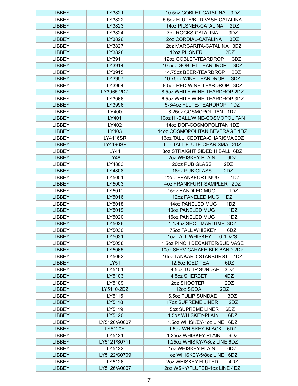| <b>LIBBEY</b> | LY3821          | 10.5oz GOBLET-CATALINA<br>3DZ    |
|---------------|-----------------|----------------------------------|
| <b>LIBBEY</b> | LY3822          | 5.5oz FLUTE/BUD VASE-CATALINA    |
| <b>LIBBEY</b> | LY3823          | 14oz PILSNER-CATALINA<br>2DZ     |
| <b>LIBBEY</b> | LY3824          | 3DZ<br><b>70Z ROCKS-CATALINA</b> |
| <b>LIBBEY</b> | LY3826          | 2oz CORDIAL-CATALINA<br>3DZ      |
| <b>LIBBEY</b> | LY3827          | 12oz MARGARITA-CATALINA 3DZ      |
| <b>LIBBEY</b> | LY3828          | 2DZ<br>12oz PILSNER              |
| <b>LIBBEY</b> | LY3911          | 12oz GOBLET-TEARDROP<br>3DZ      |
| <b>LIBBEY</b> | LY3914          | 10.5oz GOBLET-TEARDROP<br>3DZ    |
| <b>LIBBEY</b> | LY3915          | 14.75oz BEER-TEARDROP<br>3DZ     |
| <b>LIBBEY</b> | LY3957          | 10.75oz WINE-TEARDROP<br>3DZ     |
| <b>LIBBEY</b> | LY3964          | 8.5oz RED WINE-TEARDROP 3DZ      |
| <b>LIBBEY</b> | LY3965-2DZ      | 8.5oz WHITE WINE-TEARDROP 2DZ    |
| <b>LIBBEY</b> | LY3966          | 6.5oz WHITE WINE-TEARDROP 3DZ    |
| <b>LIBBEY</b> | LY3996          | 5-3/4oz FLUTE-TEARDROP 1DZ       |
| <b>LIBBEY</b> | LY400           | 8.25oz COSMOPOLITAN 1DZ          |
| <b>LIBBEY</b> | LY401           | 10oz HI-BALL/WINE-COSMOPOLITAN   |
| <b>LIBBEY</b> | LY402           | 14oz DOF-COSMOPOLITAN 1DZ        |
| <b>LIBBEY</b> | LY403           | 14oz COSMOPOLITAN BEVERAGE 1DZ   |
| <b>LIBBEY</b> | <b>LY4116SR</b> | 16oz TALL ICEDTEA-CHARISMA 2DZ   |
| <b>LIBBEY</b> | <b>LY4196SR</b> | 6oz TALL FLUTE-CHARISMA 2DZ      |
| <b>LIBBEY</b> | LY44            | 8oz STRAIGHT SIDED HIBALL 6DZ    |
| <b>LIBBEY</b> | <b>LY48</b>     | 2oz WHISKEY PLAIN<br>6DZ         |
| <b>LIBBEY</b> | LY4803          | 20oz PUB GLASS<br>2DZ            |
| <b>LIBBEY</b> | LY4808          | 16oz PUB GLASS<br>2DZ            |
| <b>LIBBEY</b> | LY5001          | 22oz FRANKFORT MUG<br>1DZ        |
| <b>LIBBEY</b> | LY5003          | 4oz FRANKFURT SAMPLER 2DZ        |
| <b>LIBBEY</b> | LY5011          | 15oz HANDLED MUG<br>1DZ          |
| <b>LIBBEY</b> | LY5016          | 12oz PANELED MUG<br>1DZ          |
| <b>LIBBEY</b> | LY5018          | 14oz PANELED MUG<br>1DZ          |
| <b>LIBBEY</b> | LY5019          | 10oz PANELED MUG<br>1DZ          |
| <b>LIBBEY</b> | LY5020          | 16oz PANELED MUG<br>1DZ          |
| <b>LIBBEY</b> | LY5026          | 1-1/4oz SHOT-MARITIME 3DZ        |
| <b>LIBBEY</b> | LY5030          | .75oz TALL WHISKEY<br>6DZ        |
| <b>LIBBEY</b> | LY5031          | 1oz TALL WHISKEY<br>$6-1$ DZ'S   |
| <b>LIBBEY</b> | LY5058          | 1.5oz PINCH DECANTER/BUD VASE    |
| <b>LIBBEY</b> | LY5065          | 10oz SERV CARAFE-BLK BAND 2DZ    |
| <b>LIBBEY</b> | LY5092          | 16oz TANKARD-STARBURST 1DZ       |
| <b>LIBBEY</b> | <b>LY51</b>     | 12.5oz ICED TEA<br>6DZ           |
| <b>LIBBEY</b> | LY5101          | 4.5oz TULIP SUNDAE<br>3DZ        |
| <b>LIBBEY</b> | LY5103          | 4.5oz SHERBET<br>4DZ             |
| <b>LIBBEY</b> | LY5109          | 2oz SHOOTER<br>2DZ               |
| <b>LIBBEY</b> | LY5110-2DZ      | 12oz SODA<br>2DZ                 |
| <b>LIBBEY</b> | LY5115          | 6.5oz TULIP SUNDAE<br>3DZ        |
| <b>LIBBEY</b> | LY5118          | 17oz SUPREME LINER<br>2DZ        |
| <b>LIBBEY</b> | LY5119          | 5oz SUPREME LINER<br>6DZ         |
| <b>LIBBEY</b> | LY5120          | 1.5oz WHISKEY-PLAIN<br>6DZ       |
| <b>LIBBEY</b> | LY5120/A0007    | 1.5oz WHISKEY-1oz LINE<br>6DZ    |
| <b>LIBBEY</b> | <b>LY5120E</b>  | 1.5oz WHISKEY-BLACK<br>6DZ       |
| <b>LIBBEY</b> | LY5121          | 1.25oz WHISKEY-PLAIN<br>6DZ      |
| <b>LIBBEY</b> | LY5121/S0711    | 1.25oz WHISKY-7/8oz LINE 6DZ     |
| <b>LIBBEY</b> | LY5122          | 1oz WHISKEY-PLAIN<br>6DZ         |
| <b>LIBBEY</b> | LY5122/S0709    | 1oz WHISKEY-5/8oz LINE<br>6DZ    |
| <b>LIBBEY</b> | LY5126          | 2oz WHISKEY-FLUTED<br>4DZ        |
| <b>LIBBEY</b> | LY5126/A0007    | 2oz WSKY\FLUTED-1oz LINE 4DZ     |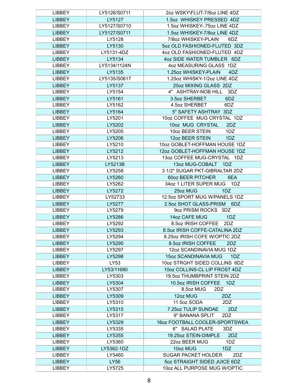| <b>LIBBEY</b> | LY5126/S0711 | 2oz WSKY\FLUT-7/8oz LINE 4DZ      |
|---------------|--------------|-----------------------------------|
| <b>LIBBEY</b> | LY5127       | 1.5oz WHISKEY PRESSED 4DZ         |
| <b>LIBBEY</b> | LY5127/S0710 | 1.5oz WHISKEY-.75oz LINE 4DZ      |
| <b>LIBBEY</b> | LY5127/S0711 | 1.5oz WHISKEY-7/8oz LINE 4DZ      |
| <b>LIBBEY</b> | LY5128       | 7/8oz WHISKEY-PLAIN<br>6DZ        |
| <b>LIBBEY</b> | LY5130       | 5oz OLD FASHIONED-FLUTED 3DZ      |
| <b>LIBBEY</b> | LY5131-4DZ   | 4oz OLD FASHIONED-FLUTED 4DZ      |
| <b>LIBBEY</b> | LY5134       | 4oz SIDE WATER TUMBLER 6DZ        |
| <b>LIBBEY</b> | LY5134/1124N | 4oz MEASURING GLASS 1DZ           |
| <b>LIBBEY</b> | LY5135       | 1.25oz WHISKEY-PLAIN<br>4DZ       |
| <b>LIBBEY</b> | LY5135/S0617 | 1.25oz WHISKY-1/2oz LINE 4DZ      |
| <b>LIBBEY</b> | LY5137       | 20oz MIXING GLASS 2DZ             |
| <b>LIBBEY</b> | LY5154       | 4" ASHTRAY-NOB HILL 3DZ           |
| <b>LIBBEY</b> | LY5161       | 3.5oz SHERBET<br>6DZ              |
| <b>LIBBEY</b> | LY5162       | 6DZ<br>4.5oz SHERBET              |
| <b>LIBBEY</b> | LY5164       | 5" SAFETY ASHTRAY 3DZ             |
| <b>LIBBEY</b> | LY5201       | 10oz COFFEE MUG CRYSTAL 1DZ       |
| <b>LIBBEY</b> | LY5202       | 10oz MUG CRYSTAL<br>2DZ           |
| <b>LIBBEY</b> | LY5205       | 10oz BEER STEIN<br>1DZ            |
| <b>LIBBEY</b> | LY5206       | 12oz BEER STEIN<br>1DZ            |
| <b>LIBBEY</b> | LY5210       | 10oz GOBLET-HOFFMAN HOUSE 1DZ     |
| <b>LIBBEY</b> | LY5212       | 12oz GOBLET-HOFFMAN HOUSE 1DZ     |
| <b>LIBBEY</b> | LY5213       | 13oz COFFEE MUG-CRYSTAL 1DZ       |
| <b>LIBBEY</b> | LY5213B      | 13oz MUG-COBALT 1DZ               |
| <b>LIBBEY</b> | LY5258       | 3 1/2" SUGAR PKT-GIBRALTAR 2DZ    |
| <b>LIBBEY</b> | LY5260       | <b>60oz BEER PITCHER</b><br>6EA   |
| <b>LIBBEY</b> | LY5262       | 34oz 1 LITER SUPER MUG<br>1DZ     |
| <b>LIBBEY</b> | LY5272       | 25oz MUG<br>1DZ                   |
| <b>LIBBEY</b> | LY52733      | 12.5oz SPORT MUG W/PANELS 1DZ     |
| <b>LIBBEY</b> | LY5277       | 2.5oz SHOT GLASS-PRISM<br>6DZ     |
| <b>LIBBEY</b> | LY5279       | 9oz PRISM ROCKS 3DZ               |
| <b>LIBBEY</b> | LY5286       | 14oz CAFE MUG<br>1DZ              |
| <b>LIBBEY</b> | LY5292       | 8.5oz IRISH COFFEE<br>2DZ         |
| <b>LIBBEY</b> | LY5293       | 8.5oz IRISH COFFE-CATALINA 2DZ    |
| <b>LIBBEY</b> | LY5294       | 8.25oz IRISH COFE W/OPTIC 2DZ     |
| <b>LIBBEY</b> | LY5295       | 8.5oz IRISH COFFEE<br>2DZ         |
| <b>LIBBEY</b> | LY5297       | 12oz SCANDINAVIA MUG 1DZ          |
| <b>LIBBEY</b> | LY5298       | 15oz SCANDINAVIA MUG<br>1DZ       |
| <b>LIBBEY</b> | LY53         | 10oz STRGHT SIDED COLLINS 6DZ     |
| <b>LIBBEY</b> | LY53/11680   | 10oz COLLINS-CL LIP FROST 4DZ     |
| <b>LIBBEY</b> | LY5303       | 19.5oz THUMBPRINT STEIN 2DZ       |
| <b>LIBBEY</b> | LY5304       | 10.5oz IRISH COFFEE<br>1DZ        |
| <b>LIBBEY</b> | LY5307       | 8.5oz MUG<br>2DZ                  |
| <b>LIBBEY</b> | LY5309       | 12oz MUG<br>2DZ                   |
| <b>LIBBEY</b> | LY5310       | 11.5oz SODA<br>2DZ                |
| <b>LIBBEY</b> | LY5315       | 7.25oz TULIP SUNDAE<br>2DZ        |
| <b>LIBBEY</b> | LY5317       | 9" BANANA SPLIT<br>2DZ            |
| <b>LIBBEY</b> | LY5329       | 16oz FOOTBALL COOLER-SPORTSWEA    |
| <b>LIBBEY</b> | LY5335       | 6" SALAD PLATE<br>3DZ             |
| <b>LIBBEY</b> | LY5355       | 19.25oz STEIN-DIMPLE<br>2DZ       |
| <b>LIBBEY</b> | LY5360       | 22oz BEER MUG<br>1DZ              |
| <b>LIBBEY</b> | LY5362-1DZ   | 10oz MUG<br>1DZ                   |
| <b>LIBBEY</b> | LY5460       | <b>SUGAR PACKET HOLDER</b><br>2DZ |
| <b>LIBBEY</b> | LY56         | 5oz STRAIGHT SIDED JUICE 6DZ      |
| <b>LIBBEY</b> | LY5725       | 10oz ALL PURPOSE MUG W/OPTIC      |
|               |              |                                   |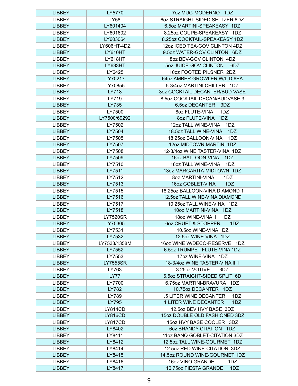| <b>LIBBEY</b> | LY5770          | 7oz MUG-MODERNO 1DZ                   |
|---------------|-----------------|---------------------------------------|
| <b>LIBBEY</b> | LY58            | 6oz STRAIGHT SIDED SELTZER 6DZ        |
| <b>LIBBEY</b> | LY601404        | 6.5oz MARTINI-SPEAKEASY 1DZ           |
| <b>LIBBEY</b> | LY601602        | 8.25oz COUPE-SPEAKEASY 1DZ            |
| <b>LIBBEY</b> | LY603064        | 8.25oz COCKTAIL-SPEAKEASY 1DZ         |
| <b>LIBBEY</b> | LY606HT-4DZ     | 12oz ICED TEA-GOV CLINTON 4DZ         |
| <b>LIBBEY</b> | LY610HT         | 9.5oz WATER-GOV CLINTON 6DZ           |
| <b>LIBBEY</b> | LY618HT         | 8oz BEV-GOV CLINTON 4DZ               |
| <b>LIBBEY</b> | LY633HT         | 5oz JUICE-GOV CLINTON<br>6DZ          |
| <b>LIBBEY</b> | LY6425          | 10oz FOOTED PILSNER 2DZ               |
| <b>LIBBEY</b> | LY70217         | 64oz AMBER GROWLER W/LID 6EA          |
| <b>LIBBEY</b> | LY70855         | 5-3/4oz MARTINI CHILLER 1DZ           |
| <b>LIBBEY</b> | LY718           | 3oz COCKTAIL DECANTER/BUD VASE        |
| <b>LIBBEY</b> | LY719           | 8.5oz COCKTAIL DECAN/BUDVASE 3        |
| <b>LIBBEY</b> | LY735           | 6.5oz DECANTER<br>3DZ                 |
| <b>LIBBEY</b> | LY7500          | 8oz FLUTE-VINA<br>1DZ                 |
| <b>LIBBEY</b> | LY7500/69292    | 8oz FLUTE-VINA<br>1DZ                 |
| <b>LIBBEY</b> | LY7502          | 12oz TALL WINE-VINA<br>1DZ            |
| <b>LIBBEY</b> | LY7504          | 18.5oz TALL WINE-VINA<br>1DZ          |
| <b>LIBBEY</b> | LY7505          | 18.25oz BALLOON-VINA<br>1DZ           |
| <b>LIBBEY</b> | LY7507          | 12oz MIDTOWN MARTINI 1DZ              |
| <b>LIBBEY</b> | LY7508          | 12-3/4oz WINE TASTER-VINA 1DZ         |
| <b>LIBBEY</b> | LY7509          | 16oz BALLOON-VINA<br>1DZ              |
| <b>LIBBEY</b> | LY7510          | 16oz TALL WINE-VINA<br>1DZ            |
| <b>LIBBEY</b> | LY7511          | 13oz MARGARITA-MIDTOWN 1DZ            |
| <b>LIBBEY</b> | LY7512          | 8oz MARTINI-VINA<br>1DZ               |
| <b>LIBBEY</b> | LY7513          | 16oz GOBLET-VINA<br>1DZ               |
| <b>LIBBEY</b> | LY7515          | 18.25oz BALLOON-VINA DIAMOND 1        |
| <b>LIBBEY</b> | LY7516          | 12.5oz TALL WINE-VINA DIAMOND         |
| <b>LIBBEY</b> | LY7517          | 10.25oz TALL WINE-VINA 1DZ            |
| <b>LIBBEY</b> | LY7518          | 10oz MARTINI-VINA 1DZ                 |
| <b>LIBBEY</b> | <b>LY7520SR</b> | 18oz WINE-VINA II<br>1DZ              |
| <b>LIBBEY</b> | LY75305         | <b>6oz CRUET &amp; STOPPER</b><br>1DZ |
| <b>LIBBEY</b> | LY7531          | 10.5oz WINE-VINA 1DZ                  |
| <b>LIBBEY</b> | LY7532          | 12.5oz WINE-VINA 1DZ                  |
| <b>LIBBEY</b> | LY7533/1358M    | 16oz WINE W/DECO-RESERVE<br>1DZ       |
| <b>LIBBEY</b> | LY7552          | 6.5oz TRUMPET FLUTE-VINA 1DZ          |
| <b>LIBBEY</b> | LY7553          | 17oz WINE-VINA 1DZ                    |
| <b>LIBBEY</b> | <b>LY7555SR</b> | 18-3/4oz WINE TASTER-VINA II 1        |
| <b>LIBBEY</b> | LY763           | 3.25oz VOTIVE<br>3DZ                  |
| <b>LIBBEY</b> | <b>LY77</b>     | 6.5oz STRAIGHT-SIDED SPLIT 6D         |
| <b>LIBBEY</b> | LY7700          | 6.75oz MARTINI-BRAVURA 1DZ            |
| <b>LIBBEY</b> | LY782           | 10.75oz DECANTER 1DZ                  |
| <b>LIBBEY</b> | LY789           | .5 LITER WINE DECANTER<br>1DZ         |
| <b>LIBBEY</b> | LY795           | <b>1 LITER WINE DECANTER</b><br>1DZ   |
| <b>LIBBEY</b> | <b>LY814CD</b>  | 12.5oz BEV HVY BASE 3DZ               |
| <b>LIBBEY</b> | <b>LY816CD</b>  | 15oz DOUBLE OLD FASHIONED 3DZ         |
| <b>LIBBEY</b> | LY817CD         | 15oz HVY BASE COOLER 3DZ              |
| <b>LIBBEY</b> | LY8402          | 60Z BRANDY-CITATION 1DZ               |
| <b>LIBBEY</b> | LY8411          | 11oz BANQ GOBLET-CITATION 3DZ         |
| <b>LIBBEY</b> | LY8412          | 12.5oz TALL WINE-GOURMET 1DZ          |
| <b>LIBBEY</b> | LY8414          | 12.5oz RED WINE-CITATION 3DZ          |
| <b>LIBBEY</b> | LY8415          | 14.5oz ROUND WINE-GOURMET 1DZ         |
| <b>LIBBEY</b> | LY8416          | 16oz VINO GRANDE<br>1DZ               |
| <b>LIBBEY</b> | LY8417          | 16.75oz FIESTA GRANDE<br>1DZ          |
|               |                 |                                       |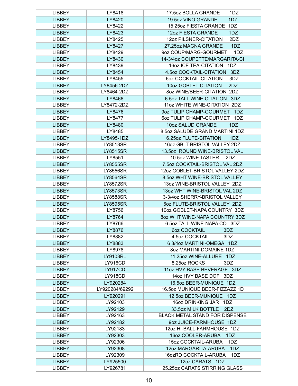| LIBBEY        | LY8418          | 1DZ<br>17.5oz BOLLA GRANDE     |
|---------------|-----------------|--------------------------------|
| <b>LIBBEY</b> | LY8420          | 19.5oz VINO GRANDE<br>1DZ      |
| <b>LIBBEY</b> | LY8422          | 15.25oz FIESTA GRANDE<br>1DZ   |
| <b>LIBBEY</b> | LY8423          | 12oz FIESTA GRANDE<br>1DZ      |
| <b>LIBBEY</b> | LY8425          | 12oz PILSNER-CITATION<br>2DZ   |
| <b>LIBBEY</b> | LY8427          | 27.25oz MAGNA GRANDE<br>1DZ    |
| <b>LIBBEY</b> | LY8429          | 9oz COUP/MARG-GOURMET<br>1DZ   |
| <b>LIBBEY</b> | LY8430          | 14-3/4oz COUPETTE/MARGARITA-CI |
| <b>LIBBEY</b> | LY8439          | 16oz ICE TEA-CITATION 1DZ      |
| <b>LIBBEY</b> | LY8454          | 4.5oz COCKTAIL-CITATION<br>3DZ |
| <b>LIBBEY</b> | LY8455          | 6oz COCKTAIL-CITATION<br>3DZ   |
| <b>LIBBEY</b> | LY8456-2DZ      | 10oz GOBLET-CITATION<br>2DZ    |
| <b>LIBBEY</b> | LY8464-2DZ      | 8oz WINE/BEER-CITATION 2DZ     |
| <b>LIBBEY</b> | LY8466          | 6.5oz TALL WINE-CITATION 3DZ   |
| <b>LIBBEY</b> | LY8472-2DZ      | 11oz WHITE WINE-CITATION 2DZ   |
| <b>LIBBEY</b> | LY8476          | 9oz TULIP CHAMP-GOURMET<br>1DZ |
| <b>LIBBEY</b> | LY8477          | 6oz TULIP CHAMP-GOURMET 1DZ    |
| <b>LIBBEY</b> | LY8480          | 10oz SALUD GRANDE<br>1DZ       |
| <b>LIBBEY</b> | LY8485          | 8.5oz SALUDE GRAND MARTINI 1DZ |
| <b>LIBBEY</b> | LY8495-1DZ      | 6.25oz FLUTE-CITATION<br>1DZ   |
| <b>LIBBEY</b> | LY8513SR        | 16oz GBLT-BRISTOL VALLEY 2DZ   |
| <b>LIBBEY</b> | <b>LY8515SR</b> | 13.5oz ROUND WINE-BRISTOL VAL  |
| <b>LIBBEY</b> | LY8551          | 10.5oz WINE TASTER<br>2DZ      |
| <b>LIBBEY</b> | <b>LY8555SR</b> | 7.5oz COCKTAIL-BRISTOL VAL 2DZ |
| <b>LIBBEY</b> | <b>LY8556SR</b> | 12oz GOBLET-BRISTOL VALLEY 2DZ |
| <b>LIBBEY</b> | <b>LY8564SR</b> | 8.5oz WHT WINE-BRISTOL VALLEY  |
| <b>LIBBEY</b> | <b>LY8572SR</b> | 13oz WINE-BRISTOL VALLEY 2DZ   |
| <b>LIBBEY</b> | <b>LY8573SR</b> | 13oz WHT WINE-BRISTOL VAL 2DZ  |
| <b>LIBBEY</b> | <b>LY8588SR</b> | 3-3/4oz SHERRY-BRISTOL VALLEY  |
| <b>LIBBEY</b> | <b>LY8595SR</b> | 6oz FLUTE-BRISTOL VALLEY 2DZ   |
| <b>LIBBEY</b> | LY8756          | 10oz GOBLET-NAPA COUNTRY 3DZ   |
| <b>LIBBEY</b> | LY8764          | 8oz WHT WINE-NAPA COUNTRY 3DZ  |
| <b>LIBBEY</b> | LY8766          | 6.5 oz TALL WINE-NAPA CO 3DZ   |
| <b>LIBBEY</b> | LY8876          | <b>6oz COCKTAIL</b><br>3DZ     |
| <b>LIBBEY</b> | LY8882          | 4.5oz COCKTAIL<br>3DZ          |
| <b>LIBBEY</b> | LY8883          | 6 3/4oz MARTINI-OMEGA 1DZ      |
| <b>LIBBEY</b> | LY8978          | 802 MARTINI-DOMAINE 1DZ        |
| <b>LIBBEY</b> | <b>LY9103RL</b> | 11.25oz WINE-ALLURE 1DZ        |
| <b>LIBBEY</b> | <b>LY916CD</b>  | 8.25oz ROCKS<br>3DZ            |
| <b>LIBBEY</b> | LY917CD         | 11oz HVY BASE BEVERAGE 3DZ     |
| <b>LIBBEY</b> | <b>LY918CD</b>  | 14oz HVY BASE DOF 3DZ          |
| <b>LIBBEY</b> | LY920284        | 16.5oz BEER-MUNIQUE 1DZ        |
| <b>LIBBEY</b> | LY920284/69292  | 16.5oz MUNIQUE BEER-FIZZAZZ 1D |
| <b>LIBBEY</b> | LY920291        | 12.5oz BEER-MUNIQUE 1DZ        |
| <b>LIBBEY</b> | LY92103         | 16oz DRINKING JAR 1DZ          |
| <b>LIBBEY</b> | LY92129         | 33.5oz MILK BOTTLE<br>2DZ      |
| <b>LIBBEY</b> | LY92163         | BLACK METAL STAND FOR DISPENSE |
| <b>LIBBEY</b> | LY92182         | 9oz JUICE-FARMHOUSE 1DZ        |
| <b>LIBBEY</b> | LY92183         | 12oz HI-BALL-FARMHOUSE 1DZ     |
| <b>LIBBEY</b> | LY92303         | 16oz COOLER-ARUBA<br>1DZ       |
| <b>LIBBEY</b> | LY92306         | 15oz COCKTAIL-ARUBA<br>1DZ     |
| <b>LIBBEY</b> | LY92308         | 12oz MARGARITA-ARUBA<br>1DZ    |
| <b>LIBBEY</b> | LY92309         | 16ozRD COCKTAIL-ARUBA<br>1DZ   |
| <b>LIBBEY</b> | LY925500        | 12oz CARATS 1DZ                |
| <b>LIBBEY</b> | LY926781        | 25.25oz CARATS STIRRING GLASS  |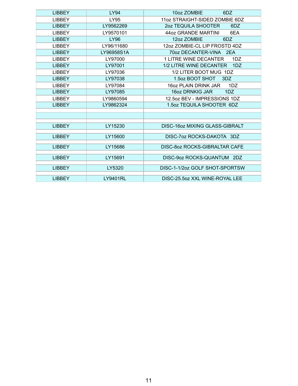| <b>LIBBEY</b> | <b>LY94</b>     | 10oz ZOMBIE<br>6DZ                |
|---------------|-----------------|-----------------------------------|
| <b>LIBBEY</b> | <b>LY95</b>     | 11oz STRAIGHT-SIDED ZOMBIE 6DZ    |
| <b>LIBBEY</b> | LY9562269       | <b>202 TEQUILA SHOOTER</b><br>6DZ |
| <b>LIBBEY</b> | LY9570101       | 44oz GRANDE MARTINI<br>6EA        |
| <b>LIBBEY</b> | LY96            | 12oz ZOMBIE<br>6DZ                |
| <b>LIBBEY</b> | LY96/11680      | 12oz ZOMBIE-CL LIP FROSTD 4DZ     |
| <b>LIBBEY</b> | LY96958S1A      | 70oz DECANTER-VINA 2EA            |
| <b>LIBBEY</b> | LY97000         | 1 LITRE WINE DECANTER<br>1DZ      |
| <b>LIBBEY</b> | LY97001         | 1/2 LITRE WINE DECANTER<br>1DZ    |
| <b>LIBBEY</b> | LY97036         | 1/2 LITER BOOT MUG 1DZ            |
| <b>LIBBEY</b> | LY97038         | 1.5oz BOOT SHOT<br>3DZ            |
| <b>LIBBEY</b> | LY97084         | 16oz PLAIN DRINK JAR<br>1DZ       |
| <b>LIBBEY</b> | LY97085         | 16oz DRNKIG JAR<br>1DZ            |
| <b>LIBBEY</b> | LY9860594       | 12.5oz BEV - IMPRESSIONS 1DZ      |
| <b>LIBBEY</b> | LY9862324       | 1.5oz TEQUILA SHOOTER 6DZ         |
|               |                 |                                   |
|               |                 |                                   |
| <b>LIBBEY</b> | LY15230         | DISC-16oz MIXING GLASS-GIBRALT    |
| <b>LIBBEY</b> | LY15600         | DISC-702 ROCKS-DAKOTA 3DZ         |
|               |                 |                                   |
| <b>LIBBEY</b> | LY15686         | DISC-80z ROCKS-GIBRALTAR CAFE     |
| <b>LIBBEY</b> | LY15691         | DISC-9oz ROCKS-QUANTUM 2DZ        |
|               |                 |                                   |
| <b>LIBBEY</b> | LY5320          | DISC-1-1/2oz GOLF SHOT-SPORTSW    |
|               |                 |                                   |
| <b>LIBBEY</b> | <b>LY9401RL</b> | DISC-25.5oz XXL WINE-ROYAL LEE    |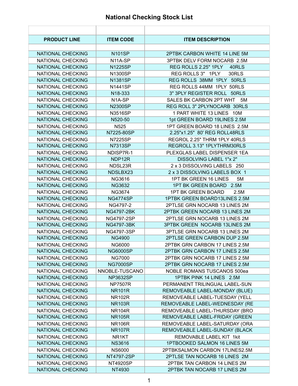#### **National Checking Stock List**

| <b>PRODUCT LINE</b>      | <b>ITEM CODE</b>    | <b>ITEM DESCRIPTION</b>            |
|--------------------------|---------------------|------------------------------------|
|                          |                     |                                    |
| NATIONAL CHECKING        | <b>N101SP</b>       | 2PTBK CARBON WHITE 14 LINE 5M      |
| NATIONAL CHECKING        | N <sub>14</sub> -SP | 3PTBK DELV FORM NOCARB 2.5M        |
| NATIONAL CHECKING        | <b>N1225SP</b>      | REG ROLLS 2.25" 1PLY<br>40RLS      |
| NATIONAL CHECKING        | N1300SP             | REG ROLLS 3" 1PLY<br>30RLS         |
| NATIONAL CHECKING        | N1381SP             | REG ROLLS 38MM 1PLY 50RLS          |
| NATIONAL CHECKING        | N1441SP             | REG ROLLS 44MM 1PLY 50RLS          |
| NATIONAL CHECKING        | N18-333             | 3" 3PLY REGISTER ROLL 50RLS        |
| NATIONAL CHECKING        | N <sub>1</sub> A-SP | SALES BK CARBON 2PT WHT<br>5M      |
| NATIONAL CHECKING        | <b>N2300SP</b>      | REG ROLL 3" 2PLYNOCARB 30RLS       |
| NATIONAL CHECKING        | N3516SP             | 1 PART WHITE 13 LINES 10M          |
| NATIONAL CHECKING        | N520-50             | 1pt GREEN BOARD 19LINES 2.5M       |
| NATIONAL CHECKING        | N <sub>525</sub>    | 1PT GREEN BOARD 18 LINES 2.5M      |
| NATIONAL CHECKING        | N7225-80SP          | 2.25"x1.25" 80' REG ROLL48RLS      |
| NATIONAL CHECKING        | <b>N7225SP</b>      | REGROL 2.25" THRM 1PLY 40RLS       |
| NATIONAL CHECKING        | <b>N7313SP</b>      | REGROLL 3.13" 1PLYTHRM30RLS        |
| NATIONAL CHECKING        | NDISP7R-1           | PLEXGLAS LABEL DISPENSER 1EA       |
| NATIONAL CHECKING        | NDP12R              | DISSOLVING LABEL 1"x 2"            |
| <b>NATIONAL CHECKING</b> | NDSL23R             | 2 x 3 DISSOLVING LABELS 250        |
| NATIONAL CHECKING        | NDSLBX23            | 2 x 3 DISSOLVING LABELS BOX 1      |
| NATIONAL CHECKING        | NG3616              | 1PT BK GREEN 16 LINES<br>5M        |
| NATIONAL CHECKING        | <b>NG3632</b>       | 1PT BK GREEN BOARD 2.5M            |
| NATIONAL CHECKING        | <b>NG3674</b>       | 1PT BK GREEN BOARD<br>2.5M         |
| NATIONAL CHECKING        | <b>NG4774SP</b>     | 1PTBK GREEN BOARD13LINES 2.5M      |
| NATIONAL CHECKING        | NG4797-2            | 2PTLSE GRN NOCARB 13 LINES 2M      |
| NATIONAL CHECKING        | NG4797-2BK          | 2PTBK GREEN NOCARB 13 LINES 2M     |
| NATIONAL CHECKING        | NG4797-2SP          | 2PTLSE GRN NOCARB 13 LINES 2M      |
| NATIONAL CHECKING        | <b>NG4797-3BK</b>   | 3PTBK GREEN NOCARB 13LINES 2M      |
| NATIONAL CHECKING        | NG4797-3SP          | 3PTLSE GRN NOCARB 13 LINES 2M      |
| NATIONAL CHECKING        | <b>NG4900</b>       | 2PTLSE GREEN CARBON DUP 2.5M       |
| NATIONAL CHECKING        | <b>NG6000</b>       | 2PTBK GRN CARBON 17 LINES 2.5M     |
| NATIONAL CHECKING        | <b>NG6000SP</b>     | 2PTBK GRN CARBON 17 LINES 2.5M     |
| NATIONAL CHECKING        | <b>NG7000</b>       | 2PTBK GRN NOCARB 17 LINES 2.5M     |
| NATIONAL CHECKING        | <b>NG7000SP</b>     | 2PTBK GRN NOCARB 17 LINES 2.5M     |
| NATIONAL CHECKING        | NNOBLE-TUSCANO      | <b>NOBLE ROMANS TUSCANOS 500ea</b> |
| NATIONAL CHECKING        | <b>NP3632SP</b>     | 1PTBK PINK 14 LINES 2.5M           |
| NATIONAL CHECKING        | <b>NP7507R</b>      | PERMANENT TRILINGUAL LABEL-SUN     |
| NATIONAL CHECKING        | <b>NR101R</b>       | REMOVEABLE LABEL-MONDAY (BLUE)     |
| NATIONAL CHECKING        | <b>NR102R</b>       | REMOVEABLE LABEL-TUESDAY (YELL     |
| NATIONAL CHECKING        | <b>NR103R</b>       | REMOVEABLE LABEL-WEDNESDAY (RE     |
| NATIONAL CHECKING        | <b>NR104R</b>       | REMOVEABLE LABEL-THURSDAY (BRO     |
| NATIONAL CHECKING        | <b>NR105R</b>       | REMOVEABLE LABEL-FRIDAY (GREEN     |
| NATIONAL CHECKING        | <b>NR106R</b>       | REMOVEABLE LABEL-SATURDAY (ORA     |
| NATIONAL CHECKING        | <b>NR107R</b>       | REMOVEABLE LABEL-SUNDAY (BLACK     |
| NATIONAL CHECKING        | NR <sub>1</sub> KT  | REMOVABLE LABEL KIT 1kit           |
| NATIONAL CHECKING        | <b>NS3616</b>       | 1PTBOOKED SALMON 16 LINES 5M       |
| NATIONAL CHECKING        | <b>NS6000</b>       | 2PTBKSALMON CARBON 17LINES2.5M     |
| NATIONAL CHECKING        | NT4797-2SP          | 2PTLSE TAN NOCARB 16 LINES 2M      |
| NATIONAL CHECKING        | <b>NT4920SP</b>     | 2PTBK TAN CARBON 14 LINES 2M       |
| NATIONAL CHECKING        | NT4930              | 2PTBK TAN NOCARB 17 LINES 2M       |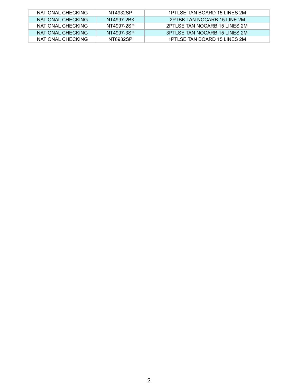| NATIONAL CHECKING | NT4932SP   | 1PTLSE TAN BOARD 15 LINES 2M  |
|-------------------|------------|-------------------------------|
| NATIONAL CHECKING | NT4997-2BK | 2PTBK TAN NOCARB 15 LINE 2M   |
| NATIONAL CHECKING | NT4997-2SP | 2PTLSE TAN NOCARB 15 LINES 2M |
| NATIONAL CHECKING | NT4997-3SP | 3PTLSE TAN NOCARB 15 LINES 2M |
| NATIONAL CHECKING | NT6932SP   | 1PTLSE TAN BOARD 15 LINES 2M  |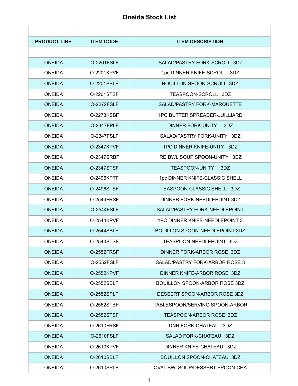#### **Oneida Stock List**

| <b>PRODUCT LINE</b> | <b>ITEM CODE</b>  | <b>ITEM DESCRIPTION</b>               |
|---------------------|-------------------|---------------------------------------|
|                     |                   |                                       |
| <b>ONEIDA</b>       | <b>O-2201FSLF</b> | SALAD/PASTRY FORK-SCROLL 3DZ          |
| <b>ONEIDA</b>       | 0-2201KPVF        | 1pc DINNER KNIFE-SCROLL 3DZ           |
| <b>ONEIDA</b>       | O-2201SBLF        | <b>BOUILLON SPOON-SCROLL 3DZ</b>      |
| <b>ONEIDA</b>       | O-2201STSF        | TEASPOON-SCROLL 3DZ                   |
| <b>ONEIDA</b>       | <b>O-2272FSLF</b> | SALAD/PASTRY FORK-MARQUETTE           |
| <b>ONEIDA</b>       | 0-2273KSBF        | <b>1PC BUTTER SPREADER-JUILLIARD</b>  |
| <b>ONEIDA</b>       | <b>O-2347FPLF</b> | <b>DINNER FORK-UNITY</b><br>3DZ       |
| <b>ONEIDA</b>       | <b>O-2347FSLF</b> | SALAD/PASTRY FORK-UNITY 3DZ           |
| <b>ONEIDA</b>       | <b>O-2347KPVF</b> | 1PC DINNER KNIFE-UNITY 3DZ            |
| <b>ONEIDA</b>       | O-2347SRBF        | RD BWL SOUP SPOON-UNITY 3DZ           |
| <b>ONEIDA</b>       | O-2347STSF        | <b>TEASPOON-UNITY</b><br>3DZ          |
| <b>ONEIDA</b>       | O-2496KPTF        | 1pc DINNER KNIFE-CLASSIC SHELL        |
| <b>ONEIDA</b>       | <b>O-2496STSF</b> | TEASPOON-CLASSIC SHELL 3DZ            |
| <b>ONEIDA</b>       | <b>O-2544FRSF</b> | DINNER FORK-NEEDLEPOINT 3DZ           |
| <b>ONEIDA</b>       | <b>O-2544FSLF</b> | SALAD/PASTRY FORK-NEEDLEPOINT         |
| <b>ONEIDA</b>       | <b>O-2544KPVF</b> | 1PC DINNER KNIFE-NEEDLEPOINT 3        |
| <b>ONEIDA</b>       | O-2544SBLF        | <b>BOUILLON SPOON-NEEDLEPOINT 3DZ</b> |
| <b>ONEIDA</b>       | <b>O-2544STSF</b> | TEASPOON-NEEDLEPOINT 3DZ              |
| <b>ONEIDA</b>       | 0-2552FRSF        | DINNER FORK-ARBOR ROSE 3DZ            |
| <b>ONEIDA</b>       | <b>O-2552FSLF</b> | SALAD/PASTRY FORK-ARBOR ROSE 3        |
| <b>ONEIDA</b>       | <b>O-2552KPVF</b> | DINNER KNIFE-ARBOR ROSE 3DZ           |
| <b>ONEIDA</b>       | O-2552SBLF        | BOUILLON SPOON-ARBOR ROSE 3DZ         |
| <b>ONEIDA</b>       | 0-2552SPLF        | DESSERT SPOON-ARBOR ROSE 3DZ          |
| <b>ONEIDA</b>       | <b>O-2552STBF</b> | TABLESPOON/SERVING SPOON-ARBOR        |
| <b>ONEIDA</b>       | <b>O-2552STSF</b> | TEASPOON-ARBOR ROSE 3DZ               |
| <b>ONEIDA</b>       | <b>O-2610FRSF</b> | DNR FORK-CHATEAU 3DZ                  |
| <b>ONEIDA</b>       | O-2610FSLF        | SALAD FORK-CHATEAU 3DZ                |
| <b>ONEIDA</b>       | 0-2610KPVF        | DINNER KNIFE-CHATEAU 3DZ              |
| <b>ONEIDA</b>       | O-2610SBLF        | <b>BOUILLON SPOON-CHATEAU 3DZ</b>     |
| <b>ONEIDA</b>       | O-2610SPLF        | OVAL BWLSOUP/DESSERT SPOON-CHA        |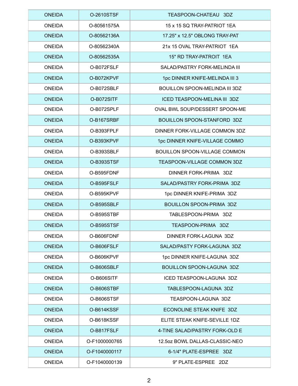| <b>ONEIDA</b> | <b>O-2610STSF</b> | TEASPOON-CHATEAU 3DZ                 |
|---------------|-------------------|--------------------------------------|
| <b>ONEIDA</b> | O-80561575A       | 15 x 15 SQ TRAY-PATRIOT 1EA          |
| <b>ONEIDA</b> | O-80562136A       | 17.25" x 12.5" OBLONG TRAY-PAT       |
| <b>ONEIDA</b> | O-80562340A       | 21x 15 OVAL TRAY-PATRIOT 1EA         |
| <b>ONEIDA</b> | O-80562535A       | 15" RD TRAY-PATROIT 1EA              |
| <b>ONEIDA</b> | O-B072FSLF        | SALAD/PASTRY FORK-MELINDA III        |
| <b>ONEIDA</b> | O-B072KPVF        | 1pc DINNER KNIFE-MELINDA III 3       |
| <b>ONEIDA</b> | O-B072SBLF        | BOUILLON SPOON-MELINDA III 3DZ       |
| <b>ONEIDA</b> | O-B072SITF        | ICED TEASPOON-MELINA III 3DZ         |
| <b>ONEIDA</b> | O-B072SPLF        | OVAL BWL SOUP/DESSERT SPOON-ME       |
| <b>ONEIDA</b> | O-B167SRBF        | <b>BOUILLON SPOON-STANFORD 3DZ</b>   |
| <b>ONEIDA</b> | O-B393FPLF        | DINNER FORK-VILLAGE COMMON 3DZ       |
| <b>ONEIDA</b> | O-B393KPVF        | 1pc DINNER KNIFE-VILLAGE COMMO       |
| <b>ONEIDA</b> | O-B393SBLF        | <b>BOUILLON SPOON-VILLAGE COMMON</b> |
| <b>ONEIDA</b> | O-B393STSF        | TEASPOON-VILLAGE COMMON 3DZ          |
| <b>ONEIDA</b> | O-B595FDNF        | DINNER FORK-PRIMA 3DZ                |
| <b>ONEIDA</b> | O-B595FSLF        | SALAD/PASTRY FORK-PRIMA 3DZ          |
| <b>ONEIDA</b> | O-B595KPVF        | 1pc DINNER KNIFE-PRIMA 3DZ           |
| <b>ONEIDA</b> | O-B595SBLF        | <b>BOUILLON SPOON-PRIMA 3DZ</b>      |
| <b>ONEIDA</b> | O-B595STBF        | TABLESPOON-PRIMA 3DZ                 |
| <b>ONEIDA</b> | O-B595STSF        | TEASPOON-PRIMA 3DZ                   |
| <b>ONEIDA</b> | O-B606FDNF        | DINNER FORK-LAGUNA 3DZ               |
| <b>ONEIDA</b> | O-B606FSLF        | SALAD/PASTY FORK-LAGUNA 3DZ          |
| <b>ONEIDA</b> | O-B606KPVF        | 1pc DINNER KNIFE-LAGUNA 3DZ          |
| <b>ONEIDA</b> | O-B606SBLF        | <b>BOUILLON SPOON-LAGUNA 3DZ</b>     |
| <b>ONEIDA</b> | O-B606SITF        | ICED TEASPOON-LAGUNA 3DZ             |
| <b>ONEIDA</b> | O-B606STBF        | TABLESPOON-LAGUNA 3DZ                |
| <b>ONEIDA</b> | O-B606STSF        | TEASPOON-LAGUNA 3DZ                  |
| <b>ONEIDA</b> | O-B614KSSF        | ECONOLINE STEAK KNIFE 3DZ            |
| <b>ONEIDA</b> | O-B618KSSF        | ELITE STEAK KNIFE-SEVILLE 1DZ        |
| <b>ONEIDA</b> | O-B817FSLF        | 4-TINE SALAD/PASTRY FORK-OLD E       |
| <b>ONEIDA</b> | O-F1000000765     | 12.5oz BOWL DALLAS-CLASSIC-NEO       |
| <b>ONEIDA</b> | O-F1040000117     | 6-1/4" PLATE-ESPREE 3DZ              |
| <b>ONEIDA</b> | O-F1040000139     | 9" PLATE-ESPREE 2DZ                  |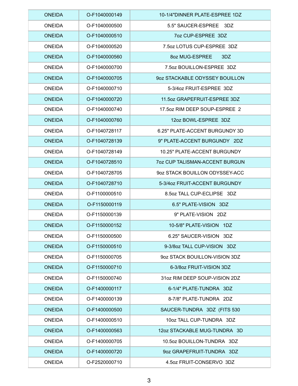| <b>ONEIDA</b> | O-F1040000149 | 10-1/4"DINNER PLATE-ESPREE 1DZ        |
|---------------|---------------|---------------------------------------|
| <b>ONEIDA</b> | O-F1040000500 | 5.5" SAUCER-ESPREE 3DZ                |
| <b>ONEIDA</b> | O-F1040000510 | 7oz CUP-ESPREE 3DZ                    |
| <b>ONEIDA</b> | O-F1040000520 | 7.5oz LOTUS CUP-ESPREE 3DZ            |
| <b>ONEIDA</b> | O-F1040000560 | 8oz MUG-ESPREE<br>3DZ                 |
| <b>ONEIDA</b> | O-F1040000700 | 7.5oz BOUILLON-ESPREE 3DZ             |
| <b>ONEIDA</b> | O-F1040000705 | 90Z STACKABLE ODYSSEY BOUILLON        |
| <b>ONEIDA</b> | O-F1040000710 | 5-3/4oz FRUIT-ESPREE 3DZ              |
| <b>ONEIDA</b> | O-F1040000720 | 11.5oz GRAPEFRUIT-ESPREE 3DZ          |
| <b>ONEIDA</b> | O-F1040000740 | 17.5oz RIM DEEP SOUP-ESPREE 2         |
| <b>ONEIDA</b> | O-F1040000760 | 12oz BOWL-ESPREE 3DZ                  |
| <b>ONEIDA</b> | O-F1040728117 | 6.25" PLATE-ACCENT BURGUNDY 3D        |
| <b>ONEIDA</b> | O-F1040728139 | 9" PLATE-ACCENT BURGUNDY 2DZ          |
| <b>ONEIDA</b> | O-F1040728149 | 10.25" PLATE-ACCENT BURGUNDY          |
| <b>ONEIDA</b> | O-F1040728510 | <b>7oz CUP TALISMAN-ACCENT BURGUN</b> |
| <b>ONEIDA</b> | O-F1040728705 | 90Z STACK BOUILLON ODYSSEY-ACC        |
| <b>ONEIDA</b> | O-F1040728710 | 5-3/4oz FRUIT-ACCENT BURGUNDY         |
| <b>ONEIDA</b> | O-F1100000510 | 8.5oz TALL CUP-ECLIPSE 3DZ            |
| <b>ONEIDA</b> | O-F1150000119 | 6.5" PLATE-VISION 3DZ                 |
| <b>ONEIDA</b> | O-F1150000139 | 9" PLATE-VISION 2DZ                   |
| <b>ONEIDA</b> | O-F1150000152 | 10-5/8" PLATE-VISION 1DZ              |
| <b>ONEIDA</b> | O-F1150000500 | 6.25" SAUCER-VISION 3DZ               |
| <b>ONEIDA</b> | O-F1150000510 | 9-3/80z TALL CUP-VISION 3DZ           |
| <b>ONEIDA</b> | O-F1150000705 | 9oz STACK BOUILLON-VISION 3DZ         |
| <b>ONEIDA</b> | O-F1150000710 | 6-3/8oz FRUIT-VISION 3DZ              |
| <b>ONEIDA</b> | O-F1150000740 | 31oz RIM DEEP SOUP-VISION 2DZ         |
| <b>ONEIDA</b> | O-F1400000117 | 6-1/4" PLATE-TUNDRA 3DZ               |
| <b>ONEIDA</b> | O-F1400000139 | 8-7/8" PLATE-TUNDRA 2DZ               |
| <b>ONEIDA</b> | O-F1400000500 | SAUCER-TUNDRA 3DZ (FITS 530           |
| <b>ONEIDA</b> | O-F1400000510 | 10oz TALL CUP-TUNDRA 3DZ              |
| <b>ONEIDA</b> | O-F1400000563 | 12oz STACKABLE MUG-TUNDRA 3D          |
| <b>ONEIDA</b> | O-F1400000705 | 10.5oz BOUILLON-TUNDRA 3DZ            |
| <b>ONEIDA</b> | O-F1400000720 | 9oz GRAPEFRUIT-TUNDRA 3DZ             |
| <b>ONEIDA</b> | O-F2520000710 | 4.5oz FRUIT-CONSERVO 3DZ              |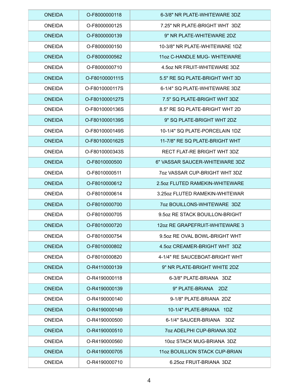| <b>ONEIDA</b> | O-F8000000118  | 6-3/8" NR PLATE-WHITEWARE 3DZ        |
|---------------|----------------|--------------------------------------|
| <b>ONEIDA</b> | O-F8000000125  | 7.25" NR PLATE-BRIGHT WHT 3DZ        |
| <b>ONEIDA</b> | O-F8000000139  | 9" NR PLATE-WHITEWARE 2DZ            |
| <b>ONEIDA</b> | O-F8000000150  | 10-3/8" NR PLATE-WHITEWARE 1DZ       |
| <b>ONEIDA</b> | O-F8000000562  | 11 oz C-HANDLE MUG- WHITEWARE        |
| <b>ONEIDA</b> | O-F8000000710  | 4.5 oz NR FRUIT-WHITEWARE 3DZ        |
| <b>ONEIDA</b> | O-F8010000111S | 5.5" RE SQ PLATE-BRIGHT WHT 3D       |
| <b>ONEIDA</b> | O-F8010000117S | 6-1/4" SQ PLATE-WHITEWARE 3DZ        |
| <b>ONEIDA</b> | O-F8010000127S | 7.5" SQ PLATE-BRIGHT WHT 3DZ         |
| <b>ONEIDA</b> | O-F8010000136S | 8.5" RE SQ PLATE-BRIGHT WHT 2D       |
| <b>ONEIDA</b> | O-F8010000139S | 9" SQ PLATE-BRIGHT WHT 2DZ           |
| <b>ONEIDA</b> | O-F8010000149S | 10-1/4" SQ PLATE-PORCELAIN 1DZ       |
| <b>ONEIDA</b> | O-F8010000162S | 11-7/8" RE SQ PLATE-BRIGHT WHT       |
| <b>ONEIDA</b> | O-F8010000343S | RECT FLAT-RE BRIGHT WHT 3DZ          |
| <b>ONEIDA</b> | O-F8010000500  | 6" VASSAR SAUCER-WHITEWARE 3DZ       |
| <b>ONEIDA</b> | O-F8010000511  | <b>70Z VASSAR CUP-BRIGHT WHT 3DZ</b> |
| <b>ONEIDA</b> | O-F8010000612  | 2.5oz FLUTED RAMEKIN-WHITEWARE       |
| <b>ONEIDA</b> | O-F8010000614  | 3.25 oz FLUTED RAMEKIN-WHITEWAR      |
| <b>ONEIDA</b> | O-F8010000700  | <b>70Z BOUILLONS-WHITEWARE 3DZ</b>   |
| <b>ONEIDA</b> | O-F8010000705  | 9.5oz RE STACK BOUILLON-BRIGHT       |
| <b>ONEIDA</b> | O-F8010000720  | 12oz RE GRAPEFRUIT-WHITEWARE 3       |
| <b>ONEIDA</b> | O-F8010000754  | 9.5oz RE OVAL BOWL-BRIGHT WHT        |
| <b>ONEIDA</b> | O-F8010000802  | 4.5oz CREAMER-BRIGHT WHT 3DZ         |
| <b>ONEIDA</b> | O-F8010000820  | 4-1/4" RE SAUCEBOAT-BRIGHT WHT       |
| <b>ONEIDA</b> | O-R4110000139  | 9" NR PLATE-BRIGHT WHITE 2DZ         |
| <b>ONEIDA</b> | O-R4190000118  | 6-3/8" PLATE-BRIANA 3DZ              |
| <b>ONEIDA</b> | O-R4190000139  | 9" PLATE-BRIANA 2DZ                  |
| <b>ONEIDA</b> | O-R4190000140  | 9-1/8" PLATE-BRIANA 2DZ              |
| <b>ONEIDA</b> | O-R4190000149  | 10-1/4" PLATE-BRIANA 1DZ             |
| <b>ONEIDA</b> | O-R4190000500  | 6-1/4" SAUCER-BRIANA 3DZ             |
| <b>ONEIDA</b> | O-R4190000510  | 7oz ADELPHI CUP-BRIANA 3DZ           |
| <b>ONEIDA</b> | O-R4190000560  | 10oz STACK MUG-BRIANA 3DZ            |
| <b>ONEIDA</b> | O-R4190000705  | 11 oz BOUILLION STACK CUP-BRIAN      |
| <b>ONEIDA</b> | O-R4190000710  | 6.25 oz FRUIT-BRIANA 3DZ             |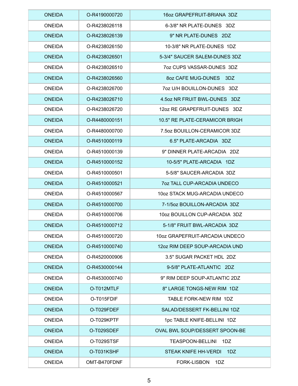| <b>ONEIDA</b> | O-R4190000720 | 16oz GRAPEFRUIT-BRIANA 3DZ            |
|---------------|---------------|---------------------------------------|
| <b>ONEIDA</b> | O-R4238026118 | 6-3/8" NR PLATE-DUNES 3DZ             |
| <b>ONEIDA</b> | O-R4238026139 | 9" NR PLATE-DUNES 2DZ                 |
| <b>ONEIDA</b> | O-R4238026150 | 10-3/8" NR PLATE-DUNES 1DZ            |
| <b>ONEIDA</b> | O-R4238026501 | 5-3/4" SAUCER SALEM-DUNES 3DZ         |
| <b>ONEIDA</b> | O-R4238026510 | 7oz CUPS VASSAR-DUNES 3DZ             |
| <b>ONEIDA</b> | O-R4238026560 | 80Z CAFE MUG-DUNES 3DZ                |
| <b>ONEIDA</b> | O-R4238026700 | 7oz U/H BOUILLON-DUNES 3DZ            |
| <b>ONEIDA</b> | O-R4238026710 | 4.5oz NR FRUIT BWL-DUNES 3DZ          |
| <b>ONEIDA</b> | O-R4238026720 | 12oz RE GRAPEFRUIT-DUNES 3DZ          |
| <b>ONEIDA</b> | O-R4480000151 | 10.5" RE PLATE-CERAMICOR BRIGH        |
| <b>ONEIDA</b> | O-R4480000700 | 7.5 oz BOUILLON-CERAMICOR 3DZ         |
| <b>ONEIDA</b> | O-R4510000119 | 6.5" PLATE-ARCADIA 3DZ                |
| <b>ONEIDA</b> | O-R4510000139 | 9" DINNER PLATE-ARCADIA 2DZ           |
| <b>ONEIDA</b> | O-R4510000152 | 10-5/5" PLATE-ARCADIA 1DZ             |
| <b>ONEIDA</b> | O-R4510000501 | 5-5/8" SAUCER-ARCADIA 3DZ             |
| <b>ONEIDA</b> | O-R4510000521 | <b>70Z TALL CUP-ARCADIA UNDECO</b>    |
| <b>ONEIDA</b> | O-R4510000567 | 10oz STACK MUG-ARCADIA UNDECO         |
| <b>ONEIDA</b> | O-R4510000700 | 7-1/5oz BOUILLON-ARCADIA 3DZ          |
| <b>ONEIDA</b> | O-R4510000706 | 10oz BOUILLON CUP-ARCADIA 3DZ         |
| <b>ONEIDA</b> | O-R4510000712 | 5-1/8" FRUIT BWL-ARCADIA 3DZ          |
| <b>ONEIDA</b> | O-R4510000720 | 10oz GRAPEFRUIT-ARCADIA UNDECO        |
| <b>ONEIDA</b> | O-R4510000740 | 12oz RIM DEEP SOUP-ARCADIA UND        |
| <b>ONEIDA</b> | O-R4520000906 | 3.5" SUGAR PACKET HDL 2DZ             |
| <b>ONEIDA</b> | O-R4530000144 | 9-5/8" PLATE-ATLANTIC 2DZ             |
| <b>ONEIDA</b> | O-R4530000740 | 9" RIM DEEP SOUP-ATLANTIC 2DZ         |
| <b>ONEIDA</b> | O-T012MTLF    | 8" LARGE TONGS-NEW RIM 1DZ            |
| <b>ONEIDA</b> | O-T015FDIF    | TABLE FORK-NEW RIM 1DZ                |
| <b>ONEIDA</b> | O-T029FDEF    | SALAD/DESSERT FK-BELLINI 1DZ          |
| <b>ONEIDA</b> | O-T029KPTF    | 1pc TABLE KNIFE-BELLINI 1DZ           |
| <b>ONEIDA</b> | O-T029SDEF    | <b>OVAL BWL SOUP/DESSERT SPOON-BE</b> |
| <b>ONEIDA</b> | O-T029STSF    | TEASPOON-BELLINI 1DZ                  |
| <b>ONEIDA</b> | O-T031KSHF    | <b>STEAK KNIFE HH-VERDI</b><br>1DZ    |
| <b>ONEIDA</b> | OMT-B470FDNF  | FORK-LISBON<br>1DZ                    |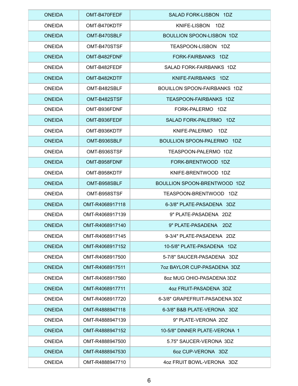| <b>ONEIDA</b> | OMT-B470FEDF    | SALAD FORK-LISBON 1DZ            |
|---------------|-----------------|----------------------------------|
| <b>ONEIDA</b> | OMT-B470KDTF    | KNIFE-LISBON 1DZ                 |
| <b>ONEIDA</b> | OMT-B470SBLF    | <b>BOULLION SPOON-LISBON 1DZ</b> |
| <b>ONEIDA</b> | OMT-B470STSF    | TEASPOON-LISBON 1DZ              |
| <b>ONEIDA</b> | OMT-B482FDNF    | FORK-FAIRBANKS 1DZ               |
| <b>ONEIDA</b> | OMT-B482FEDF    | SALAD FORK-FAIRBANKS 1DZ         |
| <b>ONEIDA</b> | OMT-B482KDTF    | KNIFE-FAIRBANKS 1DZ              |
| <b>ONEIDA</b> | OMT-B482SBLF    | BOUILLON SPOON-FAIRBANKS 1DZ     |
| <b>ONEIDA</b> | OMT-B482STSF    | <b>TEASPOON-FAIRBANKS 1DZ</b>    |
| <b>ONEIDA</b> | OMT-B936FDNF    | FORK-PALERMO 1DZ                 |
| <b>ONEIDA</b> | OMT-B936FEDF    | SALAD FORK-PALERMO 1DZ           |
| <b>ONEIDA</b> | OMT-B936KDTF    | KNIFE-PALERMO 1DZ                |
| <b>ONEIDA</b> | OMT-B936SBLF    | BOULLION SPOON-PALERMO 1DZ       |
| <b>ONEIDA</b> | OMT-B936STSF    | TEASPOON-PALERMO 1DZ             |
| <b>ONEIDA</b> | OMT-B958FDNF    | FORK-BRENTWOOD 1DZ               |
| <b>ONEIDA</b> | OMT-B958KDTF    | KNIFE-BRENTWOOD 1DZ              |
| <b>ONEIDA</b> | OMT-B958SBLF    | BOULLION SPOON-BRENTWOOD 1DZ     |
| <b>ONEIDA</b> | OMT-B958STSF    | TEASPOON-BRENTWOOD 1DZ           |
| <b>ONEIDA</b> | OMT-R4068917118 | 6-3/8" PLATE-PASADENA 3DZ        |
| <b>ONEIDA</b> | OMT-R4068917139 | 9" PLATE-PASADENA 2DZ            |
| <b>ONEIDA</b> | OMT-R4068917140 | 9" PLATE-PASADENA 2DZ            |
| <b>ONEIDA</b> | OMT-R4068917145 | 9-3/4" PLATE-PASADENA 2DZ        |
| <b>ONEIDA</b> | OMT-R4068917152 | 10-5/8" PLATE-PASADENA 1DZ       |
| <b>ONEIDA</b> | OMT-R4068917500 | 5-7/8" SAUCER-PASADENA 3DZ       |
| <b>ONEIDA</b> | OMT-R4068917511 | 7oz BAYLOR CUP-PASADENA 3DZ      |
| <b>ONEIDA</b> | OMT-R4068917560 | 80Z MUG OHIO-PASADENA 3DZ        |
| <b>ONEIDA</b> | OMT-R4068917711 | 4oz FRUIT-PASADENA 3DZ           |
| <b>ONEIDA</b> | OMT-R4068917720 | 6-3/8" GRAPEFRUIT-PASADENA 3DZ   |
| <b>ONEIDA</b> | OMT-R4888947118 | 6-3/8" B&B PLATE-VERONA 3DZ      |
| <b>ONEIDA</b> | OMT-R4888947139 | 9" PLATE-VERONA 2DZ              |
| <b>ONEIDA</b> | OMT-R4888947152 | 10-5/8" DINNER PLATE-VERONA 1    |
| <b>ONEIDA</b> | OMT-R4888947500 | 5.75" SAUCER-VERONA 3DZ          |
| <b>ONEIDA</b> | OMT-R4888947530 | 6oz CUP-VERONA 3DZ               |
| <b>ONEIDA</b> | OMT-R4888947710 | 4oz FRUIT BOWL-VERONA 3DZ        |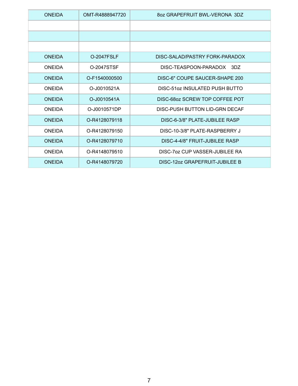| <b>ONEIDA</b> | OMT-R4888947720 | 80Z GRAPEFRUIT BWL-VERONA 3DZ   |
|---------------|-----------------|---------------------------------|
|               |                 |                                 |
|               |                 |                                 |
|               |                 |                                 |
| ONFIDA        | 0-2047FSLF      | DISC-SALAD/PASTRY FORK-PARADOX  |
| <b>ONEIDA</b> | 0-2047STSF      | DISC-TEASPOON-PARADOX 3DZ       |
| <b>ONEIDA</b> | O-F1540000500   | DISC-6" COUPE SAUCER-SHAPE 200  |
| <b>ONEIDA</b> | O-J0010521A     | DISC-51 oz INSULATED PUSH BUTTO |
| <b>ONEIDA</b> | O-J0010541A     | DISC-68oz SCREW TOP COFFEE POT  |
| <b>ONEIDA</b> | O-J0010571DP    | DISC-PUSH BUTTON LID-GRN DECAF  |
| <b>ONEIDA</b> | O-R4128079118   | DISC-6-3/8" PLATE-JUBILEE RASP  |
| <b>ONEIDA</b> | O-R4128079150   | DISC-10-3/8" PLATE-RASPBERRY J  |
| <b>ONEIDA</b> | O-R4128079710   | DISC-4-4/8" FRUIT-JUBILEE RASP  |
| <b>ONEIDA</b> | O-R4148079510   | DISC-707 CUP VASSER-JUBILEE RA  |
| <b>ONEIDA</b> | O-R4148079720   | DISC-12oz GRAPEFRUIT-JUBILEE B  |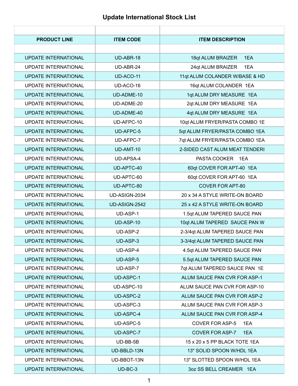### **Update International Stock List**

| <b>PRODUCT LINE</b>         | <b>ITEM CODE</b> | <b>ITEM DESCRIPTION</b>        |
|-----------------------------|------------------|--------------------------------|
|                             |                  |                                |
| <b>UPDATE INTERNATIONAL</b> | UD-ABR-18        | 18qt ALUM BRAIZER<br>1EA       |
| <b>UPDATE INTERNATIONAL</b> | UD-ABR-24        | 24qt ALUM BRAIZER<br>1EA       |
| <b>UPDATE INTERNATIONAL</b> | UD-ACO-11        | 11qt ALUM COLANDER W/BASE & HD |
| <b>UPDATE INTERNATIONAL</b> | UD-ACO-16        | 16qt ALUM COLANDER 1EA         |
| <b>UPDATE INTERNATIONAL</b> | UD-ADME-10       | 1qt ALUM DRY MEASURE 1EA       |
| <b>UPDATE INTERNATIONAL</b> | UD-ADME-20       | 2qt ALUM DRY MEASURE 1EA       |
| <b>UPDATE INTERNATIONAL</b> | UD-ADME-40       | 4qt ALUM DRY MEASURE 1EA       |
| <b>UPDATE INTERNATIONAL</b> | UD-AFPC-10       | 10qt ALUM FRYER/PASTA COMBO 1E |
| <b>UPDATE INTERNATIONAL</b> | <b>UD-AFPC-5</b> | 5qt ALUM FRYER/PASTA COMBO 1EA |
| <b>UPDATE INTERNATIONAL</b> | UD-AFPC-7        | 7qt ALUM FRYER/PASTA COMBO 1EA |
| <b>UPDATE INTERNATIONAL</b> | UD-AMT-10        | 2-SIDED CAST ALUM MEAT TENDERI |
| <b>UPDATE INTERNATIONAL</b> | <b>UD-APSA-4</b> | PASTA COOKER 1EA               |
| <b>UPDATE INTERNATIONAL</b> | UD-APTC-40       | 60qt COVER FOR APT-40 1EA      |
| <b>UPDATE INTERNATIONAL</b> | UD-APTC-60       | 60qt COVER FOR APT-60 1EA      |
| <b>UPDATE INTERNATIONAL</b> | UD-APTC-80       | <b>COVER FOR APT-80</b>        |
| <b>UPDATE INTERNATIONAL</b> | UD-ASIGN-2034    | 20 x 34 A STYLE WRITE-ON BOARD |
| <b>UPDATE INTERNATIONAL</b> | UD-ASIGN-2542    | 25 x 42 A STYLE WRITE-ON BOARD |
| <b>UPDATE INTERNATIONAL</b> | UD-ASP-1         | 1.5qt ALUM TAPERED SAUCE PAN   |
| <b>UPDATE INTERNATIONAL</b> | UD-ASP-10        | 10qt ALUM TAPERED SAUCE PAN W  |
| <b>UPDATE INTERNATIONAL</b> | UD-ASP-2         | 2-3/4qt ALUM TAPERED SAUCE PAN |
| <b>UPDATE INTERNATIONAL</b> | UD-ASP-3         | 3-3/4qt ALUM TAPERED SAUCE PAN |
| <b>UPDATE INTERNATIONAL</b> | UD-ASP-4         | 4.5qt ALUM TAPERED SAUCE PAN   |
| <b>UPDATE INTERNATIONAL</b> | UD-ASP-5         | 5.5qt ALUM TAPERED SAUCE PAN   |
| UPDATE INTERNATIONAL        | UD-ASP-7         | 7qt ALUM TAPERED SAUCE PAN 1E  |
| <b>UPDATE INTERNATIONAL</b> | <b>UD-ASPC-1</b> | ALUM SAUCE PAN CVR FOR ASP-1   |
| <b>UPDATE INTERNATIONAL</b> | UD-ASPC-10       | ALUM SAUCE PAN CVR FOR ASP-10  |
| <b>UPDATE INTERNATIONAL</b> | <b>UD-ASPC-2</b> | ALUM SAUCE PAN CVR FOR ASP-2   |
| UPDATE INTERNATIONAL        | UD-ASPC-3        | ALUM SAUCE PAN CVR FOR ASP-3   |
| <b>UPDATE INTERNATIONAL</b> | UD-ASPC-4        | ALUM SAUCE PAN CVR FOR ASP-4   |
| <b>UPDATE INTERNATIONAL</b> | UD-ASPC-5        | <b>COVER FOR ASP-5</b><br>1EA  |
| <b>UPDATE INTERNATIONAL</b> | UD-ASPC-7        | <b>COVER FOR ASP-7</b><br>1EA  |
| <b>UPDATE INTERNATIONAL</b> | UD-BB-5B         | 15 x 20 x 5 PP BLACK TOTE 1EA  |
| <b>UPDATE INTERNATIONAL</b> | UD-BBLD-13N      | 13" SOLID SPOON W/HDL 1EA      |
| <b>UPDATE INTERNATIONAL</b> | UD-BBOT-13N      | 13" SLOTTED SPOON W/HDL 1EA    |
| <b>UPDATE INTERNATIONAL</b> | $UD-BC-3$        | 3oz SS BELL CREAMER 1EA        |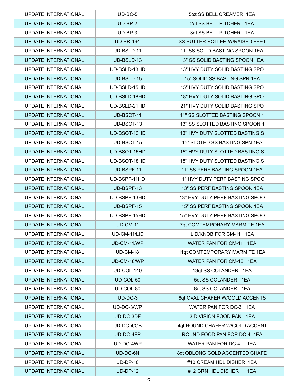| <b>UPDATE INTERNATIONAL</b> | $UD-BC-5$         | 5oz SS BELL CREAMER 1EA        |
|-----------------------------|-------------------|--------------------------------|
| <b>UPDATE INTERNATIONAL</b> | $UD-BP-2$         | 2qt SS BELL PITCHER 1EA        |
| UPDATE INTERNATIONAL        | $UD-BP-3$         | 3qt SS BELL PITCHER 1EA        |
| <b>UPDATE INTERNATIONAL</b> | <b>UD-BR-164</b>  | SS BUTTER ROLLER W/RAISED FEET |
| <b>UPDATE INTERNATIONAL</b> | UD-BSLD-11        | 11" SS SOLID BASTING SPOON 1EA |
| <b>UPDATE INTERNATIONAL</b> | UD-BSLD-13        | 13" SS SOLID BASTING SPOON 1EA |
| <b>UPDATE INTERNATIONAL</b> | UD-BSLD-13HD      | 13" HVY DUTY SOLID BASTING SPO |
| <b>UPDATE INTERNATIONAL</b> | UD-BSLD-15        | 15" SOLID SS BASTING SPN 1EA   |
| <b>UPDATE INTERNATIONAL</b> | UD-BSLD-15HD      | 15" HVY DUTY SOLID BASTING SPO |
| <b>UPDATE INTERNATIONAL</b> | UD-BSLD-18HD      | 18" HVY DUTY SOLID BASTING SPO |
| UPDATE INTERNATIONAL        | UD-BSLD-21HD      | 21" HVY DUTY SOLID BASTING SPO |
| <b>UPDATE INTERNATIONAL</b> | UD-BSOT-11        | 11" SS SLOTTED BASTING SPOON 1 |
| <b>UPDATE INTERNATIONAL</b> | UD-BSOT-13        | 13" SS SLOTTED BASTING SPOON 1 |
| <b>UPDATE INTERNATIONAL</b> | UD-BSOT-13HD      | 13" HVY DUTY SLOTTED BASTING S |
| <b>UPDATE INTERNATIONAL</b> | UD-BSOT-15        | 15" SLOTED SS BASTING SPN 1EA  |
| <b>UPDATE INTERNATIONAL</b> | UD-BSOT-15HD      | 15" HVY DUTY SLOTTED BASTING S |
| <b>UPDATE INTERNATIONAL</b> | UD-BSOT-18HD      | 18" HVY DUTY SLOTTED BASTING S |
| <b>UPDATE INTERNATIONAL</b> | UD-BSPF-11        | 11" SS PERF BASTING SPOON 1EA  |
| UPDATE INTERNATIONAL        | UD-BSPF-11HD      | 11" HVY DUTY PERF BASTING SPOO |
| <b>UPDATE INTERNATIONAL</b> | UD-BSPF-13        | 13" SS PERF BASTING SPOON 1EA  |
| <b>UPDATE INTERNATIONAL</b> | UD-BSPF-13HD      | 13" HVY DUTY PERF BASTING SPOO |
| <b>UPDATE INTERNATIONAL</b> | UD-BSPF-15        | 15" SS PERF BASTING SPOON 1EA  |
| UPDATE INTERNATIONAL        | UD-BSPF-15HD      | 15" HVY DUTY PERF BASTING SPOO |
| <b>UPDATE INTERNATIONAL</b> | <b>UD-CM-11</b>   | 7qt COMTEMPORARY MARMITE 1EA   |
| UPDATE INTERNATIONAL        | UD-CM-11/LID      | LID/KNOB FOR CM-11 1EA         |
| <b>UPDATE INTERNATIONAL</b> | UD-CM-11/WP       | WATER PAN FOR CM-11 1EA        |
| <b>UPDATE INTERNATIONAL</b> | <b>UD-CM-18</b>   | 11qt COMTEMPORARY MARMITE 1EA  |
| <b>UPDATE INTERNATIONAL</b> | UD-CM-18/WP       | WATER PAN FOR CM-18 1EA        |
| <b>UPDATE INTERNATIONAL</b> | <b>UD-COL-140</b> | 13qt SS COLANDER 1EA           |
| <b>UPDATE INTERNATIONAL</b> | UD-COL-50         | 5qt SS COLANDER 1EA            |
| UPDATE INTERNATIONAL        | UD-COL-80         | 8qt SS COLANDER 1EA            |
| <b>UPDATE INTERNATIONAL</b> | $UD-DC-3$         | 6qt OVAL CHAFER W/GOLD ACCENTS |
| <b>UPDATE INTERNATIONAL</b> | UD-DC-3/WP        | WATER PAN FOR DC-3 1EA         |
| <b>UPDATE INTERNATIONAL</b> | UD-DC-3DF         | 3 DIVISION FOOD PAN 1EA        |
| <b>UPDATE INTERNATIONAL</b> | UD-DC-4/GB        | 4qt ROUND CHAFER W/GOLD ACCENT |
| UPDATE INTERNATIONAL        | UD-DC-4FP         | ROUND FOOD PAN FOR DC-4 1EA    |
| <b>UPDATE INTERNATIONAL</b> | UD-DC-4WP         | WATER PAN FOR DC-4<br>1EA      |
| UPDATE INTERNATIONAL        | UD-DC-6N          | 8qt OBLONG GOLD ACCENTED CHAFE |
| UPDATE INTERNATIONAL        | $UD-DP-10$        | #10 CREAM HDL DISHER 1EA       |
| <b>UPDATE INTERNATIONAL</b> | $UD-DP-12$        | #12 GRN HDL DISHER<br>1EA      |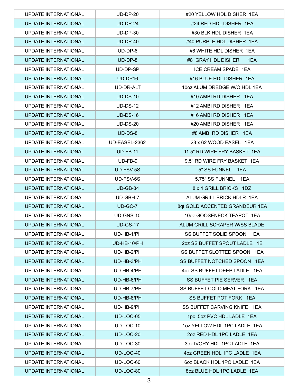| UPDATE INTERNATIONAL        | $UD-DP-20$      | #20 YELLOW HDL DISHER 1EA      |
|-----------------------------|-----------------|--------------------------------|
| <b>UPDATE INTERNATIONAL</b> | <b>UD-DP-24</b> | #24 RED HDL DISHER 1EA         |
| UPDATE INTERNATIONAL        | $UD-DP-30$      | #30 BLK HDL DISHER 1EA         |
| UPDATE INTERNATIONAL        | $UD-DP-40$      | #40 PURPLE HDL DISHER 1EA      |
| UPDATE INTERNATIONAL        | $UD-DP-6$       | #6 WHITE HDL DISHER 1EA        |
| <b>UPDATE INTERNATIONAL</b> | $UD-DP-8$       | #8 GRAY HDL DISHER<br>1EA      |
| UPDATE INTERNATIONAL        | UD-DP-SP        | ICE CREAM SPADE 1EA            |
| <b>UPDATE INTERNATIONAL</b> | UD-DP16         | #16 BLUE HDL DISHER 1EA        |
| UPDATE INTERNATIONAL        | UD-DR-ALT       | 10oz ALUM DREDGE W/O HDL 1EA   |
| <b>UPDATE INTERNATIONAL</b> | <b>UD-DS-10</b> | #10 AMBI RD DISHER 1EA         |
| UPDATE INTERNATIONAL        | <b>UD-DS-12</b> | #12 AMBI RD DISHER 1EA         |
| <b>UPDATE INTERNATIONAL</b> | $UD-DS-16$      | #16 AMBI RD DISHER 1EA         |
| UPDATE INTERNATIONAL        | <b>UD-DS-20</b> | #20 AMBI RD DISHER 1EA         |
| <b>UPDATE INTERNATIONAL</b> | $UD-DS-8$       | #8 AMBI RD DISHER 1EA          |
| UPDATE INTERNATIONAL        | UD-EASEL-2362   | 23 x 62 WOOD EASEL 1EA         |
| <b>UPDATE INTERNATIONAL</b> | <b>UD-FB-11</b> | 11.5" RD WIRE FRY BASKET 1EA   |
| <b>UPDATE INTERNATIONAL</b> | UD-FB-9         | 9.5" RD WIRE FRY BASKET 1EA    |
| UPDATE INTERNATIONAL        | UD-FSV-5S       | 5" SS FUNNEL 1EA               |
| UPDATE INTERNATIONAL        | UD-FSV-6S       | 5.75" SS FUNNEL 1EA            |
| <b>UPDATE INTERNATIONAL</b> | UD-GB-84        | 8 x 4 GRILL BRICKS 1DZ         |
| <b>UPDATE INTERNATIONAL</b> | UD-GBH-7        | ALUM GRILL BRICK HDLR 1EA      |
| <b>UPDATE INTERNATIONAL</b> | UD-GC-7         | 8qt GOLD ACCENTED GRANDEUR 1EA |
| UPDATE INTERNATIONAL        | UD-GNS-10       | 10oz GOOSENECK TEAPOT 1EA      |
| <b>UPDATE INTERNATIONAL</b> | <b>UD-GS-17</b> | ALUM GRILL SCRAPER W/SS BLADE  |
| <b>UPDATE INTERNATIONAL</b> | UD-HB-1/PH      | SS BUFFET SOLID SPOON 1EA      |
| UPDATE INTERNATIONAL        | UD-HB-10/PH     | 2oz SS BUFFET SPOUT LADLE 1E   |
| UPDATE INTERNATIONAL        | UD-HB-2/PH      | SS BUFFET SLOTTED SPOON 1EA    |
| <b>UPDATE INTERNATIONAL</b> | UD-HB-3/PH      | SS BUFFET NOTCHED SPOON 1EA    |
| <b>UPDATE INTERNATIONAL</b> | UD-HB-4/PH      | 4oz SS BUFFET DEEP LADLE 1EA   |
| <b>UPDATE INTERNATIONAL</b> | UD-HB-6/PH      | SS BUFFET PIE SERVER 1EA       |
| UPDATE INTERNATIONAL        | UD-HB-7/PH      | SS BUFFET COLD MEAT FORK 1EA   |
| <b>UPDATE INTERNATIONAL</b> | UD-HB-8/PH      | SS BUFFET POT FORK 1EA         |
| <b>UPDATE INTERNATIONAL</b> | UD-HB-9/PH      | SS BUFFET CARVING KNIFE 1EA    |
| UPDATE INTERNATIONAL        | UD-LOC-05       | 1pc .5oz PVC HDL LADLE 1EA     |
| UPDATE INTERNATIONAL        | UD-LOC-10       | 1oz YELLOW HDL 1PC LADLE 1EA   |
| UPDATE INTERNATIONAL        | UD-LOC-20       | 2oz RED HDL 1PC LADLE 1EA      |
| UPDATE INTERNATIONAL        | UD-LOC-30       | 30Z IVORY HDL 1PC LADLE 1EA    |
| UPDATE INTERNATIONAL        | UD-LOC-40       | 4oz GREEN HDL 1PC LADLE 1EA    |
| UPDATE INTERNATIONAL        | UD-LOC-60       | 6oz BLACK HDL 1PC LADLE 1EA    |
| <b>UPDATE INTERNATIONAL</b> | UD-LOC-80       | 8oz BLUE HDL 1PC LADLE 1EA     |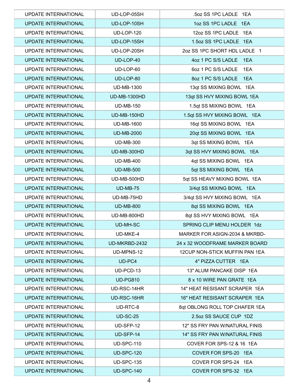| <b>UPDATE INTERNATIONAL</b> | UD-LOP-05SH         | .5oz SS 1PC LADLE 1EA                |
|-----------------------------|---------------------|--------------------------------------|
| <b>UPDATE INTERNATIONAL</b> | UD-LOP-10SH         | 1oz SS 1PC LADLE 1EA                 |
| UPDATE INTERNATIONAL        | <b>UD-LOP-120</b>   | 12oz SS 1PC LADLE 1EA                |
| UPDATE INTERNATIONAL        | UD-LOP-15SH         | 1.5oz SS 1PC LADLE 1EA               |
| UPDATE INTERNATIONAL        | UD-LOP-20SH         | 2oz SS 1PC SHORT HDL LADLE 1         |
| <b>UPDATE INTERNATIONAL</b> | UD-LOP-40           | 4oz 1 PC S/S LADLE 1EA               |
| UPDATE INTERNATIONAL        | UD-LOP-60           | 6oz 1 PC S/S LADLE 1EA               |
| <b>UPDATE INTERNATIONAL</b> | UD-LOP-80           | 8oz 1 PC S/S LADLE 1EA               |
| UPDATE INTERNATIONAL        | <b>UD-MB-1300</b>   | 13qt SS MIXING BOWL 1EA              |
| <b>UPDATE INTERNATIONAL</b> | <b>UD-MB-1300HD</b> | 13qt SS HVY MIXING BOWL 1EA          |
| UPDATE INTERNATIONAL        | <b>UD-MB-150</b>    | 1.5qt SS MIXING BOWL 1EA             |
| <b>UPDATE INTERNATIONAL</b> | UD-MB-150HD         | 1.5qt SS HVY MIXING BOWL 1EA         |
| UPDATE INTERNATIONAL        | <b>UD-MB-1600</b>   | 16qt SS MIXING BOWL 1EA              |
| UPDATE INTERNATIONAL        | <b>UD-MB-2000</b>   | 20qt SS MIXING BOWL 1EA              |
| UPDATE INTERNATIONAL        | <b>UD-MB-300</b>    | 3qt SS MIXING BOWL 1EA               |
| <b>UPDATE INTERNATIONAL</b> | UD-MB-300HD         | 3qt SS HVY MIXING BOWL 1EA           |
| <b>UPDATE INTERNATIONAL</b> | <b>UD-MB-400</b>    | 4qt SS MIXING BOWL 1EA               |
| UPDATE INTERNATIONAL        | <b>UD-MB-500</b>    | 5qt SS MIXING BOWL 1EA               |
| UPDATE INTERNATIONAL        | UD-MB-500HD         | 5qt SS HEAVY MIXING BOWL 1EA         |
| <b>UPDATE INTERNATIONAL</b> | <b>UD-MB-75</b>     | 3/4qt SS MIXING BOWL 1EA             |
| <b>UPDATE INTERNATIONAL</b> | UD-MB-75HD          | 3/4qt SS HVY MIXING BOWL 1EA         |
| <b>UPDATE INTERNATIONAL</b> | <b>UD-MB-800</b>    | 8qt SS MIXING BOWL 1EA               |
| UPDATE INTERNATIONAL        | UD-MB-800HD         | 8qt SS HVY MIXING BOWL 1EA           |
| <b>UPDATE INTERNATIONAL</b> | <b>UD-MH-SC</b>     | SPRING CLIP MENU HOLDER 1dz          |
| UPDATE INTERNATIONAL        | UD-MKE-4            | MARKER FOR ASIGN-2034 & MKRBD-       |
| <b>UPDATE INTERNATIONAL</b> | UD-MKRBD-2432       | 24 x 32 WOODFRAME MARKER BOARD       |
| UPDATE INTERNATIONAL        | UD-MPNS-12          | 12CUP NON-STICK MUFFIN PAN 1EA       |
| <b>UPDATE INTERNATIONAL</b> | UD-PC4              | 4" PIZZA CUTTER 1EA                  |
| <b>UPDATE INTERNATIONAL</b> | UD-PCD-13           | 13" ALUM PANCAKE DISP 1EA            |
| <b>UPDATE INTERNATIONAL</b> | <b>UD-PG810</b>     | 8 x 10 WIRE PAN GRATE 1EA            |
| UPDATE INTERNATIONAL        | UD-RSC-14HR         | 14" HEAT RESISANT SCRAPER 1EA        |
| <b>UPDATE INTERNATIONAL</b> | UD-RSC-16HR         | 16" HEAT RESISANT SCRAPER 1EA        |
| <b>UPDATE INTERNATIONAL</b> | UD-RTC-8            | 8qt OBLONG ROLL TOP CHAFER 1EA       |
| UPDATE INTERNATIONAL        | <b>UD-SC-25</b>     | 2.5oz SS SAUCE CUP 1DZ               |
| <b>UPDATE INTERNATIONAL</b> | UD-SFP-12           | 12" SS FRY PAN W/NATURAL FINIS       |
| <b>UPDATE INTERNATIONAL</b> | UD-SFP-14           | 14" SS FRY PAN W/NATURAL FINIS       |
| <b>UPDATE INTERNATIONAL</b> | <b>UD-SPC-110</b>   | <b>COVER FOR SPS-12 &amp; 16 1EA</b> |
| <b>UPDATE INTERNATIONAL</b> | <b>UD-SPC-120</b>   | COVER FOR SPS-20 1EA                 |
| <b>UPDATE INTERNATIONAL</b> | <b>UD-SPC-135</b>   | COVER FOR SPS-24 1EA                 |
| <b>UPDATE INTERNATIONAL</b> | <b>UD-SPC-140</b>   | COVER FOR SPS-32 1EA                 |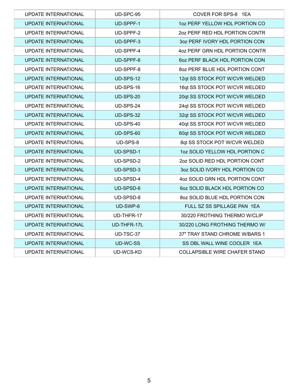| <b>UPDATE INTERNATIONAL</b> | UD-SPC-95        | COVER FOR SPS-8 1EA            |
|-----------------------------|------------------|--------------------------------|
| <b>UPDATE INTERNATIONAL</b> | UD-SPPF-1        | 10Z PERF YELLOW HDL PORTION CO |
| UPDATE INTERNATIONAL        | UD-SPPF-2        | 202 PERF RED HDL PORTION CONTR |
| <b>UPDATE INTERNATIONAL</b> | UD-SPPF-3        | 3oz PERF IVORY HDL PORTION CON |
| <b>UPDATE INTERNATIONAL</b> | UD-SPPF-4        | 4oz PERF GRN HDL PORTION CONTR |
| <b>UPDATE INTERNATIONAL</b> | UD-SPPF-6        | 60Z PERF BLACK HDL PORTION CON |
| UPDATE INTERNATIONAL        | UD-SPPF-8        | 80Z PERF BLUE HDL PORTION CONT |
| <b>UPDATE INTERNATIONAL</b> | UD-SPS-12        | 12qt SS STOCK POT W/CVR WELDED |
| <b>UPDATE INTERNATIONAL</b> | UD-SPS-16        | 16qt SS STOCK POT W/CVR WELDED |
| <b>UPDATE INTERNATIONAL</b> | UD-SPS-20        | 20qt SS STOCK POT W/CVR WELDED |
| <b>UPDATE INTERNATIONAL</b> | UD-SPS-24        | 24qt SS STOCK POT W/CVR WELDED |
| <b>UPDATE INTERNATIONAL</b> | <b>UD-SPS-32</b> | 32qt SS STOCK POT W/CVR WELDED |
| <b>UPDATE INTERNATIONAL</b> | UD-SPS-40        | 40qt SS STOCK POT W/CVR WELDED |
| <b>UPDATE INTERNATIONAL</b> | UD-SPS-60        | 60qt SS STOCK POT W/CVR WELDED |
| UPDATE INTERNATIONAL        | UD-SPS-8         | 8qt SS STOCK POT W/CVR WELDED  |
| <b>UPDATE INTERNATIONAL</b> | UD-SPSD-1        | 102 SOLID YELLOW HDL PORTION C |
| <b>UPDATE INTERNATIONAL</b> | UD-SPSD-2        | 2oz SOLID RED HDL PORTION CONT |
| <b>UPDATE INTERNATIONAL</b> | UD-SPSD-3        | 3oz SOLID IVORY HDL PORTION CO |
| <b>UPDATE INTERNATIONAL</b> | UD-SPSD-4        | 4oz SOLID GRN HDL PORTION CONT |
| <b>UPDATE INTERNATIONAL</b> | UD-SPSD-6        | 60Z SOLID BLACK HDL PORTION CO |
| UPDATE INTERNATIONAL        | UD-SPSD-8        | 8oz SOLID BLUE HDL PORTION CON |
| <b>UPDATE INTERNATIONAL</b> | UD-SWP-6         | FULL SZ SS SPILLAGE PAN 1EA    |
| UPDATE INTERNATIONAL        | UD-THFR-17       | 30/220 FROTHING THERMO W/CLIP  |
| <b>UPDATE INTERNATIONAL</b> | UD-THFR-17L      | 30/220 LONG FROTHING THERMO W/ |
| <b>UPDATE INTERNATIONAL</b> | UD-TSC-37        | 37" TRAY STAND CHROME W/BARS 1 |
| <b>UPDATE INTERNATIONAL</b> | <b>UD-WC-SS</b>  | SS DBL WALL WINE COOLER 1EA    |
| UPDATE INTERNATIONAL        | UD-WCS-KD        | COLLAPSIBLE WIRE CHAFER STAND  |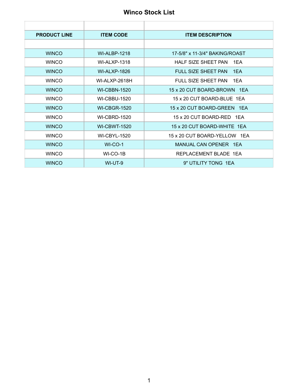#### **Winco Stock List**

| <b>PRODUCT LINE</b> | <b>ITEM CODE</b>     | <b>ITEM DESCRIPTION</b>           |
|---------------------|----------------------|-----------------------------------|
|                     |                      |                                   |
| <b>WINCO</b>        | <b>WI-ALBP-1218</b>  | 17-5/8" x 11-3/4" BAKING/ROAST    |
| <b>WINCO</b>        | <b>WI-ALXP-1318</b>  | <b>HALF SIZE SHEET PAN</b><br>1FA |
| <b>WINCO</b>        | <b>WI-ALXP-1826</b>  | FULL SIZE SHEET PAN<br>1FA        |
| <b>WINCO</b>        | <b>WI-ALXP-2618H</b> | FULL SIZE SHEET PAN<br>1FA        |
| <b>WINCO</b>        | <b>WI-CBBN-1520</b>  | 15 x 20 CUT BOARD-BROWN 1EA       |
| <b>WINCO</b>        | <b>WI-CBBU-1520</b>  | 15 x 20 CUT BOARD-BLUE 1EA        |
| <b>WINCO</b>        | <b>WI-CBGR-1520</b>  | 15 x 20 CUT BOARD-GREEN 1EA       |
| <b>WINCO</b>        | <b>WI-CBRD-1520</b>  | 15 x 20 CUT BOARD-RED 1EA         |
| <b>WINCO</b>        | <b>WI-CBWT-1520</b>  | 15 x 20 CUT BOARD-WHITE 1EA       |
| <b>WINCO</b>        | <b>WI-CBYL-1520</b>  | 15 x 20 CUT BOARD-YELLOW 1EA      |
| <b>WINCO</b>        | $WI$ -CO-1           | MANUAL CAN OPENER 1EA             |
| <b>WINCO</b>        | WI-CO-1B             | REPLACEMENT BLADE 1EA             |
| <b>WINCO</b>        | WI-UT-9              | 9" UTILITY TONG 1EA               |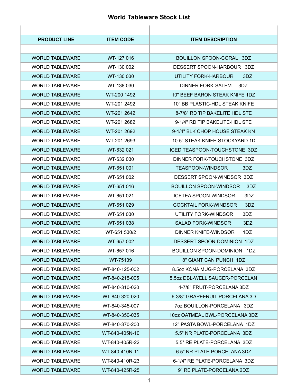#### **World Tableware Stock List**

| <b>PRODUCT LINE</b>    | <b>ITEM CODE</b> | <b>ITEM DESCRIPTION</b>              |
|------------------------|------------------|--------------------------------------|
|                        |                  |                                      |
| <b>WORLD TABLEWARE</b> | WT-127 016       | BOUILLON SPOON-CORAL 3DZ             |
| <b>WORLD TABLEWARE</b> | WT-130 002       | DESSERT SPOON-HARBOUR 3DZ            |
| <b>WORLD TABLEWARE</b> | WT-130 030       | UTILITY FORK-HARBOUR<br>3DZ          |
| <b>WORLD TABLEWARE</b> | WT-138 030       | DINNER FORK-SALEM<br>3DZ             |
| <b>WORLD TABLEWARE</b> | WT-200 1492      | 10" BEEF BARON STEAK KNIFE 1DZ       |
| <b>WORLD TABLEWARE</b> | WT-201 2492      | 10" BB PLASTIC-HDL STEAK KNIFE       |
| <b>WORLD TABLEWARE</b> | WT-201 2642      | 8-7/8" RD TIP BAKELITE HDL STE       |
| <b>WORLD TABLEWARE</b> | WT-201 2682      | 9-1/4" RD TIP BAKELITE-HDL STE       |
| <b>WORLD TABLEWARE</b> | WT-201 2692      | 9-1/4" BLK CHOP HOUSE STEAK KN       |
| <b>WORLD TABLEWARE</b> | WT-201 2693      | 10.5" STEAK KNIFE-STOCKYARD 1D       |
| <b>WORLD TABLEWARE</b> | WT-632 021       | ICED TEASPOON-TOUCHSTONE 3DZ         |
| <b>WORLD TABLEWARE</b> | WT-632 030       | DINNER FORK-TOUCHSTONE 3DZ           |
| <b>WORLD TABLEWARE</b> | WT-651 001       | 3DZ<br>TEASPOON-WINDSOR              |
| <b>WORLD TABLEWARE</b> | WT-651 002       | DESSERT SPOON-WINDSOR 3DZ            |
| <b>WORLD TABLEWARE</b> | WT-651 016       | <b>BOUILLON SPOON-WINDSOR</b><br>3DZ |
| <b>WORLD TABLEWARE</b> | WT-651 021       | <b>ICETEA SPOON-WINDSOR</b><br>3DZ   |
| <b>WORLD TABLEWARE</b> | WT-651 029       | <b>COCKTAIL FORK-WINDSOR</b><br>3DZ  |
| <b>WORLD TABLEWARE</b> | WT-651 030       | UTILITY FORK-WINDSOR<br>3DZ          |
| <b>WORLD TABLEWARE</b> | WT-651 038       | <b>SALAD FORK-WINDSOR</b><br>3DZ     |
| <b>WORLD TABLEWARE</b> | WT-651 530/2     | DINNER KNIFE-WINDSOR<br>1DZ          |
| <b>WORLD TABLEWARE</b> | WT-657 002       | DESSERT SPOON-DOMINION 1DZ           |
| <b>WORLD TABLEWARE</b> | WT-657 016       | BOUILLON SPOON-DOMINION 1DZ          |
| <b>WORLD TABLEWARE</b> | WT-75139         | 8" GIANT CAN PUNCH 1DZ               |
| <b>WORLD TABLEWARE</b> | WT-840-125-002   | 8.5 oz KONA MUG-PORCELANA 3DZ        |
| <b>WORLD TABLEWARE</b> | WT-840-215-005   | 5.5oz DBL-WELL SAUCER-PORCELAN       |
| <b>WORLD TABLEWARE</b> | WT-840-310-020   | 4-7/8" FRUIT-PORCELANA 3DZ           |
| <b>WORLD TABLEWARE</b> | WT-840-320-020   | 6-3/8" GRAPEFRUIT-PORCELANA 3D       |
| <b>WORLD TABLEWARE</b> | WT-840-345-007   | 70Z BOUILLON-PORCELANA 3DZ           |
| <b>WORLD TABLEWARE</b> | WT-840-350-035   | 10oz OATMEAL BWL-PORCELANA 3DZ       |
| <b>WORLD TABLEWARE</b> | WT-840-370-200   | 12" PASTA BOWL-PORCELANA 1DZ         |
| <b>WORLD TABLEWARE</b> | WT-840-405N-10   | 5.5" NR PLATE-PORCELANA 3DZ          |
| <b>WORLD TABLEWARE</b> | WT-840-405R-22   | 5.5" RE PLATE-PORCELANA 3DZ          |
| <b>WORLD TABLEWARE</b> | WT-840-410N-11   | 6.5" NR PLATE-PORCELANA 3DZ          |
| <b>WORLD TABLEWARE</b> | WT-840-410R-23   | 6-1/4" RE PLATE-PORCELANA 3DZ        |
| <b>WORLD TABLEWARE</b> | WT-840-425R-25   | 9" RE PLATE-PORCELANA 2DZ            |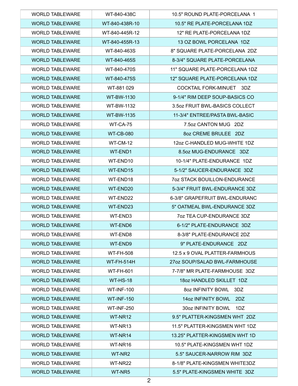| <b>WORLD TABLEWARE</b> | WT-840-438C       | 10.5" ROUND PLATE-PORCELANA 1       |
|------------------------|-------------------|-------------------------------------|
| <b>WORLD TABLEWARE</b> | WT-840-438R-10    | 10.5" RE PLATE-PORCELANA 1DZ        |
| <b>WORLD TABLEWARE</b> | WT-840-445R-12    | 12" RE PLATE-PORCELANA 1DZ          |
| <b>WORLD TABLEWARE</b> | WT-840-455R-13    | 13 OZ BOWL PORCELANA 1DZ            |
| <b>WORLD TABLEWARE</b> | WT-840-463S       | 8" SQUARE PLATE-PORCELANA 2DZ       |
| <b>WORLD TABLEWARE</b> | WT-840-465S       | 8-3/4" SQUARE PLATE-PORCELANA       |
| <b>WORLD TABLEWARE</b> | WT-840-470S       | 11" SQUARE PLATE-PORCELANA 1DZ      |
| <b>WORLD TABLEWARE</b> | WT-840-475S       | 12" SQUARE PLATE-PORCELANA 1DZ      |
| <b>WORLD TABLEWARE</b> | WT-881 029        | COCKTAIL FORK-MINUET 3DZ            |
| <b>WORLD TABLEWARE</b> | <b>WT-BW-1130</b> | 9-1/4" RIM DEEP SOUP-BASICS CO      |
| <b>WORLD TABLEWARE</b> | WT-BW-1132        | 3.5oz FRUIT BWL-BASICS COLLECT      |
| <b>WORLD TABLEWARE</b> | <b>WT-BW-1135</b> | 11-3/4" ENTREE/PASTA BWL-BASIC      |
| <b>WORLD TABLEWARE</b> | WT-CA-75          | 7.5oz CANTON MUG 2DZ                |
| <b>WORLD TABLEWARE</b> | <b>WT-CB-080</b>  | 80Z CREME BRULEE 2DZ                |
| <b>WORLD TABLEWARE</b> | WT-CM-12          | 12oz C-HANDLED MUG-WHITE 1DZ        |
| <b>WORLD TABLEWARE</b> | WT-END1           | 8.5oz MUG-ENDURANCE 3DZ             |
| <b>WORLD TABLEWARE</b> | WT-END10          | 10-1/4" PLATE-ENDURANCE 1DZ         |
| <b>WORLD TABLEWARE</b> | WT-END15          | 5-1/2" SAUCER-ENDURANCE 3DZ         |
| <b>WORLD TABLEWARE</b> | WT-END18          | <b>7oz STACK BOUILLON-ENDURANCE</b> |
| <b>WORLD TABLEWARE</b> | WT-END20          | 5-3/4" FRUIT BWL-ENDURANCE 3DZ      |
| <b>WORLD TABLEWARE</b> | WT-END22          | 6-3/8" GRAPEFRUIT BWL-ENDURANC      |
| <b>WORLD TABLEWARE</b> | WT-END23          | 5" OATMEAL BWL-ENDURANCE 3DZ        |
| <b>WORLD TABLEWARE</b> | WT-END3           | 7oz TEA CUP-ENDURANCE 3DZ           |
| <b>WORLD TABLEWARE</b> | WT-END6           | 6-1/2" PLATE-ENDURANCE 3DZ          |
| <b>WORLD TABLEWARE</b> | WT-END8           | 8-3/8" PLATE-ENDURANCE 2DZ          |
| <b>WORLD TABLEWARE</b> | WT-END9           | 9" PLATE-ENDURANCE 2DZ              |
| <b>WORLD TABLEWARE</b> | <b>WT-FH-508</b>  | 12.5 x 9 OVAL PLATTER-FARMHOUS      |
| <b>WORLD TABLEWARE</b> | <b>WT-FH-514H</b> | 27oz SOUP/SALAD BWL-FARMHOUSE       |
| <b>WORLD TABLEWARE</b> | <b>WT-FH-601</b>  | 7-7/8" MR PLATE-FARMHOUSE 3DZ       |
| <b>WORLD TABLEWARE</b> | WT-HS-18          | 1802 HANDLED SKILLET 1DZ            |
| <b>WORLD TABLEWARE</b> | <b>WT-INF-100</b> | 8oz INFINITY BOWL 3DZ               |
| <b>WORLD TABLEWARE</b> | <b>WT-INF-150</b> | 14oz INFINITY BOWL 2DZ              |
| <b>WORLD TABLEWARE</b> | <b>WT-INF-250</b> | 30oz INFINITY BOWL 1DZ              |
| <b>WORLD TABLEWARE</b> | WT-NR12           | 9.5" PLATTER-KINGSMEN WHT 2DZ       |
| <b>WORLD TABLEWARE</b> | WT-NR13           | 11.5" PLATTER-KINGSMEN WHT 1DZ      |
| <b>WORLD TABLEWARE</b> | WT-NR14           | 13.25" PLATTER-KINGSMEN WHT 1D      |
| <b>WORLD TABLEWARE</b> | WT-NR16           | 10.5" PLATE-KINGSMEN WHT 1DZ        |
| <b>WORLD TABLEWARE</b> | WT-NR2            | 5.5" SAUCER-NARROW RIM 3DZ          |
| <b>WORLD TABLEWARE</b> | WT-NR22           | 8-1/8" PLATE-KINGSMEN WHITE3DZ      |
| <b>WORLD TABLEWARE</b> | WT-NR5            | 5.5" PLATE-KINGSMEN WHITE 3DZ       |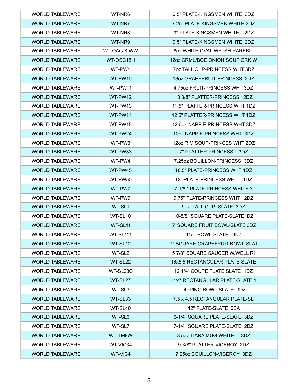| <b>WORLD TABLEWARE</b> | WT-NR6             | 6.5" PLATE-KINGSMEN WHITE 3DZ        |
|------------------------|--------------------|--------------------------------------|
| <b>WORLD TABLEWARE</b> | WT-NR7             | 7.25" PLATE-KINGSMEN WHITE 3DZ       |
| <b>WORLD TABLEWARE</b> | WT-NR8             | 9" PLATE-KINGSMEN WHITE 2DZ          |
| <b>WORLD TABLEWARE</b> | WT-NR9             | 9.5" PLATE-KINGSMEN WHITE 2DZ        |
| <b>WORLD TABLEWARE</b> | WT-OAG-8-WW        | 802 WHITE OVAL WELSH RAREBIT         |
| <b>WORLD TABLEWARE</b> | WT-OSC15H          | 12oz CRML/BGE ONION SOUP CRK W       |
| <b>WORLD TABLEWARE</b> | WT-PW1             | <b>70Z TALL CUP-PRINCESS WHT 3DZ</b> |
| <b>WORLD TABLEWARE</b> | WT-PW10            | 13oz GRAPEFRUIT-PRINCESS 3DZ         |
| <b>WORLD TABLEWARE</b> | WT-PW11            | 4.75 oz FRUIT-PRINCESS WHT 3DZ       |
| <b>WORLD TABLEWARE</b> | WT-PW12            | 10 3/8" PLATTER-PRINCESS 2DZ         |
| <b>WORLD TABLEWARE</b> | WT-PW13            | 11.5" PLATTER-PRINCESS WHT 1DZ       |
| <b>WORLD TABLEWARE</b> | WT-PW14            | 12.5" PLATTER-PRINCESS WHT 1DZ       |
| <b>WORLD TABLEWARE</b> | WT-PW15            | 12.5oz NAPPIE-PRINCESS WHT 3DZ       |
| <b>WORLD TABLEWARE</b> | WT-PW24            | 10oz NAPPIE-PRINCESS WHT 3DZ         |
| <b>WORLD TABLEWARE</b> | WT-PW3             | 12oz RIM SOUP-PRINCES WHT 2DZ        |
| <b>WORLD TABLEWARE</b> | WT-PW33            | 7" PLATTER-PRINCESS 3DZ              |
| <b>WORLD TABLEWARE</b> | WT-PW4             | 7.25oz BOUILLON-PRINCESS 3DZ         |
| <b>WORLD TABLEWARE</b> | WT-PW45            | 10.5" PLATE-PRINCESS WHT 1DZ         |
| <b>WORLD TABLEWARE</b> | WT-PW50            | 12" PLATE-PRINCESS WHT<br>1DZ        |
| <b>WORLD TABLEWARE</b> | WT-PW7             | 7 1/8 " PLATE-PRINCESS WHITE 3       |
| <b>WORLD TABLEWARE</b> | WT-PW9             | 9.75" PLATE-PRINCESS WHT 2DZ         |
| <b>WORLD TABLEWARE</b> | WT-SL1             | 9oz TALL CUP - SLATE 3DZ             |
| <b>WORLD TABLEWARE</b> | WT-SL10            | 10-5/8" SQUARE PLATE-SLATE1DZ        |
| <b>WORLD TABLEWARE</b> | WT-SL11            | 5" SQUARE FRUIT BOWL-SLATE 3DZ       |
| <b>WORLD TABLEWARE</b> | WT-SL111           | 11oz BOWL-SLATE 3DZ                  |
| <b>WORLD TABLEWARE</b> | WT-SL12            | 7" SQUARE GRAPEFRUIT BOWL-SLAT       |
| <b>WORLD TABLEWARE</b> | WT-SL <sub>2</sub> | 57/8" SQUARE SAUCER W/WELL RI        |
| <b>WORLD TABLEWARE</b> | WT-SL22            | 16x5.5 RECTANGULAR PLATE-SLATE       |
| <b>WORLD TABLEWARE</b> | WT-SL23C           | 12 1/4" COUPE PLATE SLATE 1DZ        |
| <b>WORLD TABLEWARE</b> | WT-SL27            | 11x7 RECTANGULAR PLATE-SLATE 1       |
| <b>WORLD TABLEWARE</b> | WT-SL3             | DIPPING BOWL-SLATE 3DZ               |
| <b>WORLD TABLEWARE</b> | WT-SL33            | 7.5 x 4.5 RECTANGULAR PLATE-SL       |
| <b>WORLD TABLEWARE</b> | WT-SL40            | 12" PLATE-SLATE 6EA                  |
| <b>WORLD TABLEWARE</b> | WT-SL6             | 6-1/4" SQUARE PLATE-SLATE 3DZ        |
| <b>WORLD TABLEWARE</b> | WT-SL7             | 7-1/4" SQUARE PLATE-SLATE 2DZ        |
| <b>WORLD TABLEWARE</b> | WT-TM8W            | 8.5oz TIARA MUG-WHITE<br>3DZ         |
| <b>WORLD TABLEWARE</b> | WT-VIC34           | 9-3/8" PLATTER-VICEROY 2DZ           |
| <b>WORLD TABLEWARE</b> | WT-VIC4            | 7.25oz BOUILLON-VICEROY 3DZ          |